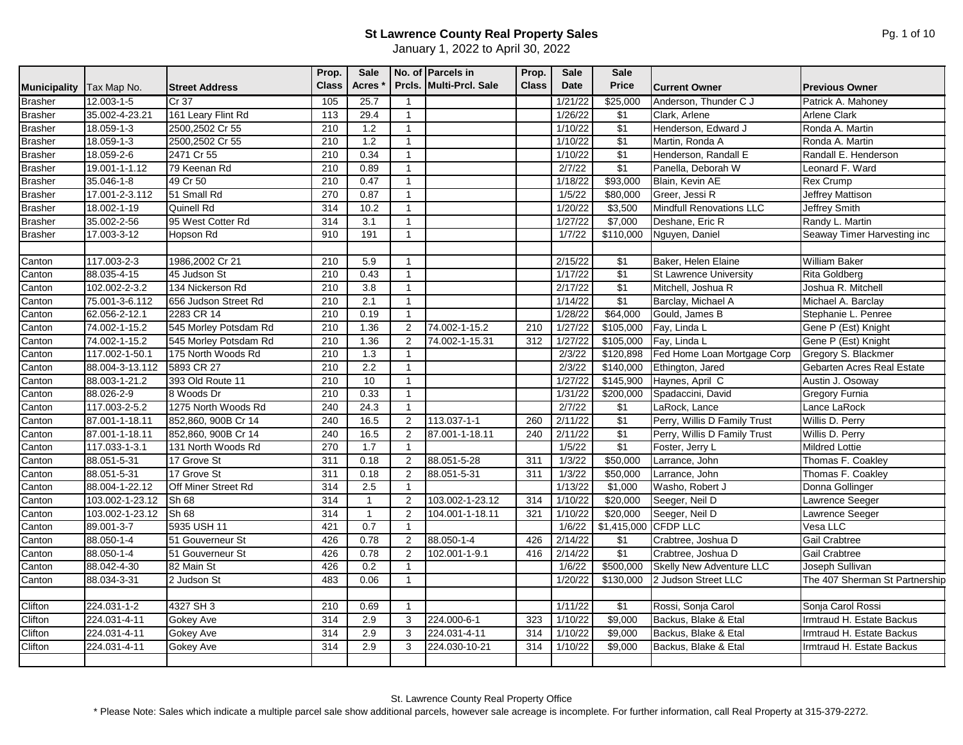January 1, 2022 to April 30, 2022

|                     |                 |                             | Prop.            | <b>Sale</b>  |                | No. of Parcels in       | Prop.        | <b>Sale</b> | <b>Sale</b>          |                               |                                |
|---------------------|-----------------|-----------------------------|------------------|--------------|----------------|-------------------------|--------------|-------------|----------------------|-------------------------------|--------------------------------|
| <b>Municipality</b> | Tax Map No.     | <b>Street Address</b>       | <b>Class</b>     | <b>Acres</b> |                | Prcls. Multi-Prcl. Sale | <b>Class</b> | Date        | <b>Price</b>         | <b>Current Owner</b>          | <b>Previous Owner</b>          |
| <b>Brasher</b>      | 12.003-1-5      | Cr 37                       | 105              | 25.7         | $\overline{1}$ |                         |              | 1/21/22     | \$25,000             | Anderson, Thunder C J         | Patrick A. Mahoney             |
| <b>Brasher</b>      | 35.002-4-23.21  | 161 Leary Flint Rd          | 113              | 29.4         | $\mathbf{1}$   |                         |              | 1/26/22     | \$1                  | Clark, Arlene                 | <b>Arlene Clark</b>            |
| <b>Brasher</b>      | 18.059-1-3      | 2500,2502 Cr 55             | 210              | 1.2          | $\mathbf{1}$   |                         |              | 1/10/22     | \$1                  | Henderson, Edward J           | Ronda A. Martin                |
| <b>Brasher</b>      | 18.059-1-3      | 2500,2502 Cr 55             | 210              | 1.2          | $\mathbf{1}$   |                         |              | 1/10/22     | $\sqrt{$1}$          | Martin, Ronda A               | Ronda A. Martin                |
| Brasher             | 18.059-2-6      | 2471 Cr 55                  | 210              | 0.34         | $\mathbf{1}$   |                         |              | 1/10/22     | $\sqrt{$1}$          | Henderson, Randall E          | Randall E. Henderson           |
| <b>Brasher</b>      | 19.001-1-1.12   | 79 Keenan Rd                | 210              | 0.89         | $\mathbf{1}$   |                         |              | 2/7/22      | \$1                  | Panella. Deborah W            | Leonard F. Ward                |
| <b>Brasher</b>      | 35.046-1-8      | 49 Cr 50                    | 210              | 0.47         | $\mathbf{1}$   |                         |              | 1/18/22     | \$93,000             | Blain, Kevin AE               | <b>Rex Crump</b>               |
| <b>Brasher</b>      | 17.001-2-3.112  | 51 Small Rd                 | 270              | 0.87         | $\mathbf{1}$   |                         |              | 1/5/22      | \$80,000             | Greer, Jessi R                | Jeffrey Mattison               |
| <b>Brasher</b>      | 18.002-1-19     | Quinell Rd                  | 314              | 10.2         | $\mathbf{1}$   |                         |              | 1/20/22     | \$3,500              | Mindfull Renovations LLC      | Jeffrey Smith                  |
| <b>Brasher</b>      | 35.002-2-56     | 95 West Cotter Rd           | 314              | 3.1          | $\mathbf{1}$   |                         |              | 1/27/22     | \$7,000              | Deshane, Eric R               | Randy L. Martin                |
| <b>Brasher</b>      | 17.003-3-12     | Hopson Rd                   | 910              | 191          | $\overline{1}$ |                         |              | 1/7/22      | \$110,000            | Nguyen, Daniel                | Seaway Timer Harvesting inc    |
|                     |                 |                             |                  |              |                |                         |              |             |                      |                               |                                |
| Canton              | 117.003-2-3     | 1986,2002 Cr 21             | 210              | 5.9          | $\mathbf{1}$   |                         |              | 2/15/22     | $\sqrt{$1}$          | Baker, Helen Elaine           | <b>William Baker</b>           |
| Canton              | 88.035-4-15     | 45 Judson St                | 210              | 0.43         | $\mathbf{1}$   |                         |              | 1/17/22     | $\sqrt{$1}$          | <b>St Lawrence University</b> | <b>Rita Goldberg</b>           |
| Canton              | 102.002-2-3.2   | 134 Nickerson Rd            | 210              | 3.8          | $\mathbf{1}$   |                         |              | 2/17/22     | \$1                  | Mitchell, Joshua R            | Joshua R. Mitchell             |
| Canton              | 75.001-3-6.112  | 656 Judson Street Rd        | 210              | 2.1          | $\mathbf{1}$   |                         |              | 1/14/22     | \$1                  | Barclay, Michael A            | Michael A. Barclay             |
| Canton              | 62.056-2-12.1   | 2283 CR 14                  | 210              | 0.19         | $\mathbf{1}$   |                         |              | 1/28/22     | \$64,000             | Gould, James B                | Stephanie L. Penree            |
| Canton              | 74.002-1-15.2   | 545 Morley Potsdam Rd       | 210              | 1.36         | $\overline{2}$ | $74.002 - 1 - 15.2$     | 210          | 1/27/22     | \$105,000            | Fay, Linda L                  | Gene P (Est) Knight            |
| Canton              | 74.002-1-15.2   | 545 Morley Potsdam Rd       | 210              | 1.36         | 2              | 74.002-1-15.31          | 312          | 1/27/22     | \$105,000            | Fay, Linda L                  | Gene P (Est) Knight            |
| Canton              | 117.002-1-50.1  | 175 North Woods Rd          | 210              | 1.3          | $\mathbf{1}$   |                         |              | 2/3/22      | \$120,898            | Fed Home Loan Mortgage Corp   | Gregory S. Blackmer            |
| Canton              | 88.004-3-13.112 | 5893 CR 27                  | 210              | 2.2          | $\mathbf{1}$   |                         |              | 2/3/22      | \$140,000            | Ethington, Jared              | Gebarten Acres Real Estate     |
| Canton              | 88.003-1-21.2   | 393 Old Route 11            | 210              | 10           | $\mathbf{1}$   |                         |              | 1/27/22     | \$145,900            | Haynes, April C               | Austin J. Osoway               |
| Canton              | 88.026-2-9      | 8 Woods Dr                  | 210              | 0.33         | $\mathbf{1}$   |                         |              | 1/31/22     | \$200,000            | Spadaccini, David             | <b>Gregory Furnia</b>          |
| Canton              | 117.003-2-5.2   | 1275 North Woods Rd         | 240              | 24.3         | $\mathbf{1}$   |                         |              | 2/7/22      | \$1                  | LaRock, Lance                 | Lance LaRock                   |
| Canton              | 87.001-1-18.11  | 852,860, 900B Cr 14         | 240              | 16.5         | 2              | $113.037 - 1 - 1$       | 260          | 2/11/22     | \$1                  | Perry, Willis D Family Trust  | Willis D. Perry                |
| Canton              | 87.001-1-18.11  | 852,860, 900B Cr 14         | 240              | 16.5         | 2              | 87.001-1-18.11          | 240          | 2/11/22     | $\sqrt{$1}$          | Perry, Willis D Family Trust  | Willis D. Perry                |
| Canton              | 117.033-1-3.1   | 131 North Woods Rd          | 270              | 1.7          | $\mathbf{1}$   |                         |              | 1/5/22      | \$1                  | Foster, Jerry L               | <b>Mildred Lottie</b>          |
| Canton              | 88.051-5-31     | 17 Grove St                 | 311              | 0.18         | 2              | 88.051-5-28             | 311          | 1/3/22      | \$50,000             | Larrance, John                | Thomas F. Coakley              |
| Canton              | 88.051-5-31     | 17 Grove St                 | 311              | 0.18         | 2              | 88.051-5-31             | 311          | 1/3/22      | \$50,000             | Larrance, John                | Thomas F. Coakley              |
| Canton              | 88.004-1-22.12  | <b>IOff Miner Street Rd</b> | $\overline{314}$ | 2.5          | $\mathbf{1}$   |                         |              | 1/13/22     | \$1,000              | Washo, Robert J               | Donna Gollinger                |
| Canton              | 103.002-1-23.12 | Sh 68                       | 314              | $\mathbf{1}$ | 2              | 103.002-1-23.12         | 314          | 1/10/22     | \$20,000             | Seeger, Neil D                | Lawrence Seeger                |
| Canton              | 103.002-1-23.12 | Sh <sub>68</sub>            | 314              | $\mathbf{1}$ | 2              | 104.001-1-18.11         | 321          | 1/10/22     | \$20,000             | Seeger, Neil D                | Lawrence Seeger                |
| Canton              | 89.001-3-7      | 5935 USH 11                 | 421              | 0.7          | $\mathbf{1}$   |                         |              | 1/6/22      | \$1,415,000 CFDP LLC |                               | Vesa LLC                       |
| Canton              | 88.050-1-4      | 51 Gouverneur St            | 426              | 0.78         | 2              | 88.050-1-4              | 426          | 2/14/22     | \$1                  | Crabtree, Joshua D            | <b>Gail Crabtree</b>           |
| Canton              | 88.050-1-4      | 51 Gouverneur St            | 426              | 0.78         | $\overline{2}$ | 102.001-1-9.1           | 416          | 2/14/22     | $\sqrt{$1}$          | Crabtree, Joshua D            | <b>Gail Crabtree</b>           |
| Canton              | 88.042-4-30     | 82 Main St                  | 426              | 0.2          | $\mathbf{1}$   |                         |              | 1/6/22      | \$500,000            | Skelly New Adventure LLC      | Joseph Sullivan                |
| Canton              | 88.034-3-31     | 2 Judson St                 | 483              | 0.06         | $\mathbf{1}$   |                         |              | 1/20/22     | \$130,000            | 2 Judson Street LLC           | The 407 Sherman St Partnership |
|                     |                 |                             |                  |              |                |                         |              |             |                      |                               |                                |
| Clifton             | 224.031-1-2     | 4327 SH 3                   | 210              | 0.69         | $\mathbf{1}$   |                         |              | 1/11/22     | $\sqrt{$1}$          | Rossi, Sonja Carol            | Sonja Carol Rossi              |
| Clifton             | 224.031-4-11    | Gokey Ave                   | 314              | 2.9          | 3              | 224.000-6-1             | 323          | 1/10/22     | \$9,000              | Backus, Blake & Etal          | Irmtraud H. Estate Backus      |
| Clifton             | 224.031-4-11    | Gokey Ave                   | 314              | 2.9          | 3              | 224.031-4-11            | 314          | 1/10/22     | \$9,000              | Backus, Blake & Etal          | Irmtraud H. Estate Backus      |
| Clifton             | 224.031-4-11    | Gokey Ave                   | 314              | 2.9          | 3              | 224.030-10-21           | 314          | 1/10/22     | \$9,000              | Backus, Blake & Etal          | Irmtraud H. Estate Backus      |
|                     |                 |                             |                  |              |                |                         |              |             |                      |                               |                                |

St. Lawrence County Real Property Office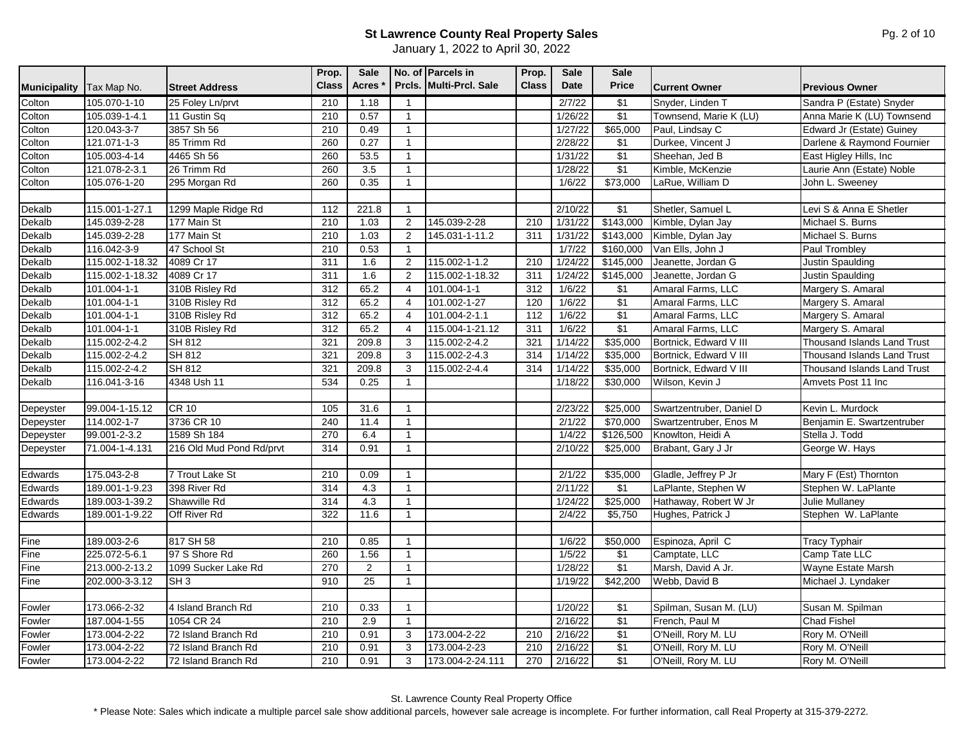January 1, 2022 to April 30, 2022

| Colton<br>$\sqrt{$1}$<br>105.070-1-10<br>25 Foley Ln/prvt<br>210<br>1.18<br>2/7/22<br>Snyder, Linden T<br>Sandra P (Estate) Snyder<br>$\overline{1}$<br>\$1<br>Colton<br>0.57<br>105.039-1-4.1<br>11 Gustin Sq<br>210<br>1/26/22<br>Townsend, Marie K (LU)<br>Anna Marie K (LU) Townsend<br>$\overline{1}$<br>\$65,000<br>Colton<br>120.043-3-7<br>3857 Sh 56<br>210<br>0.49<br>1/27/22<br>Paul, Lindsay C<br>Edward Jr (Estate) Guiney<br>$\overline{1}$<br>Colton<br>121.071-1-3<br>85 Trimm Rd<br>260<br>0.27<br>2/28/22<br>\$1<br>Darlene & Raymond Fournier<br>$\mathbf{1}$<br>Durkee, Vincent J<br>\$1<br>Colton<br>105.003-4-14<br>4465 Sh 56<br>260<br>53.5<br>1/31/22<br>Sheehan, Jed B<br>East Higley Hills, Inc<br>$\overline{1}$<br>\$1<br>26 Trimm Rd<br>260<br>3.5<br>Colton<br>121.078-2-3.1<br>$\overline{1}$<br>1/28/22<br>Kimble, McKenzie<br>Laurie Ann (Estate) Noble<br>Colton<br>260<br>0.35<br>\$73,000<br>LaRue, William D<br>105.076-1-20<br>295 Morgan Rd<br>1/6/22<br>John L. Sweeney<br>$\overline{1}$<br>Dekalb<br>\$1<br>Shetler, Samuel L<br>Levi S & Anna E Shetler<br>115.001-1-27.1<br>1299 Maple Ridge Rd<br>221.8<br>2/10/22<br>112<br>$\overline{1}$<br>Dekalb<br>145.039-2-28<br>177 Main St<br>210<br>1.03<br>$\overline{2}$<br>145.039-2-28<br>210<br>1/31/22<br>\$143,000<br>Michael S. Burns<br>Kimble, Dylan Jay<br>145.039-2-28<br>177 Main St<br>210<br>1.03<br>$145.031 - 1 - 11.2$<br>1/31/22<br>\$143,000<br>Dekalb<br>2<br>311<br>Kimble, Dylan Jay<br>Michael S. Burns<br>0.53<br>Dekalb<br>116.042-3-9<br>47 School St<br>210<br>1/7/22<br>\$160,000<br>Van Ells, John J<br>Paul Trombley<br>$\overline{1}$<br>Dekalb<br>115.002-1-1.2<br>210<br>1/24/22<br>\$145,000<br>115.002-1-18.32<br>4089 Cr 17<br>311<br>1.6<br>2<br>Jeanette, Jordan G<br>Justin Spaulding<br>1.6<br>\$145,000<br>Dekalb<br>115.002-1-18.32<br>4089 Cr 17<br>311<br>2<br>115.002-1-18.32<br>311<br>1/24/22<br>Jeanette, Jordan G<br><b>Justin Spaulding</b><br>Dekalb<br>101.004-1-1<br>65.2<br>312<br>1/6/22<br>\$1<br>310B Risley Rd<br>312<br>101.004-1-1<br>Amaral Farms, LLC<br>Margery S. Amaral<br>$\overline{4}$<br>\$1<br>Dekalb<br>312<br>65.2<br>$101.004 - 1 - 1$<br>310B Risley Rd<br>101.002-1-27<br>120<br>1/6/22<br>Amaral Farms, LLC<br>$\overline{4}$<br>Margery S. Amaral<br>$\sqrt{$1}$<br>65.2<br>$101.004 - 1 - 1$<br>310B Risley Rd<br>312<br>101.004-2-1.1<br>112<br>1/6/22<br>Amaral Farms, LLC<br>Margery S. Amaral<br>Dekalb<br>$\overline{4}$<br>$\overline{\$1}$<br>Dekalb<br>65.2<br>Amaral Farms, LLC<br>101.004-1-1<br>310B Risley Rd<br>312<br>115.004-1-21.12<br>311<br>1/6/22<br>Margery S. Amaral<br>$\overline{4}$<br>\$35,000<br>115.002-2-4.2<br>SH 812<br>321<br>209.8<br>115.002-2-4.2<br>1/14/22<br>Bortnick, Edward V III<br><b>Thousand Islands Land Trust</b><br>3<br>321<br>115.002-2-4.2<br>SH 812<br>321<br>209.8<br>115.002-2-4.3<br>1/14/22<br>\$35,000<br>Bortnick, Edward V III<br>3<br>314<br><b>Thousand Islands Land Trust</b><br><b>SH 812</b><br>321<br>209.8<br>\$35,000<br>115.002-2-4.2<br>3<br>115.002-2-4.4<br>314<br>1/14/22<br>Bortnick, Edward V III<br><b>Thousand Islands Land Trust</b><br>534<br>\$30,000<br>116.041-3-16<br>4348 Ush 11<br>0.25<br>1/18/22<br>Wilson, Kevin J<br>Amvets Post 11 Inc<br>$\overline{1}$<br><b>CR 10</b><br>\$25,000<br>99.004-1-15.12<br>105<br>31.6<br>2/23/22<br>Swartzentruber, Daniel D<br>Kevin L. Murdock<br>3736 CR 10<br>\$70,000<br>114.002-1-7<br>240<br>11.4<br>2/1/22<br>Swartzentruber, Enos M<br>Benjamin E. Swartzentruber<br>-1<br>99.001-2-3.2<br>1589 Sh 184<br>270<br>6.4<br>1/4/22<br>\$126,500<br>Knowlton, Heidi A<br>Stella J. Todd<br>$\mathbf{1}$<br>216 Old Mud Pond Rd/prvt<br>0.91<br>\$25,000<br>George W. Hays<br>71.004-1-4.131<br>314<br>2/10/22<br>Brabant, Gary J Jr<br>$\overline{1}$<br>175.043-2-8<br><b>7 Trout Lake St</b><br>210<br>0.09<br>2/1/22<br>\$35,000<br>Gladle, Jeffrey P Jr<br>Mary F (Est) Thornton<br>$\mathbf{1}$<br>398 River Rd<br>4.3<br>\$1<br>Stephen W. LaPlante<br>189.001-1-9.23<br>314<br>2/11/22<br>LaPlante, Stephen W<br>$\overline{1}$<br>4.3<br>\$25,000<br>189.003-1-39.2<br>Shawville Rd<br>314<br>1/24/22<br>Hathaway, Robert W Jr<br>$\mathbf{1}$<br>Julie Mullanev<br>322<br>11.6<br>2/4/22<br>\$5,750<br>189.001-1-9.22<br>Off River Rd<br>Hughes, Patrick J<br>Stephen W. LaPlante<br>$\overline{1}$<br>189.003-2-6<br>817 SH 58<br>210<br>0.85<br>\$50,000<br>1/6/22<br>Espinoza, April C<br><b>Tracy Typhair</b><br>$\overline{1}$<br>97 S Shore Rd<br>$\sqrt{$1}$<br>225.072-5-6.1<br>260<br>1.56<br>1/5/22<br>Camp Tate LLC<br>Camptate, LLC<br>$\overline{1}$<br>\$1<br>213.000-2-13.2<br>1099 Sucker Lake Rd<br>270<br>2<br>1/28/22<br>Marsh, David A Jr.<br>Wayne Estate Marsh<br>$\mathbf{1}$<br>25<br>SH <sub>3</sub><br>\$42,200<br>202.000-3-3.12<br>910<br>1/19/22<br>Webb, David B<br>Michael J. Lyndaker<br>$\overline{1}$<br>\$1<br>Spilman, Susan M. (LU)<br>Fowler<br>173.066-2-32<br>4 Island Branch Rd<br>210<br>0.33<br>1/20/22<br>Susan M. Spilman<br>-1<br>$\sqrt{$1}$<br>187.004-1-55<br>1054 CR 24<br>2.9<br>2/16/22<br>French, Paul M<br><b>Chad Fishel</b><br>210<br>$\overline{1}$<br>$\sqrt{$1}$<br>72 Island Branch Rd<br>0.91<br>173.004-2-22<br>210<br>173.004-2-22<br>210<br>2/16/22<br>O'Neill, Rory M. LU<br>Rory M. O'Neill<br>3<br>$\sqrt{$1}$<br>173.004-2-22<br>72 Island Branch Rd<br>210<br>0.91<br>3<br>173.004-2-23<br>210<br>2/16/22<br>O'Neill, Rory M. LU<br>Rory M. O'Neill<br>Fowler |                     |              |                       | Prop.<br><b>Class</b> | Sale<br><b>Acres</b> |   | No. of Parcels in<br>Prcls. Multi-Prcl. Sale | Prop.<br><b>Class</b> | <b>Sale</b><br><b>Date</b> | <b>Sale</b><br><b>Price</b> |                      |                       |
|------------------------------------------------------------------------------------------------------------------------------------------------------------------------------------------------------------------------------------------------------------------------------------------------------------------------------------------------------------------------------------------------------------------------------------------------------------------------------------------------------------------------------------------------------------------------------------------------------------------------------------------------------------------------------------------------------------------------------------------------------------------------------------------------------------------------------------------------------------------------------------------------------------------------------------------------------------------------------------------------------------------------------------------------------------------------------------------------------------------------------------------------------------------------------------------------------------------------------------------------------------------------------------------------------------------------------------------------------------------------------------------------------------------------------------------------------------------------------------------------------------------------------------------------------------------------------------------------------------------------------------------------------------------------------------------------------------------------------------------------------------------------------------------------------------------------------------------------------------------------------------------------------------------------------------------------------------------------------------------------------------------------------------------------------------------------------------------------------------------------------------------------------------------------------------------------------------------------------------------------------------------------------------------------------------------------------------------------------------------------------------------------------------------------------------------------------------------------------------------------------------------------------------------------------------------------------------------------------------------------------------------------------------------------------------------------------------------------------------------------------------------------------------------------------------------------------------------------------------------------------------------------------------------------------------------------------------------------------------------------------------------------------------------------------------------------------------------------------------------------------------------------------------------------------------------------------------------------------------------------------------------------------------------------------------------------------------------------------------------------------------------------------------------------------------------------------------------------------------------------------------------------------------------------------------------------------------------------------------------------------------------------------------------------------------------------------------------------------------------------------------------------------------------------------------------------------------------------------------------------------------------------------------------------------------------------------------------------------------------------------------------------------------------------------------------------------------------------------------------------------------------------------------------------------------------------------------------------------------------------------------------------------------------------------------------------------------------------------------------------------------------------------------------------------------------------------------------------------------------------------------------------------------------------------------------------------------------------------------------------------------------------------------------------------------------------------------------------------------------------------------------------------------------------------------------------------------------------------------------------------------------------------------------------------------------------------------------------------------------------------------------------------------------------------------------------------------------------------------------------------------------------------------------------------------------------------------------------------------------------------------------------------------------------------------------------------------------------------------------------------------------------------------------------------------------------------------------------------------------------------------------------------------------------|---------------------|--------------|-----------------------|-----------------------|----------------------|---|----------------------------------------------|-----------------------|----------------------------|-----------------------------|----------------------|-----------------------|
|                                                                                                                                                                                                                                                                                                                                                                                                                                                                                                                                                                                                                                                                                                                                                                                                                                                                                                                                                                                                                                                                                                                                                                                                                                                                                                                                                                                                                                                                                                                                                                                                                                                                                                                                                                                                                                                                                                                                                                                                                                                                                                                                                                                                                                                                                                                                                                                                                                                                                                                                                                                                                                                                                                                                                                                                                                                                                                                                                                                                                                                                                                                                                                                                                                                                                                                                                                                                                                                                                                                                                                                                                                                                                                                                                                                                                                                                                                                                                                                                                                                                                                                                                                                                                                                                                                                                                                                                                                                                                                                                                                                                                                                                                                                                                                                                                                                                                                                                                                                                                                                                                                                                                                                                                                                                                                                                                                                                                                                                                                                                                | <b>Municipality</b> | Tax Map No.  | <b>Street Address</b> |                       |                      |   |                                              |                       |                            |                             | <b>Current Owner</b> | <b>Previous Owner</b> |
|                                                                                                                                                                                                                                                                                                                                                                                                                                                                                                                                                                                                                                                                                                                                                                                                                                                                                                                                                                                                                                                                                                                                                                                                                                                                                                                                                                                                                                                                                                                                                                                                                                                                                                                                                                                                                                                                                                                                                                                                                                                                                                                                                                                                                                                                                                                                                                                                                                                                                                                                                                                                                                                                                                                                                                                                                                                                                                                                                                                                                                                                                                                                                                                                                                                                                                                                                                                                                                                                                                                                                                                                                                                                                                                                                                                                                                                                                                                                                                                                                                                                                                                                                                                                                                                                                                                                                                                                                                                                                                                                                                                                                                                                                                                                                                                                                                                                                                                                                                                                                                                                                                                                                                                                                                                                                                                                                                                                                                                                                                                                                |                     |              |                       |                       |                      |   |                                              |                       |                            |                             |                      |                       |
|                                                                                                                                                                                                                                                                                                                                                                                                                                                                                                                                                                                                                                                                                                                                                                                                                                                                                                                                                                                                                                                                                                                                                                                                                                                                                                                                                                                                                                                                                                                                                                                                                                                                                                                                                                                                                                                                                                                                                                                                                                                                                                                                                                                                                                                                                                                                                                                                                                                                                                                                                                                                                                                                                                                                                                                                                                                                                                                                                                                                                                                                                                                                                                                                                                                                                                                                                                                                                                                                                                                                                                                                                                                                                                                                                                                                                                                                                                                                                                                                                                                                                                                                                                                                                                                                                                                                                                                                                                                                                                                                                                                                                                                                                                                                                                                                                                                                                                                                                                                                                                                                                                                                                                                                                                                                                                                                                                                                                                                                                                                                                |                     |              |                       |                       |                      |   |                                              |                       |                            |                             |                      |                       |
|                                                                                                                                                                                                                                                                                                                                                                                                                                                                                                                                                                                                                                                                                                                                                                                                                                                                                                                                                                                                                                                                                                                                                                                                                                                                                                                                                                                                                                                                                                                                                                                                                                                                                                                                                                                                                                                                                                                                                                                                                                                                                                                                                                                                                                                                                                                                                                                                                                                                                                                                                                                                                                                                                                                                                                                                                                                                                                                                                                                                                                                                                                                                                                                                                                                                                                                                                                                                                                                                                                                                                                                                                                                                                                                                                                                                                                                                                                                                                                                                                                                                                                                                                                                                                                                                                                                                                                                                                                                                                                                                                                                                                                                                                                                                                                                                                                                                                                                                                                                                                                                                                                                                                                                                                                                                                                                                                                                                                                                                                                                                                |                     |              |                       |                       |                      |   |                                              |                       |                            |                             |                      |                       |
|                                                                                                                                                                                                                                                                                                                                                                                                                                                                                                                                                                                                                                                                                                                                                                                                                                                                                                                                                                                                                                                                                                                                                                                                                                                                                                                                                                                                                                                                                                                                                                                                                                                                                                                                                                                                                                                                                                                                                                                                                                                                                                                                                                                                                                                                                                                                                                                                                                                                                                                                                                                                                                                                                                                                                                                                                                                                                                                                                                                                                                                                                                                                                                                                                                                                                                                                                                                                                                                                                                                                                                                                                                                                                                                                                                                                                                                                                                                                                                                                                                                                                                                                                                                                                                                                                                                                                                                                                                                                                                                                                                                                                                                                                                                                                                                                                                                                                                                                                                                                                                                                                                                                                                                                                                                                                                                                                                                                                                                                                                                                                |                     |              |                       |                       |                      |   |                                              |                       |                            |                             |                      |                       |
|                                                                                                                                                                                                                                                                                                                                                                                                                                                                                                                                                                                                                                                                                                                                                                                                                                                                                                                                                                                                                                                                                                                                                                                                                                                                                                                                                                                                                                                                                                                                                                                                                                                                                                                                                                                                                                                                                                                                                                                                                                                                                                                                                                                                                                                                                                                                                                                                                                                                                                                                                                                                                                                                                                                                                                                                                                                                                                                                                                                                                                                                                                                                                                                                                                                                                                                                                                                                                                                                                                                                                                                                                                                                                                                                                                                                                                                                                                                                                                                                                                                                                                                                                                                                                                                                                                                                                                                                                                                                                                                                                                                                                                                                                                                                                                                                                                                                                                                                                                                                                                                                                                                                                                                                                                                                                                                                                                                                                                                                                                                                                |                     |              |                       |                       |                      |   |                                              |                       |                            |                             |                      |                       |
|                                                                                                                                                                                                                                                                                                                                                                                                                                                                                                                                                                                                                                                                                                                                                                                                                                                                                                                                                                                                                                                                                                                                                                                                                                                                                                                                                                                                                                                                                                                                                                                                                                                                                                                                                                                                                                                                                                                                                                                                                                                                                                                                                                                                                                                                                                                                                                                                                                                                                                                                                                                                                                                                                                                                                                                                                                                                                                                                                                                                                                                                                                                                                                                                                                                                                                                                                                                                                                                                                                                                                                                                                                                                                                                                                                                                                                                                                                                                                                                                                                                                                                                                                                                                                                                                                                                                                                                                                                                                                                                                                                                                                                                                                                                                                                                                                                                                                                                                                                                                                                                                                                                                                                                                                                                                                                                                                                                                                                                                                                                                                |                     |              |                       |                       |                      |   |                                              |                       |                            |                             |                      |                       |
|                                                                                                                                                                                                                                                                                                                                                                                                                                                                                                                                                                                                                                                                                                                                                                                                                                                                                                                                                                                                                                                                                                                                                                                                                                                                                                                                                                                                                                                                                                                                                                                                                                                                                                                                                                                                                                                                                                                                                                                                                                                                                                                                                                                                                                                                                                                                                                                                                                                                                                                                                                                                                                                                                                                                                                                                                                                                                                                                                                                                                                                                                                                                                                                                                                                                                                                                                                                                                                                                                                                                                                                                                                                                                                                                                                                                                                                                                                                                                                                                                                                                                                                                                                                                                                                                                                                                                                                                                                                                                                                                                                                                                                                                                                                                                                                                                                                                                                                                                                                                                                                                                                                                                                                                                                                                                                                                                                                                                                                                                                                                                |                     |              |                       |                       |                      |   |                                              |                       |                            |                             |                      |                       |
|                                                                                                                                                                                                                                                                                                                                                                                                                                                                                                                                                                                                                                                                                                                                                                                                                                                                                                                                                                                                                                                                                                                                                                                                                                                                                                                                                                                                                                                                                                                                                                                                                                                                                                                                                                                                                                                                                                                                                                                                                                                                                                                                                                                                                                                                                                                                                                                                                                                                                                                                                                                                                                                                                                                                                                                                                                                                                                                                                                                                                                                                                                                                                                                                                                                                                                                                                                                                                                                                                                                                                                                                                                                                                                                                                                                                                                                                                                                                                                                                                                                                                                                                                                                                                                                                                                                                                                                                                                                                                                                                                                                                                                                                                                                                                                                                                                                                                                                                                                                                                                                                                                                                                                                                                                                                                                                                                                                                                                                                                                                                                |                     |              |                       |                       |                      |   |                                              |                       |                            |                             |                      |                       |
|                                                                                                                                                                                                                                                                                                                                                                                                                                                                                                                                                                                                                                                                                                                                                                                                                                                                                                                                                                                                                                                                                                                                                                                                                                                                                                                                                                                                                                                                                                                                                                                                                                                                                                                                                                                                                                                                                                                                                                                                                                                                                                                                                                                                                                                                                                                                                                                                                                                                                                                                                                                                                                                                                                                                                                                                                                                                                                                                                                                                                                                                                                                                                                                                                                                                                                                                                                                                                                                                                                                                                                                                                                                                                                                                                                                                                                                                                                                                                                                                                                                                                                                                                                                                                                                                                                                                                                                                                                                                                                                                                                                                                                                                                                                                                                                                                                                                                                                                                                                                                                                                                                                                                                                                                                                                                                                                                                                                                                                                                                                                                |                     |              |                       |                       |                      |   |                                              |                       |                            |                             |                      |                       |
|                                                                                                                                                                                                                                                                                                                                                                                                                                                                                                                                                                                                                                                                                                                                                                                                                                                                                                                                                                                                                                                                                                                                                                                                                                                                                                                                                                                                                                                                                                                                                                                                                                                                                                                                                                                                                                                                                                                                                                                                                                                                                                                                                                                                                                                                                                                                                                                                                                                                                                                                                                                                                                                                                                                                                                                                                                                                                                                                                                                                                                                                                                                                                                                                                                                                                                                                                                                                                                                                                                                                                                                                                                                                                                                                                                                                                                                                                                                                                                                                                                                                                                                                                                                                                                                                                                                                                                                                                                                                                                                                                                                                                                                                                                                                                                                                                                                                                                                                                                                                                                                                                                                                                                                                                                                                                                                                                                                                                                                                                                                                                |                     |              |                       |                       |                      |   |                                              |                       |                            |                             |                      |                       |
|                                                                                                                                                                                                                                                                                                                                                                                                                                                                                                                                                                                                                                                                                                                                                                                                                                                                                                                                                                                                                                                                                                                                                                                                                                                                                                                                                                                                                                                                                                                                                                                                                                                                                                                                                                                                                                                                                                                                                                                                                                                                                                                                                                                                                                                                                                                                                                                                                                                                                                                                                                                                                                                                                                                                                                                                                                                                                                                                                                                                                                                                                                                                                                                                                                                                                                                                                                                                                                                                                                                                                                                                                                                                                                                                                                                                                                                                                                                                                                                                                                                                                                                                                                                                                                                                                                                                                                                                                                                                                                                                                                                                                                                                                                                                                                                                                                                                                                                                                                                                                                                                                                                                                                                                                                                                                                                                                                                                                                                                                                                                                |                     |              |                       |                       |                      |   |                                              |                       |                            |                             |                      |                       |
|                                                                                                                                                                                                                                                                                                                                                                                                                                                                                                                                                                                                                                                                                                                                                                                                                                                                                                                                                                                                                                                                                                                                                                                                                                                                                                                                                                                                                                                                                                                                                                                                                                                                                                                                                                                                                                                                                                                                                                                                                                                                                                                                                                                                                                                                                                                                                                                                                                                                                                                                                                                                                                                                                                                                                                                                                                                                                                                                                                                                                                                                                                                                                                                                                                                                                                                                                                                                                                                                                                                                                                                                                                                                                                                                                                                                                                                                                                                                                                                                                                                                                                                                                                                                                                                                                                                                                                                                                                                                                                                                                                                                                                                                                                                                                                                                                                                                                                                                                                                                                                                                                                                                                                                                                                                                                                                                                                                                                                                                                                                                                |                     |              |                       |                       |                      |   |                                              |                       |                            |                             |                      |                       |
|                                                                                                                                                                                                                                                                                                                                                                                                                                                                                                                                                                                                                                                                                                                                                                                                                                                                                                                                                                                                                                                                                                                                                                                                                                                                                                                                                                                                                                                                                                                                                                                                                                                                                                                                                                                                                                                                                                                                                                                                                                                                                                                                                                                                                                                                                                                                                                                                                                                                                                                                                                                                                                                                                                                                                                                                                                                                                                                                                                                                                                                                                                                                                                                                                                                                                                                                                                                                                                                                                                                                                                                                                                                                                                                                                                                                                                                                                                                                                                                                                                                                                                                                                                                                                                                                                                                                                                                                                                                                                                                                                                                                                                                                                                                                                                                                                                                                                                                                                                                                                                                                                                                                                                                                                                                                                                                                                                                                                                                                                                                                                |                     |              |                       |                       |                      |   |                                              |                       |                            |                             |                      |                       |
|                                                                                                                                                                                                                                                                                                                                                                                                                                                                                                                                                                                                                                                                                                                                                                                                                                                                                                                                                                                                                                                                                                                                                                                                                                                                                                                                                                                                                                                                                                                                                                                                                                                                                                                                                                                                                                                                                                                                                                                                                                                                                                                                                                                                                                                                                                                                                                                                                                                                                                                                                                                                                                                                                                                                                                                                                                                                                                                                                                                                                                                                                                                                                                                                                                                                                                                                                                                                                                                                                                                                                                                                                                                                                                                                                                                                                                                                                                                                                                                                                                                                                                                                                                                                                                                                                                                                                                                                                                                                                                                                                                                                                                                                                                                                                                                                                                                                                                                                                                                                                                                                                                                                                                                                                                                                                                                                                                                                                                                                                                                                                |                     |              |                       |                       |                      |   |                                              |                       |                            |                             |                      |                       |
|                                                                                                                                                                                                                                                                                                                                                                                                                                                                                                                                                                                                                                                                                                                                                                                                                                                                                                                                                                                                                                                                                                                                                                                                                                                                                                                                                                                                                                                                                                                                                                                                                                                                                                                                                                                                                                                                                                                                                                                                                                                                                                                                                                                                                                                                                                                                                                                                                                                                                                                                                                                                                                                                                                                                                                                                                                                                                                                                                                                                                                                                                                                                                                                                                                                                                                                                                                                                                                                                                                                                                                                                                                                                                                                                                                                                                                                                                                                                                                                                                                                                                                                                                                                                                                                                                                                                                                                                                                                                                                                                                                                                                                                                                                                                                                                                                                                                                                                                                                                                                                                                                                                                                                                                                                                                                                                                                                                                                                                                                                                                                |                     |              |                       |                       |                      |   |                                              |                       |                            |                             |                      |                       |
|                                                                                                                                                                                                                                                                                                                                                                                                                                                                                                                                                                                                                                                                                                                                                                                                                                                                                                                                                                                                                                                                                                                                                                                                                                                                                                                                                                                                                                                                                                                                                                                                                                                                                                                                                                                                                                                                                                                                                                                                                                                                                                                                                                                                                                                                                                                                                                                                                                                                                                                                                                                                                                                                                                                                                                                                                                                                                                                                                                                                                                                                                                                                                                                                                                                                                                                                                                                                                                                                                                                                                                                                                                                                                                                                                                                                                                                                                                                                                                                                                                                                                                                                                                                                                                                                                                                                                                                                                                                                                                                                                                                                                                                                                                                                                                                                                                                                                                                                                                                                                                                                                                                                                                                                                                                                                                                                                                                                                                                                                                                                                |                     |              |                       |                       |                      |   |                                              |                       |                            |                             |                      |                       |
|                                                                                                                                                                                                                                                                                                                                                                                                                                                                                                                                                                                                                                                                                                                                                                                                                                                                                                                                                                                                                                                                                                                                                                                                                                                                                                                                                                                                                                                                                                                                                                                                                                                                                                                                                                                                                                                                                                                                                                                                                                                                                                                                                                                                                                                                                                                                                                                                                                                                                                                                                                                                                                                                                                                                                                                                                                                                                                                                                                                                                                                                                                                                                                                                                                                                                                                                                                                                                                                                                                                                                                                                                                                                                                                                                                                                                                                                                                                                                                                                                                                                                                                                                                                                                                                                                                                                                                                                                                                                                                                                                                                                                                                                                                                                                                                                                                                                                                                                                                                                                                                                                                                                                                                                                                                                                                                                                                                                                                                                                                                                                |                     |              |                       |                       |                      |   |                                              |                       |                            |                             |                      |                       |
|                                                                                                                                                                                                                                                                                                                                                                                                                                                                                                                                                                                                                                                                                                                                                                                                                                                                                                                                                                                                                                                                                                                                                                                                                                                                                                                                                                                                                                                                                                                                                                                                                                                                                                                                                                                                                                                                                                                                                                                                                                                                                                                                                                                                                                                                                                                                                                                                                                                                                                                                                                                                                                                                                                                                                                                                                                                                                                                                                                                                                                                                                                                                                                                                                                                                                                                                                                                                                                                                                                                                                                                                                                                                                                                                                                                                                                                                                                                                                                                                                                                                                                                                                                                                                                                                                                                                                                                                                                                                                                                                                                                                                                                                                                                                                                                                                                                                                                                                                                                                                                                                                                                                                                                                                                                                                                                                                                                                                                                                                                                                                |                     |              |                       |                       |                      |   |                                              |                       |                            |                             |                      |                       |
|                                                                                                                                                                                                                                                                                                                                                                                                                                                                                                                                                                                                                                                                                                                                                                                                                                                                                                                                                                                                                                                                                                                                                                                                                                                                                                                                                                                                                                                                                                                                                                                                                                                                                                                                                                                                                                                                                                                                                                                                                                                                                                                                                                                                                                                                                                                                                                                                                                                                                                                                                                                                                                                                                                                                                                                                                                                                                                                                                                                                                                                                                                                                                                                                                                                                                                                                                                                                                                                                                                                                                                                                                                                                                                                                                                                                                                                                                                                                                                                                                                                                                                                                                                                                                                                                                                                                                                                                                                                                                                                                                                                                                                                                                                                                                                                                                                                                                                                                                                                                                                                                                                                                                                                                                                                                                                                                                                                                                                                                                                                                                | Dekalb              |              |                       |                       |                      |   |                                              |                       |                            |                             |                      |                       |
|                                                                                                                                                                                                                                                                                                                                                                                                                                                                                                                                                                                                                                                                                                                                                                                                                                                                                                                                                                                                                                                                                                                                                                                                                                                                                                                                                                                                                                                                                                                                                                                                                                                                                                                                                                                                                                                                                                                                                                                                                                                                                                                                                                                                                                                                                                                                                                                                                                                                                                                                                                                                                                                                                                                                                                                                                                                                                                                                                                                                                                                                                                                                                                                                                                                                                                                                                                                                                                                                                                                                                                                                                                                                                                                                                                                                                                                                                                                                                                                                                                                                                                                                                                                                                                                                                                                                                                                                                                                                                                                                                                                                                                                                                                                                                                                                                                                                                                                                                                                                                                                                                                                                                                                                                                                                                                                                                                                                                                                                                                                                                | Dekalb              |              |                       |                       |                      |   |                                              |                       |                            |                             |                      |                       |
|                                                                                                                                                                                                                                                                                                                                                                                                                                                                                                                                                                                                                                                                                                                                                                                                                                                                                                                                                                                                                                                                                                                                                                                                                                                                                                                                                                                                                                                                                                                                                                                                                                                                                                                                                                                                                                                                                                                                                                                                                                                                                                                                                                                                                                                                                                                                                                                                                                                                                                                                                                                                                                                                                                                                                                                                                                                                                                                                                                                                                                                                                                                                                                                                                                                                                                                                                                                                                                                                                                                                                                                                                                                                                                                                                                                                                                                                                                                                                                                                                                                                                                                                                                                                                                                                                                                                                                                                                                                                                                                                                                                                                                                                                                                                                                                                                                                                                                                                                                                                                                                                                                                                                                                                                                                                                                                                                                                                                                                                                                                                                | Dekalb              |              |                       |                       |                      |   |                                              |                       |                            |                             |                      |                       |
|                                                                                                                                                                                                                                                                                                                                                                                                                                                                                                                                                                                                                                                                                                                                                                                                                                                                                                                                                                                                                                                                                                                                                                                                                                                                                                                                                                                                                                                                                                                                                                                                                                                                                                                                                                                                                                                                                                                                                                                                                                                                                                                                                                                                                                                                                                                                                                                                                                                                                                                                                                                                                                                                                                                                                                                                                                                                                                                                                                                                                                                                                                                                                                                                                                                                                                                                                                                                                                                                                                                                                                                                                                                                                                                                                                                                                                                                                                                                                                                                                                                                                                                                                                                                                                                                                                                                                                                                                                                                                                                                                                                                                                                                                                                                                                                                                                                                                                                                                                                                                                                                                                                                                                                                                                                                                                                                                                                                                                                                                                                                                | Dekalb              |              |                       |                       |                      |   |                                              |                       |                            |                             |                      |                       |
|                                                                                                                                                                                                                                                                                                                                                                                                                                                                                                                                                                                                                                                                                                                                                                                                                                                                                                                                                                                                                                                                                                                                                                                                                                                                                                                                                                                                                                                                                                                                                                                                                                                                                                                                                                                                                                                                                                                                                                                                                                                                                                                                                                                                                                                                                                                                                                                                                                                                                                                                                                                                                                                                                                                                                                                                                                                                                                                                                                                                                                                                                                                                                                                                                                                                                                                                                                                                                                                                                                                                                                                                                                                                                                                                                                                                                                                                                                                                                                                                                                                                                                                                                                                                                                                                                                                                                                                                                                                                                                                                                                                                                                                                                                                                                                                                                                                                                                                                                                                                                                                                                                                                                                                                                                                                                                                                                                                                                                                                                                                                                |                     |              |                       |                       |                      |   |                                              |                       |                            |                             |                      |                       |
|                                                                                                                                                                                                                                                                                                                                                                                                                                                                                                                                                                                                                                                                                                                                                                                                                                                                                                                                                                                                                                                                                                                                                                                                                                                                                                                                                                                                                                                                                                                                                                                                                                                                                                                                                                                                                                                                                                                                                                                                                                                                                                                                                                                                                                                                                                                                                                                                                                                                                                                                                                                                                                                                                                                                                                                                                                                                                                                                                                                                                                                                                                                                                                                                                                                                                                                                                                                                                                                                                                                                                                                                                                                                                                                                                                                                                                                                                                                                                                                                                                                                                                                                                                                                                                                                                                                                                                                                                                                                                                                                                                                                                                                                                                                                                                                                                                                                                                                                                                                                                                                                                                                                                                                                                                                                                                                                                                                                                                                                                                                                                | Depeyster           |              |                       |                       |                      |   |                                              |                       |                            |                             |                      |                       |
|                                                                                                                                                                                                                                                                                                                                                                                                                                                                                                                                                                                                                                                                                                                                                                                                                                                                                                                                                                                                                                                                                                                                                                                                                                                                                                                                                                                                                                                                                                                                                                                                                                                                                                                                                                                                                                                                                                                                                                                                                                                                                                                                                                                                                                                                                                                                                                                                                                                                                                                                                                                                                                                                                                                                                                                                                                                                                                                                                                                                                                                                                                                                                                                                                                                                                                                                                                                                                                                                                                                                                                                                                                                                                                                                                                                                                                                                                                                                                                                                                                                                                                                                                                                                                                                                                                                                                                                                                                                                                                                                                                                                                                                                                                                                                                                                                                                                                                                                                                                                                                                                                                                                                                                                                                                                                                                                                                                                                                                                                                                                                | Depeyster           |              |                       |                       |                      |   |                                              |                       |                            |                             |                      |                       |
|                                                                                                                                                                                                                                                                                                                                                                                                                                                                                                                                                                                                                                                                                                                                                                                                                                                                                                                                                                                                                                                                                                                                                                                                                                                                                                                                                                                                                                                                                                                                                                                                                                                                                                                                                                                                                                                                                                                                                                                                                                                                                                                                                                                                                                                                                                                                                                                                                                                                                                                                                                                                                                                                                                                                                                                                                                                                                                                                                                                                                                                                                                                                                                                                                                                                                                                                                                                                                                                                                                                                                                                                                                                                                                                                                                                                                                                                                                                                                                                                                                                                                                                                                                                                                                                                                                                                                                                                                                                                                                                                                                                                                                                                                                                                                                                                                                                                                                                                                                                                                                                                                                                                                                                                                                                                                                                                                                                                                                                                                                                                                | Depeyster           |              |                       |                       |                      |   |                                              |                       |                            |                             |                      |                       |
|                                                                                                                                                                                                                                                                                                                                                                                                                                                                                                                                                                                                                                                                                                                                                                                                                                                                                                                                                                                                                                                                                                                                                                                                                                                                                                                                                                                                                                                                                                                                                                                                                                                                                                                                                                                                                                                                                                                                                                                                                                                                                                                                                                                                                                                                                                                                                                                                                                                                                                                                                                                                                                                                                                                                                                                                                                                                                                                                                                                                                                                                                                                                                                                                                                                                                                                                                                                                                                                                                                                                                                                                                                                                                                                                                                                                                                                                                                                                                                                                                                                                                                                                                                                                                                                                                                                                                                                                                                                                                                                                                                                                                                                                                                                                                                                                                                                                                                                                                                                                                                                                                                                                                                                                                                                                                                                                                                                                                                                                                                                                                | Depeyster           |              |                       |                       |                      |   |                                              |                       |                            |                             |                      |                       |
|                                                                                                                                                                                                                                                                                                                                                                                                                                                                                                                                                                                                                                                                                                                                                                                                                                                                                                                                                                                                                                                                                                                                                                                                                                                                                                                                                                                                                                                                                                                                                                                                                                                                                                                                                                                                                                                                                                                                                                                                                                                                                                                                                                                                                                                                                                                                                                                                                                                                                                                                                                                                                                                                                                                                                                                                                                                                                                                                                                                                                                                                                                                                                                                                                                                                                                                                                                                                                                                                                                                                                                                                                                                                                                                                                                                                                                                                                                                                                                                                                                                                                                                                                                                                                                                                                                                                                                                                                                                                                                                                                                                                                                                                                                                                                                                                                                                                                                                                                                                                                                                                                                                                                                                                                                                                                                                                                                                                                                                                                                                                                |                     |              |                       |                       |                      |   |                                              |                       |                            |                             |                      |                       |
|                                                                                                                                                                                                                                                                                                                                                                                                                                                                                                                                                                                                                                                                                                                                                                                                                                                                                                                                                                                                                                                                                                                                                                                                                                                                                                                                                                                                                                                                                                                                                                                                                                                                                                                                                                                                                                                                                                                                                                                                                                                                                                                                                                                                                                                                                                                                                                                                                                                                                                                                                                                                                                                                                                                                                                                                                                                                                                                                                                                                                                                                                                                                                                                                                                                                                                                                                                                                                                                                                                                                                                                                                                                                                                                                                                                                                                                                                                                                                                                                                                                                                                                                                                                                                                                                                                                                                                                                                                                                                                                                                                                                                                                                                                                                                                                                                                                                                                                                                                                                                                                                                                                                                                                                                                                                                                                                                                                                                                                                                                                                                | Edwards             |              |                       |                       |                      |   |                                              |                       |                            |                             |                      |                       |
|                                                                                                                                                                                                                                                                                                                                                                                                                                                                                                                                                                                                                                                                                                                                                                                                                                                                                                                                                                                                                                                                                                                                                                                                                                                                                                                                                                                                                                                                                                                                                                                                                                                                                                                                                                                                                                                                                                                                                                                                                                                                                                                                                                                                                                                                                                                                                                                                                                                                                                                                                                                                                                                                                                                                                                                                                                                                                                                                                                                                                                                                                                                                                                                                                                                                                                                                                                                                                                                                                                                                                                                                                                                                                                                                                                                                                                                                                                                                                                                                                                                                                                                                                                                                                                                                                                                                                                                                                                                                                                                                                                                                                                                                                                                                                                                                                                                                                                                                                                                                                                                                                                                                                                                                                                                                                                                                                                                                                                                                                                                                                | Edwards             |              |                       |                       |                      |   |                                              |                       |                            |                             |                      |                       |
|                                                                                                                                                                                                                                                                                                                                                                                                                                                                                                                                                                                                                                                                                                                                                                                                                                                                                                                                                                                                                                                                                                                                                                                                                                                                                                                                                                                                                                                                                                                                                                                                                                                                                                                                                                                                                                                                                                                                                                                                                                                                                                                                                                                                                                                                                                                                                                                                                                                                                                                                                                                                                                                                                                                                                                                                                                                                                                                                                                                                                                                                                                                                                                                                                                                                                                                                                                                                                                                                                                                                                                                                                                                                                                                                                                                                                                                                                                                                                                                                                                                                                                                                                                                                                                                                                                                                                                                                                                                                                                                                                                                                                                                                                                                                                                                                                                                                                                                                                                                                                                                                                                                                                                                                                                                                                                                                                                                                                                                                                                                                                | Edwards             |              |                       |                       |                      |   |                                              |                       |                            |                             |                      |                       |
|                                                                                                                                                                                                                                                                                                                                                                                                                                                                                                                                                                                                                                                                                                                                                                                                                                                                                                                                                                                                                                                                                                                                                                                                                                                                                                                                                                                                                                                                                                                                                                                                                                                                                                                                                                                                                                                                                                                                                                                                                                                                                                                                                                                                                                                                                                                                                                                                                                                                                                                                                                                                                                                                                                                                                                                                                                                                                                                                                                                                                                                                                                                                                                                                                                                                                                                                                                                                                                                                                                                                                                                                                                                                                                                                                                                                                                                                                                                                                                                                                                                                                                                                                                                                                                                                                                                                                                                                                                                                                                                                                                                                                                                                                                                                                                                                                                                                                                                                                                                                                                                                                                                                                                                                                                                                                                                                                                                                                                                                                                                                                | Edwards             |              |                       |                       |                      |   |                                              |                       |                            |                             |                      |                       |
|                                                                                                                                                                                                                                                                                                                                                                                                                                                                                                                                                                                                                                                                                                                                                                                                                                                                                                                                                                                                                                                                                                                                                                                                                                                                                                                                                                                                                                                                                                                                                                                                                                                                                                                                                                                                                                                                                                                                                                                                                                                                                                                                                                                                                                                                                                                                                                                                                                                                                                                                                                                                                                                                                                                                                                                                                                                                                                                                                                                                                                                                                                                                                                                                                                                                                                                                                                                                                                                                                                                                                                                                                                                                                                                                                                                                                                                                                                                                                                                                                                                                                                                                                                                                                                                                                                                                                                                                                                                                                                                                                                                                                                                                                                                                                                                                                                                                                                                                                                                                                                                                                                                                                                                                                                                                                                                                                                                                                                                                                                                                                |                     |              |                       |                       |                      |   |                                              |                       |                            |                             |                      |                       |
|                                                                                                                                                                                                                                                                                                                                                                                                                                                                                                                                                                                                                                                                                                                                                                                                                                                                                                                                                                                                                                                                                                                                                                                                                                                                                                                                                                                                                                                                                                                                                                                                                                                                                                                                                                                                                                                                                                                                                                                                                                                                                                                                                                                                                                                                                                                                                                                                                                                                                                                                                                                                                                                                                                                                                                                                                                                                                                                                                                                                                                                                                                                                                                                                                                                                                                                                                                                                                                                                                                                                                                                                                                                                                                                                                                                                                                                                                                                                                                                                                                                                                                                                                                                                                                                                                                                                                                                                                                                                                                                                                                                                                                                                                                                                                                                                                                                                                                                                                                                                                                                                                                                                                                                                                                                                                                                                                                                                                                                                                                                                                | Fine                |              |                       |                       |                      |   |                                              |                       |                            |                             |                      |                       |
|                                                                                                                                                                                                                                                                                                                                                                                                                                                                                                                                                                                                                                                                                                                                                                                                                                                                                                                                                                                                                                                                                                                                                                                                                                                                                                                                                                                                                                                                                                                                                                                                                                                                                                                                                                                                                                                                                                                                                                                                                                                                                                                                                                                                                                                                                                                                                                                                                                                                                                                                                                                                                                                                                                                                                                                                                                                                                                                                                                                                                                                                                                                                                                                                                                                                                                                                                                                                                                                                                                                                                                                                                                                                                                                                                                                                                                                                                                                                                                                                                                                                                                                                                                                                                                                                                                                                                                                                                                                                                                                                                                                                                                                                                                                                                                                                                                                                                                                                                                                                                                                                                                                                                                                                                                                                                                                                                                                                                                                                                                                                                | Fine                |              |                       |                       |                      |   |                                              |                       |                            |                             |                      |                       |
|                                                                                                                                                                                                                                                                                                                                                                                                                                                                                                                                                                                                                                                                                                                                                                                                                                                                                                                                                                                                                                                                                                                                                                                                                                                                                                                                                                                                                                                                                                                                                                                                                                                                                                                                                                                                                                                                                                                                                                                                                                                                                                                                                                                                                                                                                                                                                                                                                                                                                                                                                                                                                                                                                                                                                                                                                                                                                                                                                                                                                                                                                                                                                                                                                                                                                                                                                                                                                                                                                                                                                                                                                                                                                                                                                                                                                                                                                                                                                                                                                                                                                                                                                                                                                                                                                                                                                                                                                                                                                                                                                                                                                                                                                                                                                                                                                                                                                                                                                                                                                                                                                                                                                                                                                                                                                                                                                                                                                                                                                                                                                | Fine                |              |                       |                       |                      |   |                                              |                       |                            |                             |                      |                       |
|                                                                                                                                                                                                                                                                                                                                                                                                                                                                                                                                                                                                                                                                                                                                                                                                                                                                                                                                                                                                                                                                                                                                                                                                                                                                                                                                                                                                                                                                                                                                                                                                                                                                                                                                                                                                                                                                                                                                                                                                                                                                                                                                                                                                                                                                                                                                                                                                                                                                                                                                                                                                                                                                                                                                                                                                                                                                                                                                                                                                                                                                                                                                                                                                                                                                                                                                                                                                                                                                                                                                                                                                                                                                                                                                                                                                                                                                                                                                                                                                                                                                                                                                                                                                                                                                                                                                                                                                                                                                                                                                                                                                                                                                                                                                                                                                                                                                                                                                                                                                                                                                                                                                                                                                                                                                                                                                                                                                                                                                                                                                                | Fine                |              |                       |                       |                      |   |                                              |                       |                            |                             |                      |                       |
|                                                                                                                                                                                                                                                                                                                                                                                                                                                                                                                                                                                                                                                                                                                                                                                                                                                                                                                                                                                                                                                                                                                                                                                                                                                                                                                                                                                                                                                                                                                                                                                                                                                                                                                                                                                                                                                                                                                                                                                                                                                                                                                                                                                                                                                                                                                                                                                                                                                                                                                                                                                                                                                                                                                                                                                                                                                                                                                                                                                                                                                                                                                                                                                                                                                                                                                                                                                                                                                                                                                                                                                                                                                                                                                                                                                                                                                                                                                                                                                                                                                                                                                                                                                                                                                                                                                                                                                                                                                                                                                                                                                                                                                                                                                                                                                                                                                                                                                                                                                                                                                                                                                                                                                                                                                                                                                                                                                                                                                                                                                                                |                     |              |                       |                       |                      |   |                                              |                       |                            |                             |                      |                       |
|                                                                                                                                                                                                                                                                                                                                                                                                                                                                                                                                                                                                                                                                                                                                                                                                                                                                                                                                                                                                                                                                                                                                                                                                                                                                                                                                                                                                                                                                                                                                                                                                                                                                                                                                                                                                                                                                                                                                                                                                                                                                                                                                                                                                                                                                                                                                                                                                                                                                                                                                                                                                                                                                                                                                                                                                                                                                                                                                                                                                                                                                                                                                                                                                                                                                                                                                                                                                                                                                                                                                                                                                                                                                                                                                                                                                                                                                                                                                                                                                                                                                                                                                                                                                                                                                                                                                                                                                                                                                                                                                                                                                                                                                                                                                                                                                                                                                                                                                                                                                                                                                                                                                                                                                                                                                                                                                                                                                                                                                                                                                                |                     |              |                       |                       |                      |   |                                              |                       |                            |                             |                      |                       |
|                                                                                                                                                                                                                                                                                                                                                                                                                                                                                                                                                                                                                                                                                                                                                                                                                                                                                                                                                                                                                                                                                                                                                                                                                                                                                                                                                                                                                                                                                                                                                                                                                                                                                                                                                                                                                                                                                                                                                                                                                                                                                                                                                                                                                                                                                                                                                                                                                                                                                                                                                                                                                                                                                                                                                                                                                                                                                                                                                                                                                                                                                                                                                                                                                                                                                                                                                                                                                                                                                                                                                                                                                                                                                                                                                                                                                                                                                                                                                                                                                                                                                                                                                                                                                                                                                                                                                                                                                                                                                                                                                                                                                                                                                                                                                                                                                                                                                                                                                                                                                                                                                                                                                                                                                                                                                                                                                                                                                                                                                                                                                | Fowler              |              |                       |                       |                      |   |                                              |                       |                            |                             |                      |                       |
|                                                                                                                                                                                                                                                                                                                                                                                                                                                                                                                                                                                                                                                                                                                                                                                                                                                                                                                                                                                                                                                                                                                                                                                                                                                                                                                                                                                                                                                                                                                                                                                                                                                                                                                                                                                                                                                                                                                                                                                                                                                                                                                                                                                                                                                                                                                                                                                                                                                                                                                                                                                                                                                                                                                                                                                                                                                                                                                                                                                                                                                                                                                                                                                                                                                                                                                                                                                                                                                                                                                                                                                                                                                                                                                                                                                                                                                                                                                                                                                                                                                                                                                                                                                                                                                                                                                                                                                                                                                                                                                                                                                                                                                                                                                                                                                                                                                                                                                                                                                                                                                                                                                                                                                                                                                                                                                                                                                                                                                                                                                                                | Fowler              |              |                       |                       |                      |   |                                              |                       |                            |                             |                      |                       |
|                                                                                                                                                                                                                                                                                                                                                                                                                                                                                                                                                                                                                                                                                                                                                                                                                                                                                                                                                                                                                                                                                                                                                                                                                                                                                                                                                                                                                                                                                                                                                                                                                                                                                                                                                                                                                                                                                                                                                                                                                                                                                                                                                                                                                                                                                                                                                                                                                                                                                                                                                                                                                                                                                                                                                                                                                                                                                                                                                                                                                                                                                                                                                                                                                                                                                                                                                                                                                                                                                                                                                                                                                                                                                                                                                                                                                                                                                                                                                                                                                                                                                                                                                                                                                                                                                                                                                                                                                                                                                                                                                                                                                                                                                                                                                                                                                                                                                                                                                                                                                                                                                                                                                                                                                                                                                                                                                                                                                                                                                                                                                |                     |              |                       |                       |                      |   |                                              |                       |                            |                             |                      |                       |
|                                                                                                                                                                                                                                                                                                                                                                                                                                                                                                                                                                                                                                                                                                                                                                                                                                                                                                                                                                                                                                                                                                                                                                                                                                                                                                                                                                                                                                                                                                                                                                                                                                                                                                                                                                                                                                                                                                                                                                                                                                                                                                                                                                                                                                                                                                                                                                                                                                                                                                                                                                                                                                                                                                                                                                                                                                                                                                                                                                                                                                                                                                                                                                                                                                                                                                                                                                                                                                                                                                                                                                                                                                                                                                                                                                                                                                                                                                                                                                                                                                                                                                                                                                                                                                                                                                                                                                                                                                                                                                                                                                                                                                                                                                                                                                                                                                                                                                                                                                                                                                                                                                                                                                                                                                                                                                                                                                                                                                                                                                                                                | Fowler              | 173.004-2-22 | 72 Island Branch Rd   | 210                   | 0.91                 | 3 | 173.004-2-24.111                             | 270                   | 2/16/22                    | \$1                         | O'Neill, Rory M. LU  | Rory M. O'Neill       |

St. Lawrence County Real Property Office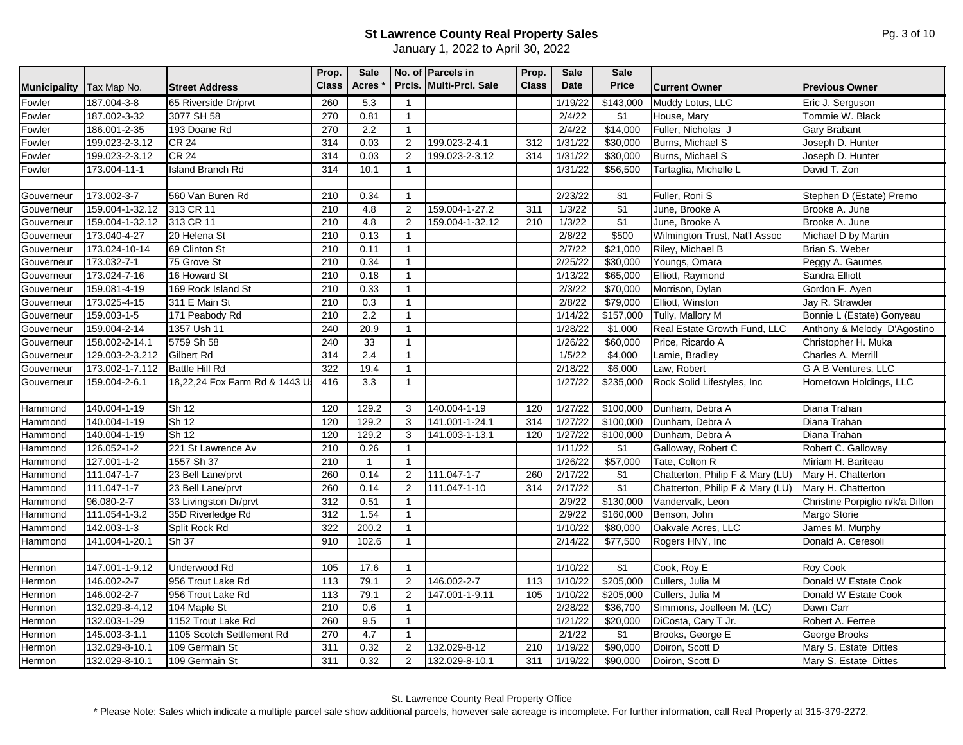January 1, 2022 to April 30, 2022

|                     |                   |                               | Prop.        | Sale           |                | No. of Parcels in       | Prop.        | Sale        | <b>Sale</b> |                                  |                                  |
|---------------------|-------------------|-------------------------------|--------------|----------------|----------------|-------------------------|--------------|-------------|-------------|----------------------------------|----------------------------------|
| <b>Municipality</b> | Tax Map No.       | <b>Street Address</b>         | <b>Class</b> | <b>Acres</b>   |                | Prcls. Multi-Prcl. Sale | <b>Class</b> | <b>Date</b> | Price       | <b>Current Owner</b>             | <b>Previous Owner</b>            |
| Fowler              | 187.004-3-8       | 65 Riverside Dr/prvt          | 260          | 5.3            | $\overline{1}$ |                         |              | 1/19/22     | \$143,000   | Muddy Lotus, LLC                 | Eric J. Serguson                 |
| Fowler              | 187.002-3-32      | 3077 SH 58                    | 270          | 0.81           | $\mathbf{1}$   |                         |              | 2/4/22      | $\sqrt{31}$ | House, Mary                      | Tommie W. Black                  |
| Fowler              | 186.001-2-35      | 193 Doane Rd                  | 270          | 2.2            | $\mathbf{1}$   |                         |              | 2/4/22      | \$14,000    | Fuller, Nicholas J               | Gary Brabant                     |
| Fowler              | 199.023-2-3.12    | <b>CR 24</b>                  | 314          | 0.03           | 2              | 199.023-2-4.1           | 312          | 1/31/22     | \$30,000    | Burns, Michael S                 | Joseph D. Hunter                 |
| Fowler              | 199.023-2-3.12    | CR <sub>24</sub>              | 314          | 0.03           | $\overline{2}$ | 199.023-2-3.12          | 314          | 1/31/22     | \$30,000    | Burns, Michael S                 | Joseph D. Hunter                 |
| Fowler              | 173.004-11-1      | <b>Island Branch Rd</b>       | 314          | 10.1           | $\overline{1}$ |                         |              | 1/31/22     | \$56,500    | Tartaglia, Michelle L            | David T. Zon                     |
|                     |                   |                               |              |                |                |                         |              |             |             |                                  |                                  |
| Gouverneur          | 173.002-3-7       | 560 Van Buren Rd              | 210          | 0.34           | $\mathbf{1}$   |                         |              | 2/23/22     | $\sqrt{$1}$ | Fuller, Roni S                   | Stephen D (Estate) Premo         |
| Gouverneur          | 159.004-1-32.12   | 313 CR 11                     | 210          | 4.8            | 2              | 159.004-1-27.2          | 311          | 1/3/22      | \$1         | June, Brooke A                   | Brooke A. June                   |
| Gouverneur          | 159.004-1-32.12   | 313 CR 11                     | 210          | 4.8            | $\overline{2}$ | 159.004-1-32.12         | 210          | 1/3/22      | $\sqrt{$1}$ | June, Brooke A                   | Brooke A. June                   |
| Gouverneur          | 173.040-4-27      | 20 Helena St                  | 210          | 0.13           | $\mathbf{1}$   |                         |              | 2/8/22      | \$500       | Wilmington Trust, Nat'l Assoc    | Michael D by Martin              |
| Gouverneur          | 173.024-10-14     | 69 Clinton St                 | 210          | 0.11           | $\mathbf{1}$   |                         |              | 2/7/22      | \$21,000    | Riley, Michael B                 | Brian S. Weber                   |
| Gouverneur          | 173.032-7-1       | 75 Grove St                   | 210          | 0.34           | $\overline{1}$ |                         |              | 2/25/22     | \$30,000    | Youngs, Omara                    | Peggy A. Gaumes                  |
| Gouverneur          | 173.024-7-16      | 16 Howard St                  | 210          | 0.18           | $\mathbf{1}$   |                         |              | 1/13/22     | \$65,000    | Elliott, Raymond                 | Sandra Elliott                   |
| Gouverneur          | 159.081-4-19      | 169 Rock Island St            | 210          | 0.33           | $\overline{1}$ |                         |              | 2/3/22      | \$70,000    | Morrison, Dylan                  | Gordon F. Ayen                   |
| Gouverneur          | 173.025-4-15      | 311 E Main St                 | 210          | 0.3            | $\mathbf{1}$   |                         |              | 2/8/22      | \$79,000    | Elliott, Winston                 | Jay R. Strawder                  |
| Gouverneur          | 159.003-1-5       | 171 Peabody Rd                | 210          | 2.2            | $\mathbf{1}$   |                         |              | 1/14/22     | \$157,000   | Tully, Mallory M                 | Bonnie L (Estate) Gonyeau        |
| Gouverneur          | 159.004-2-14      | 1357 Ush 11                   | 240          | 20.9           | $\overline{1}$ |                         |              | 1/28/22     | \$1,000     | Real Estate Growth Fund, LLC     | Anthony & Melody D'Agostino      |
| Gouverneur          | 158.002-2-14.1    | 5759 Sh 58                    | 240          | 33             | $\overline{1}$ |                         |              | 1/26/22     | \$60,000    | Price, Ricardo A                 | Christopher H. Muka              |
| Gouverneur          | 129.003-2-3.212   | Gilbert Rd                    | 314          | 2.4            | $\overline{1}$ |                         |              | 1/5/22      | \$4,000     | Lamie, Bradley                   | Charles A. Merrill               |
| Gouverneur          | 173.002-1-7.112   | <b>Battle Hill Rd</b>         | 322          | 19.4           | $\mathbf{1}$   |                         |              | 2/18/22     | \$6,000     | Law, Robert                      | G A B Ventures, LLC              |
| Gouverneur          | 159.004-2-6.1     | 18,22,24 Fox Farm Rd & 1443 U | 416          | 3.3            | $\mathbf{1}$   |                         |              | 1/27/22     | \$235,000   | Rock Solid Lifestyles, Inc       | Hometown Holdings, LLC           |
|                     |                   |                               |              |                |                |                         |              |             |             |                                  |                                  |
| Hammond             | 140.004-1-19      | Sh <sub>12</sub>              | 120          | 129.2          | 3              | 140.004-1-19            | 120          | 1/27/22     | \$100,000   | Dunham, Debra A                  | Diana Trahan                     |
| Hammond             | 140.004-1-19      | Sh <sub>12</sub>              | 120          | 129.2          | 3              | 141.001-1-24.1          | 314          | 1/27/22     | \$100,000   | Dunham, Debra A                  | Diana Trahan                     |
| Hammond             | 140.004-1-19      | $\overline{\text{Sh }12}$     | 120          | 129.2          | 3              | 141.003-1-13.1          | 120          | 1/27/22     | \$100,000   | Dunham, Debra A                  | Diana Trahan                     |
| Hammond             | $126.052 - 1 - 2$ | 221 St Lawrence Av            | 210          | 0.26           | $\mathbf{1}$   |                         |              | 1/11/22     | \$1         | Galloway, Robert C               | Robert C. Galloway               |
| Hammond             | $127.001 - 1 - 2$ | 1557 Sh 37                    | 210          | $\overline{1}$ | $\overline{1}$ |                         |              | 1/26/22     | \$57,000    | Tate, Colton R                   | Miriam H. Bariteau               |
| Hammond             | 111.047-1-7       | 23 Bell Lane/prvt             | 260          | 0.14           | 2              | 111.047-1-7             | 260          | 2/17/22     | \$1         | Chatterton, Philip F & Mary (LU) | Mary H. Chatterton               |
| Hammond             | 111.047-1-7       | 23 Bell Lane/prvt             | 260          | 0.14           | $\overline{2}$ | 111.047-1-10            | 314          | 2/17/22     | \$1         | Chatterton, Philip F & Mary (LU) | Mary H. Chatterton               |
| Hammond             | 96.080-2-7        | 33 Livingston Dr/prvt         | 312          | 0.51           | -1             |                         |              | 2/9/22      | \$130,000   | Vandervalk, Leon                 | Christine Porpiglio n/k/a Dillon |
| Hammond             | 111.054-1-3.2     | 35D Riverledge Rd             | 312          | 1.54           | $\mathbf{1}$   |                         |              | 2/9/22      | \$160,000   | Benson, John                     | Margo Storie                     |
| Hammond             | 142.003-1-3       | Split Rock Rd                 | 322          | 200.2          | $\overline{1}$ |                         |              | 1/10/22     | \$80,000    | Oakvale Acres, LLC               | James M. Murphy                  |
| Hammond             | 141.004-1-20.1    | Sh 37                         | 910          | 102.6          | $\overline{1}$ |                         |              | 2/14/22     | \$77,500    | Rogers HNY, Inc                  | Donald A. Ceresoli               |
|                     |                   |                               |              |                |                |                         |              |             |             |                                  |                                  |
| Hermon              | 147.001-1-9.12    | Underwood Rd                  | 105          | 17.6           | $\mathbf{1}$   |                         |              | 1/10/22     | \$1         | Cook, Roy E                      | Roy Cook                         |
| Hermon              | 146.002-2-7       | 956 Trout Lake Rd             | 113          | 79.1           | $\overline{2}$ | 146.002-2-7             | 113          | 1/10/22     | \$205,000   | Cullers, Julia M                 | Donald W Estate Cook             |
| Hermon              | 146.002-2-7       | 956 Trout Lake Rd             | 113          | 79.1           | 2              | 147.001-1-9.11          | 105          | 1/10/22     | \$205,000   | Cullers, Julia M                 | Donald W Estate Cook             |
| Hermon              | 132.029-8-4.12    | 104 Maple St                  | 210          | 0.6            | -1             |                         |              | 2/28/22     | \$36,700    | Simmons, Joelleen M. (LC)        | Dawn Carr                        |
| Hermon              | 132.003-1-29      | 1152 Trout Lake Rd            | 260          | 9.5            | $\mathbf{1}$   |                         |              | 1/21/22     | \$20,000    | DiCosta, Cary T Jr.              | Robert A. Ferree                 |
| Hermon              | 145.003-3-1.1     | 1105 Scotch Settlement Rd     | 270          | 4.7            | $\mathbf{1}$   |                         |              | 2/1/22      | \$1         | Brooks, George E                 | George Brooks                    |
| Hermon              | 132.029-8-10.1    | 109 Germain St                | 311          | 0.32           | 2              | 132.029-8-12            | 210          | 1/19/22     | \$90,000    | Doiron, Scott D                  | Mary S. Estate Dittes            |
| Hermon              | 132.029-8-10.1    | 109 Germain St                | 311          | 0.32           | 2              | 132.029-8-10.1          | 311          | 1/19/22     | \$90,000    | Doiron, Scott D                  | Mary S. Estate Dittes            |

St. Lawrence County Real Property Office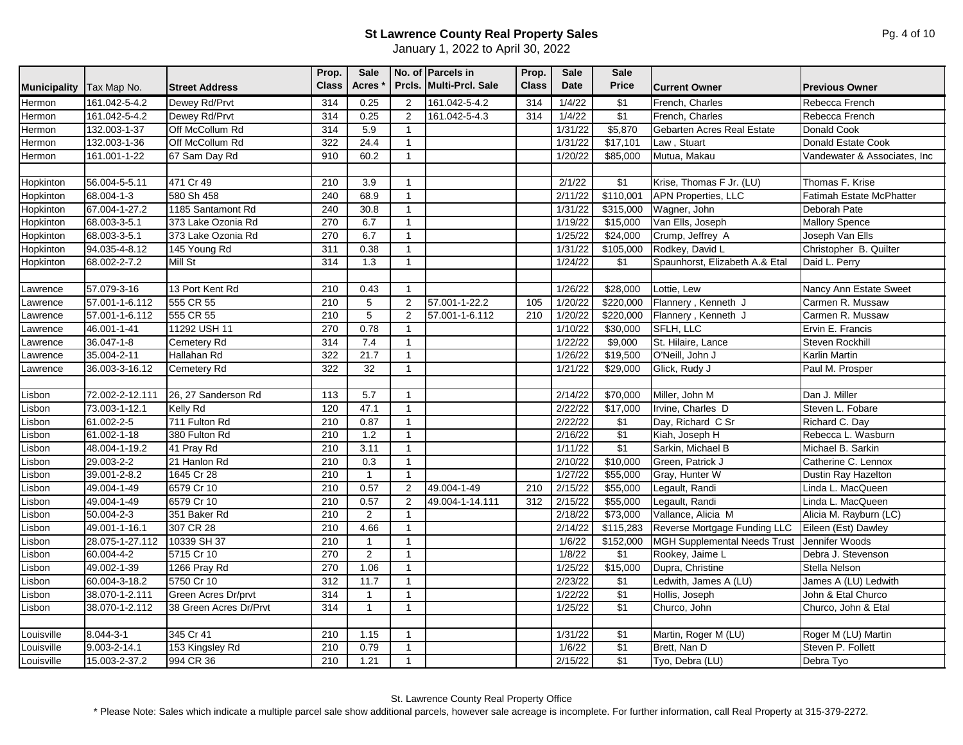| Prcls. Multi-Prcl. Sale<br><b>Class</b><br><b>Date</b><br><b>Class</b><br><b>Acres</b><br><b>Price</b><br>Municipality<br>Tax Map No.<br><b>Street Address</b><br><b>Current Owner</b><br><b>Previous Owner</b><br>161.042-5-4.2<br>Dewey Rd/Prvt<br>314<br>0.25<br>161.042-5-4.2<br>1/4/22<br>\$1<br>French. Charles<br>Hermon<br>2<br>314<br>Rebecca French<br>$\sqrt{31}$<br>161.042-5-4.2<br>Dewey Rd/Prvt<br>314<br>0.25<br>161.042-5-4.3<br>314<br>1/4/22<br>French, Charles<br>Hermon<br>Rebecca French<br>2<br>\$5,870<br>132.003-1-37<br>Off McCollum Rd<br>314<br>5.9<br>1/31/22<br>Gebarten Acres Real Estate<br>Hermon<br>$\overline{1}$<br><b>Donald Cook</b><br>322<br>24.4<br>\$17,101<br>Donald Estate Cook<br>132.003-1-36<br>Off McCollum Rd<br>1/31/22<br>Law, Stuart<br>Hermon<br>$\mathbf{1}$<br>910<br>60.2<br>\$85,000<br>161.001-1-22<br>67 Sam Day Rd<br>1/20/22<br>Mutua, Makau<br>Hermon<br>$\mathbf{1}$<br>471 Cr 49<br>\$1<br>Krise, Thomas F Jr. (LU)<br>Thomas F. Krise<br>Hopkinton<br>56.004-5-5.11<br>210<br>3.9<br>2/1/22<br>-1<br><b>APN Properties, LLC</b><br>580 Sh 458<br>\$110,001<br>68.004-1-3<br>240<br>68.9<br>2/11/22<br><b>Fatimah Estate McPhatter</b><br>Hopkinton<br>$\mathbf{1}$<br>1185 Santamont Rd<br>240<br>30.8<br>Hopkinton<br>67.004-1-27.2<br>1/31/22<br>\$315,000<br>Wagner, John<br>Deborah Pate<br>$\mathbf{1}$<br>Hopkinton<br>68.003-3-5.1<br>373 Lake Ozonia Rd<br>270<br>6.7<br>$\mathbf{1}$<br>1/19/22<br>\$15,000<br>Van Ells, Joseph<br><b>Mallory Spence</b><br>270<br>6.7<br>\$24,000<br>Joseph Van Ells<br>Hopkinton<br>68.003-3-5.1<br>373 Lake Ozonia Rd<br>1/25/22<br>Crump, Jeffrey A<br>$\overline{1}$<br>0.38<br>Rodkey, David L<br>Christopher B. Quilter<br>Hopkinton<br>94.035-4-8.12<br>145 Young Rd<br>311<br>1/31/22<br>\$105,000<br>$\mathbf{1}$ |           |              |         | Prop. | <b>Sale</b> |              | No. of Parcels in | Prop. | <b>Sale</b> | <b>Sale</b> |                                |                              |
|---------------------------------------------------------------------------------------------------------------------------------------------------------------------------------------------------------------------------------------------------------------------------------------------------------------------------------------------------------------------------------------------------------------------------------------------------------------------------------------------------------------------------------------------------------------------------------------------------------------------------------------------------------------------------------------------------------------------------------------------------------------------------------------------------------------------------------------------------------------------------------------------------------------------------------------------------------------------------------------------------------------------------------------------------------------------------------------------------------------------------------------------------------------------------------------------------------------------------------------------------------------------------------------------------------------------------------------------------------------------------------------------------------------------------------------------------------------------------------------------------------------------------------------------------------------------------------------------------------------------------------------------------------------------------------------------------------------------------------------------------------------------------------------------------------------------------------------|-----------|--------------|---------|-------|-------------|--------------|-------------------|-------|-------------|-------------|--------------------------------|------------------------------|
|                                                                                                                                                                                                                                                                                                                                                                                                                                                                                                                                                                                                                                                                                                                                                                                                                                                                                                                                                                                                                                                                                                                                                                                                                                                                                                                                                                                                                                                                                                                                                                                                                                                                                                                                                                                                                                       |           |              |         |       |             |              |                   |       |             |             |                                |                              |
|                                                                                                                                                                                                                                                                                                                                                                                                                                                                                                                                                                                                                                                                                                                                                                                                                                                                                                                                                                                                                                                                                                                                                                                                                                                                                                                                                                                                                                                                                                                                                                                                                                                                                                                                                                                                                                       |           |              |         |       |             |              |                   |       |             |             |                                |                              |
|                                                                                                                                                                                                                                                                                                                                                                                                                                                                                                                                                                                                                                                                                                                                                                                                                                                                                                                                                                                                                                                                                                                                                                                                                                                                                                                                                                                                                                                                                                                                                                                                                                                                                                                                                                                                                                       |           |              |         |       |             |              |                   |       |             |             |                                |                              |
|                                                                                                                                                                                                                                                                                                                                                                                                                                                                                                                                                                                                                                                                                                                                                                                                                                                                                                                                                                                                                                                                                                                                                                                                                                                                                                                                                                                                                                                                                                                                                                                                                                                                                                                                                                                                                                       |           |              |         |       |             |              |                   |       |             |             |                                |                              |
|                                                                                                                                                                                                                                                                                                                                                                                                                                                                                                                                                                                                                                                                                                                                                                                                                                                                                                                                                                                                                                                                                                                                                                                                                                                                                                                                                                                                                                                                                                                                                                                                                                                                                                                                                                                                                                       |           |              |         |       |             |              |                   |       |             |             |                                |                              |
|                                                                                                                                                                                                                                                                                                                                                                                                                                                                                                                                                                                                                                                                                                                                                                                                                                                                                                                                                                                                                                                                                                                                                                                                                                                                                                                                                                                                                                                                                                                                                                                                                                                                                                                                                                                                                                       |           |              |         |       |             |              |                   |       |             |             |                                | Vandewater & Associates, Inc |
|                                                                                                                                                                                                                                                                                                                                                                                                                                                                                                                                                                                                                                                                                                                                                                                                                                                                                                                                                                                                                                                                                                                                                                                                                                                                                                                                                                                                                                                                                                                                                                                                                                                                                                                                                                                                                                       |           |              |         |       |             |              |                   |       |             |             |                                |                              |
|                                                                                                                                                                                                                                                                                                                                                                                                                                                                                                                                                                                                                                                                                                                                                                                                                                                                                                                                                                                                                                                                                                                                                                                                                                                                                                                                                                                                                                                                                                                                                                                                                                                                                                                                                                                                                                       |           |              |         |       |             |              |                   |       |             |             |                                |                              |
|                                                                                                                                                                                                                                                                                                                                                                                                                                                                                                                                                                                                                                                                                                                                                                                                                                                                                                                                                                                                                                                                                                                                                                                                                                                                                                                                                                                                                                                                                                                                                                                                                                                                                                                                                                                                                                       |           |              |         |       |             |              |                   |       |             |             |                                |                              |
|                                                                                                                                                                                                                                                                                                                                                                                                                                                                                                                                                                                                                                                                                                                                                                                                                                                                                                                                                                                                                                                                                                                                                                                                                                                                                                                                                                                                                                                                                                                                                                                                                                                                                                                                                                                                                                       |           |              |         |       |             |              |                   |       |             |             |                                |                              |
|                                                                                                                                                                                                                                                                                                                                                                                                                                                                                                                                                                                                                                                                                                                                                                                                                                                                                                                                                                                                                                                                                                                                                                                                                                                                                                                                                                                                                                                                                                                                                                                                                                                                                                                                                                                                                                       |           |              |         |       |             |              |                   |       |             |             |                                |                              |
|                                                                                                                                                                                                                                                                                                                                                                                                                                                                                                                                                                                                                                                                                                                                                                                                                                                                                                                                                                                                                                                                                                                                                                                                                                                                                                                                                                                                                                                                                                                                                                                                                                                                                                                                                                                                                                       |           |              |         |       |             |              |                   |       |             |             |                                |                              |
|                                                                                                                                                                                                                                                                                                                                                                                                                                                                                                                                                                                                                                                                                                                                                                                                                                                                                                                                                                                                                                                                                                                                                                                                                                                                                                                                                                                                                                                                                                                                                                                                                                                                                                                                                                                                                                       |           |              |         |       |             |              |                   |       |             |             |                                |                              |
|                                                                                                                                                                                                                                                                                                                                                                                                                                                                                                                                                                                                                                                                                                                                                                                                                                                                                                                                                                                                                                                                                                                                                                                                                                                                                                                                                                                                                                                                                                                                                                                                                                                                                                                                                                                                                                       | Hopkinton | 68.002-2-7.2 | Mill St | 314   | 1.3         | $\mathbf{1}$ |                   |       | 1/24/22     | \$1         | Spaunhorst, Elizabeth A.& Etal | Daid L. Perry                |
|                                                                                                                                                                                                                                                                                                                                                                                                                                                                                                                                                                                                                                                                                                                                                                                                                                                                                                                                                                                                                                                                                                                                                                                                                                                                                                                                                                                                                                                                                                                                                                                                                                                                                                                                                                                                                                       |           |              |         |       |             |              |                   |       |             |             |                                |                              |
| 57.079-3-16<br>13 Port Kent Rd<br>210<br>0.43<br>1/26/22<br>\$28,000<br>Nancy Ann Estate Sweet<br>$\mathbf{1}$<br>Lottie, Lew<br>Lawrence                                                                                                                                                                                                                                                                                                                                                                                                                                                                                                                                                                                                                                                                                                                                                                                                                                                                                                                                                                                                                                                                                                                                                                                                                                                                                                                                                                                                                                                                                                                                                                                                                                                                                             |           |              |         |       |             |              |                   |       |             |             |                                |                              |
| 5<br>57.001-1-22.2<br>\$220,000<br>Flannery, Kenneth J<br>57.001-1-6.112<br>555 CR 55<br>210<br>2<br>105<br>1/20/22<br>Carmen R. Mussaw<br>Lawrence                                                                                                                                                                                                                                                                                                                                                                                                                                                                                                                                                                                                                                                                                                                                                                                                                                                                                                                                                                                                                                                                                                                                                                                                                                                                                                                                                                                                                                                                                                                                                                                                                                                                                   |           |              |         |       |             |              |                   |       |             |             |                                |                              |
| $\overline{5}$<br>\$220,000<br>57.001-1-6.112<br>555 CR 55<br>210<br>2<br>57.001-1-6.112<br>210<br>1/20/22<br>Flannery, Kenneth J<br>Carmen R. Mussaw<br>_awrence                                                                                                                                                                                                                                                                                                                                                                                                                                                                                                                                                                                                                                                                                                                                                                                                                                                                                                                                                                                                                                                                                                                                                                                                                                                                                                                                                                                                                                                                                                                                                                                                                                                                     |           |              |         |       |             |              |                   |       |             |             |                                |                              |
| 11292 USH 11<br>270<br>0.78<br>\$30,000<br>SFLH, LLC<br>46.001-1-41<br>1/10/22<br>Ervin E. Francis<br>Lawrence<br>$\mathbf{1}$                                                                                                                                                                                                                                                                                                                                                                                                                                                                                                                                                                                                                                                                                                                                                                                                                                                                                                                                                                                                                                                                                                                                                                                                                                                                                                                                                                                                                                                                                                                                                                                                                                                                                                        |           |              |         |       |             |              |                   |       |             |             |                                |                              |
| 36.047-1-8<br><b>Cemetery Rd</b><br>7.4<br>1/22/22<br>\$9,000<br>St. Hilaire, Lance<br>Steven Rockhill<br>314<br>Lawrence<br>$\mathbf{1}$                                                                                                                                                                                                                                                                                                                                                                                                                                                                                                                                                                                                                                                                                                                                                                                                                                                                                                                                                                                                                                                                                                                                                                                                                                                                                                                                                                                                                                                                                                                                                                                                                                                                                             |           |              |         |       |             |              |                   |       |             |             |                                |                              |
| 35.004-2-11<br>Hallahan Rd<br>322<br>\$19,500<br>O'Neill, John J<br>21.7<br>$\overline{1}$<br>1/26/22<br>Karlin Martin<br>Lawrence                                                                                                                                                                                                                                                                                                                                                                                                                                                                                                                                                                                                                                                                                                                                                                                                                                                                                                                                                                                                                                                                                                                                                                                                                                                                                                                                                                                                                                                                                                                                                                                                                                                                                                    |           |              |         |       |             |              |                   |       |             |             |                                |                              |
| 322<br>32<br>\$29,000<br>36.003-3-16.12<br>1/21/22<br>Glick, Rudy J<br>Paul M. Prosper<br>Lawrence<br><b>Cemetery Rd</b><br>$\mathbf{1}$                                                                                                                                                                                                                                                                                                                                                                                                                                                                                                                                                                                                                                                                                                                                                                                                                                                                                                                                                                                                                                                                                                                                                                                                                                                                                                                                                                                                                                                                                                                                                                                                                                                                                              |           |              |         |       |             |              |                   |       |             |             |                                |                              |
|                                                                                                                                                                                                                                                                                                                                                                                                                                                                                                                                                                                                                                                                                                                                                                                                                                                                                                                                                                                                                                                                                                                                                                                                                                                                                                                                                                                                                                                                                                                                                                                                                                                                                                                                                                                                                                       |           |              |         |       |             |              |                   |       |             |             |                                |                              |
| Dan J. Miller<br>26, 27 Sanderson Rd<br>113<br>5.7<br>\$70,000<br>Miller, John M<br>Lisbon<br>72.002-2-12.111<br>2/14/22<br>$\mathbf{1}$                                                                                                                                                                                                                                                                                                                                                                                                                                                                                                                                                                                                                                                                                                                                                                                                                                                                                                                                                                                                                                                                                                                                                                                                                                                                                                                                                                                                                                                                                                                                                                                                                                                                                              |           |              |         |       |             |              |                   |       |             |             |                                |                              |
| Lisbon<br>73.003-1-12.1<br>Kelly Rd<br>120<br>47.1<br>2/22/22<br>\$17,000<br>Irvine, Charles D<br>Steven L. Fobare<br>$\overline{1}$                                                                                                                                                                                                                                                                                                                                                                                                                                                                                                                                                                                                                                                                                                                                                                                                                                                                                                                                                                                                                                                                                                                                                                                                                                                                                                                                                                                                                                                                                                                                                                                                                                                                                                  |           |              |         |       |             |              |                   |       |             |             |                                |                              |
| 61.002-2-5<br>711 Fulton Rd<br>210<br>0.87<br>2/22/22<br>$\sqrt{$1}$<br>Day, Richard C Sr<br>Richard C. Day<br>Lisbon<br>$\mathbf{1}$                                                                                                                                                                                                                                                                                                                                                                                                                                                                                                                                                                                                                                                                                                                                                                                                                                                                                                                                                                                                                                                                                                                                                                                                                                                                                                                                                                                                                                                                                                                                                                                                                                                                                                 |           |              |         |       |             |              |                   |       |             |             |                                |                              |
| $\overline{\$1}$<br>61.002-1-18<br>380 Fulton Rd<br>1.2<br>Rebecca L. Wasburn<br>210<br>2/16/22<br>Kiah, Joseph H<br>Lisbon<br>$\overline{1}$                                                                                                                                                                                                                                                                                                                                                                                                                                                                                                                                                                                                                                                                                                                                                                                                                                                                                                                                                                                                                                                                                                                                                                                                                                                                                                                                                                                                                                                                                                                                                                                                                                                                                         |           |              |         |       |             |              |                   |       |             |             |                                |                              |
| \$1<br>Michael B. Sarkin<br>Lisbon<br>48.004-1-19.2<br>41 Pray Rd<br>210<br>3.11<br>1/11/22<br>Sarkin, Michael B<br>$\mathbf{1}$                                                                                                                                                                                                                                                                                                                                                                                                                                                                                                                                                                                                                                                                                                                                                                                                                                                                                                                                                                                                                                                                                                                                                                                                                                                                                                                                                                                                                                                                                                                                                                                                                                                                                                      |           |              |         |       |             |              |                   |       |             |             |                                |                              |
| \$10,000<br>Lisbon<br>29.003-2-2<br>21 Hanlon Rd<br>210<br>0.3<br>2/10/22<br>Green, Patrick J<br>Catherine C. Lennox<br>$\mathbf{1}$                                                                                                                                                                                                                                                                                                                                                                                                                                                                                                                                                                                                                                                                                                                                                                                                                                                                                                                                                                                                                                                                                                                                                                                                                                                                                                                                                                                                                                                                                                                                                                                                                                                                                                  |           |              |         |       |             |              |                   |       |             |             |                                |                              |
| 1645 Cr 28<br>\$55,000<br>39.001-2-8.2<br>210<br>$\mathbf{1}$<br>1/27/22<br>Gray, Hunter W<br>Dustin Ray Hazelton<br>Lisbon<br>$\mathbf{1}$                                                                                                                                                                                                                                                                                                                                                                                                                                                                                                                                                                                                                                                                                                                                                                                                                                                                                                                                                                                                                                                                                                                                                                                                                                                                                                                                                                                                                                                                                                                                                                                                                                                                                           |           |              |         |       |             |              |                   |       |             |             |                                |                              |
| 0.57<br>\$55,000<br>Lisbon<br>6579 Cr 10<br>210<br>49.004-1-49<br>2/15/22<br>Legault, Randi<br>49.004-1-49<br>$\overline{2}$<br>210<br>Linda L. MacQueen                                                                                                                                                                                                                                                                                                                                                                                                                                                                                                                                                                                                                                                                                                                                                                                                                                                                                                                                                                                                                                                                                                                                                                                                                                                                                                                                                                                                                                                                                                                                                                                                                                                                              |           |              |         |       |             |              |                   |       |             |             |                                |                              |
| 0.57<br>\$55,000<br>Lisbon<br>49.004-1-49<br>6579 Cr 10<br>210<br>$\overline{2}$<br>49.004-1-14.111<br>312<br>2/15/22<br>Legault, Randi<br>Linda L. MacQueen                                                                                                                                                                                                                                                                                                                                                                                                                                                                                                                                                                                                                                                                                                                                                                                                                                                                                                                                                                                                                                                                                                                                                                                                                                                                                                                                                                                                                                                                                                                                                                                                                                                                          |           |              |         |       |             |              |                   |       |             |             |                                |                              |
| \$73,000<br>$50.004 - 2 - 3$<br>351 Baker Rd<br>210<br>2<br>2/18/22<br>Vallance, Alicia M<br>Lisbon<br>Alicia M. Rayburn (LC)<br>$\mathbf{1}$                                                                                                                                                                                                                                                                                                                                                                                                                                                                                                                                                                                                                                                                                                                                                                                                                                                                                                                                                                                                                                                                                                                                                                                                                                                                                                                                                                                                                                                                                                                                                                                                                                                                                         |           |              |         |       |             |              |                   |       |             |             |                                |                              |
| 4.66<br>Reverse Mortgage Funding LLC<br>49.001-1-16.1<br>307 CR 28<br>210<br>2/14/22<br>\$115,283<br>Lisbon<br>Eileen (Est) Dawley<br>$\mathbf{1}$                                                                                                                                                                                                                                                                                                                                                                                                                                                                                                                                                                                                                                                                                                                                                                                                                                                                                                                                                                                                                                                                                                                                                                                                                                                                                                                                                                                                                                                                                                                                                                                                                                                                                    |           |              |         |       |             |              |                   |       |             |             |                                |                              |
| 28.075-1-27.112<br>10339 SH 37<br>210<br>1/6/22<br>\$152,000<br><b>MGH Supplemental Needs Trust</b><br>Jennifer Woods<br>Lisbon<br>$\mathbf{1}$<br>$\overline{1}$                                                                                                                                                                                                                                                                                                                                                                                                                                                                                                                                                                                                                                                                                                                                                                                                                                                                                                                                                                                                                                                                                                                                                                                                                                                                                                                                                                                                                                                                                                                                                                                                                                                                     |           |              |         |       |             |              |                   |       |             |             |                                |                              |
| $\overline{2}$<br>270<br>\$1<br>Rookey, Jaime L<br>Lisbon<br>60.004-4-2<br>5715 Cr 10<br>1/8/22<br>Debra J. Stevenson<br>$\mathbf{1}$                                                                                                                                                                                                                                                                                                                                                                                                                                                                                                                                                                                                                                                                                                                                                                                                                                                                                                                                                                                                                                                                                                                                                                                                                                                                                                                                                                                                                                                                                                                                                                                                                                                                                                 |           |              |         |       |             |              |                   |       |             |             |                                |                              |
| \$15,000<br>270<br>1.06<br>1/25/22<br>Dupra, Christine<br>Stella Nelson<br>Lisbon<br>49.002-1-39<br>1266 Pray Rd<br>$\mathbf{1}$                                                                                                                                                                                                                                                                                                                                                                                                                                                                                                                                                                                                                                                                                                                                                                                                                                                                                                                                                                                                                                                                                                                                                                                                                                                                                                                                                                                                                                                                                                                                                                                                                                                                                                      |           |              |         |       |             |              |                   |       |             |             |                                |                              |
| Lisbon<br>60.004-3-18.2<br>5750 Cr 10<br>312<br>11.7<br>2/23/22<br>\$1<br>James A (LU) Ledwith<br>$\mathbf{1}$<br>Ledwith, James A (LU)                                                                                                                                                                                                                                                                                                                                                                                                                                                                                                                                                                                                                                                                                                                                                                                                                                                                                                                                                                                                                                                                                                                                                                                                                                                                                                                                                                                                                                                                                                                                                                                                                                                                                               |           |              |         |       |             |              |                   |       |             |             |                                |                              |
| \$1<br>Lisbon<br>38.070-1-2.111<br>Green Acres Dr/prvt<br>314<br>$\mathbf{1}$<br>1/22/22<br>John & Etal Churco<br>$\mathbf{1}$<br>Hollis, Joseph                                                                                                                                                                                                                                                                                                                                                                                                                                                                                                                                                                                                                                                                                                                                                                                                                                                                                                                                                                                                                                                                                                                                                                                                                                                                                                                                                                                                                                                                                                                                                                                                                                                                                      |           |              |         |       |             |              |                   |       |             |             |                                |                              |
| \$1<br>38.070-1-2.112<br>314<br>1/25/22<br>Churco, John & Etal<br>Lisbon<br>38 Green Acres Dr/Prvt<br>$\mathbf{1}$<br>Churco, John<br>$\mathbf{1}$                                                                                                                                                                                                                                                                                                                                                                                                                                                                                                                                                                                                                                                                                                                                                                                                                                                                                                                                                                                                                                                                                                                                                                                                                                                                                                                                                                                                                                                                                                                                                                                                                                                                                    |           |              |         |       |             |              |                   |       |             |             |                                |                              |
|                                                                                                                                                                                                                                                                                                                                                                                                                                                                                                                                                                                                                                                                                                                                                                                                                                                                                                                                                                                                                                                                                                                                                                                                                                                                                                                                                                                                                                                                                                                                                                                                                                                                                                                                                                                                                                       |           |              |         |       |             |              |                   |       |             |             |                                |                              |
| $8.044 - 3 - 1$<br>345 Cr 41<br>1.15<br>$\sqrt{$1}$<br>Roger M (LU) Martin<br>Louisville<br>210<br>1/31/22<br>Martin, Roger M (LU)<br>$\mathbf{1}$                                                                                                                                                                                                                                                                                                                                                                                                                                                                                                                                                                                                                                                                                                                                                                                                                                                                                                                                                                                                                                                                                                                                                                                                                                                                                                                                                                                                                                                                                                                                                                                                                                                                                    |           |              |         |       |             |              |                   |       |             |             |                                |                              |
| $\overline{\$1}$<br>210<br>0.79<br>$9.003 - 2 - 14.1$<br>153 Kingsley Rd<br>1/6/22<br>Brett, Nan D<br>Steven P. Follett<br>Louisville<br>$\mathbf{1}$                                                                                                                                                                                                                                                                                                                                                                                                                                                                                                                                                                                                                                                                                                                                                                                                                                                                                                                                                                                                                                                                                                                                                                                                                                                                                                                                                                                                                                                                                                                                                                                                                                                                                 |           |              |         |       |             |              |                   |       |             |             |                                |                              |
| \$1<br>1.21<br>15.003-2-37.2<br>994 CR 36<br>210<br>2/15/22<br>Tyo, Debra (LU)<br>Louisville<br>$\mathbf{1}$<br>Debra Tyo                                                                                                                                                                                                                                                                                                                                                                                                                                                                                                                                                                                                                                                                                                                                                                                                                                                                                                                                                                                                                                                                                                                                                                                                                                                                                                                                                                                                                                                                                                                                                                                                                                                                                                             |           |              |         |       |             |              |                   |       |             |             |                                |                              |

St. Lawrence County Real Property Office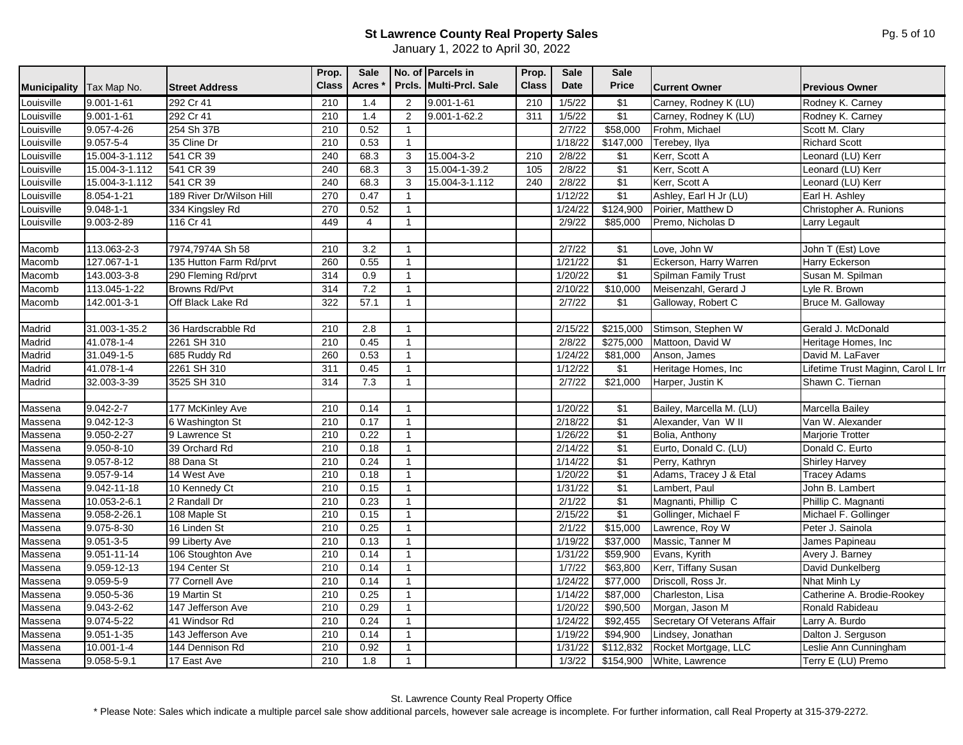|                     |                    |                          | Prop.        | <b>Sale</b>  |              | No. of Parcels in       | Prop.        | <b>Sale</b> | <b>Sale</b>      |                              |                                    |
|---------------------|--------------------|--------------------------|--------------|--------------|--------------|-------------------------|--------------|-------------|------------------|------------------------------|------------------------------------|
| <b>Municipality</b> | Tax Map No.        | <b>Street Address</b>    | <b>Class</b> | <b>Acres</b> |              | Prcls. Multi-Prcl. Sale | <b>Class</b> | Date        | <b>Price</b>     | <b>Current Owner</b>         | <b>Previous Owner</b>              |
| Louisville          | $9.001 - 1 - 61$   | 292 Cr 41                | 210          | 1.4          | 2            | $9.001 - 1 - 61$        | 210          | 1/5/22      | \$1              | Carney, Rodney K (LU)        | Rodney K. Carney                   |
| Louisville          | $9.001 - 1 - 61$   | 292 Cr 41                | 210          | 1.4          | 2            | $9.001 - 1 - 62.2$      | 311          | 1/5/22      | \$1              | Carney, Rodney K (LU)        | Rodney K. Carney                   |
| Louisville          | 9.057-4-26         | 254 Sh 37B               | 210          | 0.52         | $\mathbf{1}$ |                         |              | 2/7/22      | \$58,000         | Frohm, Michael               | Scott M. Clary                     |
| Louisville          | $9.057 - 5 - 4$    | 35 Cline Dr              | 210          | 0.53         | $\mathbf{1}$ |                         |              | 1/18/22     | \$147,000        | Terebey, Ilya                | <b>Richard Scott</b>               |
| Louisville          | 15.004-3-1.112     | 541 CR 39                | 240          | 68.3         | 3            | 15.004-3-2              | 210          | 2/8/22      | \$1              | Kerr, Scott A                | Leonard (LU) Kerr                  |
| Louisville          | 15.004-3-1.112     | 541 CR 39                | 240          | 68.3         | 3            | 15.004-1-39.2           | 105          | 2/8/22      | $\sqrt{$1}$      | Kerr, Scott A                | Leonard (LU) Kerr                  |
| _ouisville          | 15.004-3-1.112     | 541 CR 39                | 240          | 68.3         | 3            | 15.004-3-1.112          | 240          | 2/8/22      | $\sqrt{$1}$      | Kerr, Scott A                | Leonard (LU) Kerr                  |
| Louisville          | $8.054 - 1 - 21$   | 189 River Dr/Wilson Hill | 270          | 0.47         | $\mathbf{1}$ |                         |              | 1/12/22     | $\sqrt{$1}$      | Ashley, Earl H Jr (LU)       | Earl H. Ashley                     |
| Louisville          | $9.048 - 1 - 1$    | 334 Kingsley Rd          | 270          | 0.52         | $\mathbf{1}$ |                         |              | 1/24/22     | \$124,900        | Poirier, Matthew D           | Christopher A. Runions             |
| Louisville          | 9.003-2-89         | 116 Cr 41                | 449          | 4            | $\mathbf{1}$ |                         |              | 2/9/22      | \$85,000         | Premo, Nicholas D            | Larry Legault                      |
|                     |                    |                          |              |              |              |                         |              |             |                  |                              |                                    |
| Macomb              | 113.063-2-3        | 7974,7974A Sh 58         | 210          | 3.2          | $\mathbf{1}$ |                         |              | 2/7/22      | $\sqrt{$1}$      | Love, John W                 | John T (Est) Love                  |
| Macomb              | 127.067-1-1        | 135 Hutton Farm Rd/prvt  | 260          | 0.55         | $\mathbf{1}$ |                         |              | 1/21/22     | $\sqrt{$1}$      | Eckerson, Harry Warren       | Harry Eckerson                     |
| Macomb              | 143.003-3-8        | 290 Fleming Rd/prvt      | 314          | 0.9          | $\mathbf{1}$ |                         |              | 1/20/22     | $\sqrt{$1}$      | Spilman Family Trust         | Susan M. Spilman                   |
| Macomb              | 113.045-1-22       | <b>Browns Rd/Pvt</b>     | 314          | 7.2          | $\mathbf{1}$ |                         |              | 2/10/22     | \$10,000         | Meisenzahl, Gerard J         | Lyle R. Brown                      |
| Macomb              | 142.001-3-1        | Off Black Lake Rd        | 322          | 57.1         | $\mathbf{1}$ |                         |              | 2/7/22      | \$1              | Galloway, Robert C           | Bruce M. Galloway                  |
|                     |                    |                          |              |              |              |                         |              |             |                  |                              |                                    |
| Madrid              | 31.003-1-35.2      | 36 Hardscrabble Rd       | 210          | 2.8          | $\mathbf{1}$ |                         |              | 2/15/22     | \$215,000        | Stimson, Stephen W           | Gerald J. McDonald                 |
| Madrid              | 41.078-1-4         | 2261 SH 310              | 210          | 0.45         | $\mathbf{1}$ |                         |              | 2/8/22      | \$275,000        | Mattoon, David W             | Heritage Homes, Inc                |
| Madrid              | $31.049 - 1 - 5$   | 685 Ruddy Rd             | 260          | 0.53         | $\mathbf{1}$ |                         |              | 1/24/22     | \$81,000         | Anson, James                 | David M. LaFaver                   |
| Madrid              | 41.078-1-4         | 2261 SH 310              | 311          | 0.45         | $\mathbf{1}$ |                         |              | 1/12/22     | $\sqrt{$1}$      | Heritage Homes, Inc.         | Lifetime Trust Maginn, Carol L Irr |
| Madrid              | 32.003-3-39        | 3525 SH 310              | 314          | 7.3          | $\mathbf{1}$ |                         |              | 2/7/22      | \$21,000         | Harper, Justin K             | Shawn C. Tiernan                   |
|                     |                    |                          |              |              |              |                         |              |             |                  |                              |                                    |
| Massena             | $9.042 - 2 - 7$    | 177 McKinley Ave         | 210          | 0.14         | $\mathbf{1}$ |                         |              | 1/20/22     | $\sqrt{$1}$      | Bailey, Marcella M. (LU)     | Marcella Bailey                    |
| Massena             | $9.042 - 12 - 3$   | 6 Washington St          | 210          | 0.17         | $\mathbf{1}$ |                         |              | 2/18/22     | $\sqrt{$1}$      | Alexander, Van W II          | Van W. Alexander                   |
| Massena             | $9.050 - 2 - 27$   | 9 Lawrence St            | 210          | 0.22         | $\mathbf{1}$ |                         |              | 1/26/22     | $\overline{\$1}$ | Bolia, Anthony               | <b>Marjorie Trotter</b>            |
| Massena             | 9.050-8-10         | 39 Orchard Rd            | 210          | 0.18         | $\mathbf{1}$ |                         |              | 2/14/22     | $\sqrt{$1}$      | Eurto, Donald C. (LU)        | Donald C. Eurto                    |
| Massena             | $9.057 - 8 - 12$   | 88 Dana St               | 210          | 0.24         | $\mathbf{1}$ |                         |              | 1/14/22     | $\sqrt{$1}$      | Perry, Kathryn               | Shirley Harvey                     |
| Massena             | $9.057 - 9 - 14$   | 14 West Ave              | 210          | 0.18         | $\mathbf{1}$ |                         |              | 1/20/22     | $\sqrt{$1}$      | Adams, Tracey J & Etal       | <b>Tracey Adams</b>                |
| Massena             | 9.042-11-18        | 10 Kennedy Ct            | 210          | 0.15         | $\mathbf{1}$ |                         |              | 1/31/22     | $\sqrt{$1}$      | Lambert, Paul                | John B. Lambert                    |
| <b>Massena</b>      | 10.053-2-6.1       | 2 Randall Dr             | 210          | 0.23         | $\mathbf{1}$ |                         |              | 2/1/22      | $\sqrt{$1}$      | Magnanti, Phillip C          | Phillip C. Magnanti                |
| Massena             | $9.058 - 2 - 26.1$ | 108 Maple St             | 210          | 0.15         | $\mathbf{1}$ |                         |              | 2/15/22     | $\sqrt{31}$      | Gollinger, Michael F         | Michael F. Gollinger               |
| Massena             | 9.075-8-30         | 16 Linden St             | 210          | 0.25         | $\mathbf{1}$ |                         |              | 2/1/22      | \$15,000         | Lawrence, Roy W              | Peter J. Sainola                   |
| Massena             | $9.051 - 3 - 5$    | 99 Liberty Ave           | 210          | 0.13         | $\mathbf{1}$ |                         |              | 1/19/22     | \$37,000         | Massic, Tanner M             | James Papineau                     |
| Massena             | $9.051 - 11 - 14$  | 106 Stoughton Ave        | 210          | 0.14         | $\mathbf{1}$ |                         |              | 1/31/22     | \$59,900         | Evans, Kyrith                | Avery J. Barney                    |
| Massena             | $9.059 - 12 - 13$  | 194 Center St            | 210          | 0.14         | $\mathbf{1}$ |                         |              | 1/7/22      | \$63,800         | Kerr, Tiffany Susan          | David Dunkelberg                   |
| Massena             | $9.059 - 5 - 9$    | 77 Cornell Ave           | 210          | 0.14         | $\mathbf{1}$ |                         |              | 1/24/22     | \$77,000         | Driscoll, Ross Jr.           | Nhat Minh Ly                       |
| Massena             | $9.050 - 5 - 36$   | 19 Martin St             | 210          | 0.25         | $\mathbf{1}$ |                         |              | 1/14/22     | \$87,000         | Charleston, Lisa             | Catherine A. Brodie-Rookey         |
| Massena             | $9.043 - 2 - 62$   | 147 Jefferson Ave        | 210          | 0.29         | $\mathbf{1}$ |                         |              | 1/20/22     | \$90,500         | Morgan, Jason M              | Ronald Rabideau                    |
| Massena             | $9.074 - 5 - 22$   | 41 Windsor Rd            | 210          | 0.24         | $\mathbf{1}$ |                         |              | 1/24/22     | \$92,455         | Secretary Of Veterans Affair | Larry A. Burdo                     |
| Massena             | $9.051 - 1 - 35$   | 143 Jefferson Ave        | 210          | 0.14         | $\mathbf{1}$ |                         |              | 1/19/22     | \$94,900         | Lindsey, Jonathan            | Dalton J. Serguson                 |
| Massena             | $10.001 - 1 - 4$   | 144 Dennison Rd          | 210          | 0.92         | $\mathbf{1}$ |                         |              | 1/31/22     | \$112,832        | Rocket Mortgage, LLC         | Leslie Ann Cunningham              |
| Massena             | 9.058-5-9.1        | 17 East Ave              | 210          | 1.8          | $\mathbf{1}$ |                         |              | 1/3/22      | \$154,900        | White, Lawrence              | Terry E (LU) Premo                 |
|                     |                    |                          |              |              |              |                         |              |             |                  |                              |                                    |

St. Lawrence County Real Property Office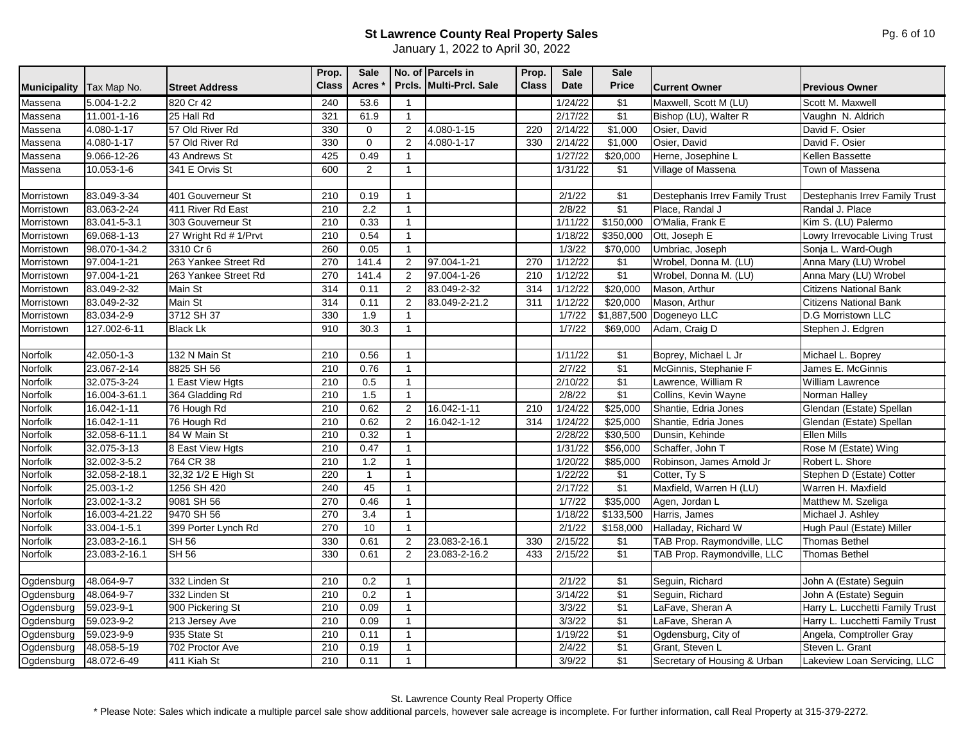|                     |                   |                       | Prop.        | <b>Sale</b>         |                | No. of Parcels in       | Prop.        | <b>Sale</b> | <b>Sale</b>      |                                |                                 |
|---------------------|-------------------|-----------------------|--------------|---------------------|----------------|-------------------------|--------------|-------------|------------------|--------------------------------|---------------------------------|
| <b>Municipality</b> | Tax Map No.       | <b>Street Address</b> | <b>Class</b> | <b>Acres</b>        |                | Prcls. Multi-Prcl. Sale | <b>Class</b> | Date        | <b>Price</b>     | <b>Current Owner</b>           | <b>Previous Owner</b>           |
| Massena             | $5.004 - 1 - 2.2$ | 820 Cr 42             | 240          | 53.6                | $\overline{1}$ |                         |              | 1/24/22     | \$1              | Maxwell, Scott M (LU)          | Scott M. Maxwell                |
| Massena             | $11.001 - 1 - 16$ | 25 Hall Rd            | 321          | 61.9                | $\mathbf{1}$   |                         |              | 2/17/22     | $\sqrt{$1}$      | Bishop (LU), Walter R          | Vaughn N. Aldrich               |
| Massena             | 4.080-1-17        | 57 Old River Rd       | 330          | $\mathbf 0$         | $\overline{2}$ | $4.080 - 1 - 15$        | 220          | 2/14/22     | \$1,000          | Osier, David                   | David F. Osier                  |
| Massena             | $4.080 - 1 - 17$  | 57 Old River Rd       | 330          | $\mathsf{O}\xspace$ | 2              | $4.080 - 1 - 17$        | 330          | 2/14/22     | \$1,000          | Osier, David                   | David F. Osier                  |
| Massena             | 9.066-12-26       | 43 Andrews St         | 425          | 0.49                | $\overline{1}$ |                         |              | 1/27/22     | \$20,000         | Herne, Josephine L             | Kellen Bassette                 |
| Massena             | 10.053-1-6        | 341 E Orvis St        | 600          | $\overline{2}$      | $\mathbf{1}$   |                         |              | 1/31/22     | \$1              | Village of Massena             | Town of Massena                 |
|                     |                   |                       |              |                     |                |                         |              |             |                  |                                |                                 |
| Morristown          | 83.049-3-34       | 401 Gouverneur St     | 210          | 0.19                | $\overline{1}$ |                         |              | 2/1/22      | $\sqrt{$1}$      | Destephanis Irrev Family Trust | Destephanis Irrev Family Trust  |
| Morristown          | 83.063-2-24       | 411 River Rd East     | 210          | 2.2                 | $\overline{1}$ |                         |              | 2/8/22      | $\sqrt{$1}$      | Place, Randal J                | Randal J. Place                 |
| Morristown          | 83.041-5-3.1      | 303 Gouverneur St     | 210          | 0.33                | $\overline{1}$ |                         |              | 1/11/22     | \$150,000        | O'Malia, Frank E               | Kim S. (LU) Palermo             |
| Morristown          | 69.068-1-13       | 27 Wright Rd # 1/Prvt | 210          | 0.54                | $\mathbf{1}$   |                         |              | 1/18/22     | \$350,000        | Ott, Joseph E                  | Lowry Irrevocable Living Trust  |
| Morristown          | 98.070-1-34.2     | 3310 Cr 6             | 260          | 0.05                | $\mathbf{1}$   |                         |              | 1/3/22      | \$70,000         | Umbriac, Joseph                | Sonja L. Ward-Ough              |
| Morristown          | 97.004-1-21       | 263 Yankee Street Rd  | 270          | 141.4               | 2              | 97.004-1-21             | 270          | 1/12/22     | $\sqrt{$1}$      | Wrobel, Donna M. (LU)          | Anna Mary (LU) Wrobel           |
| Morristown          | 97.004-1-21       | 263 Yankee Street Rd  | 270          | 141.4               | 2              | 97.004-1-26             | 210          | 1/12/22     | $\sqrt{31}$      | Wrobel, Donna M. (LU)          | Anna Mary (LU) Wrobel           |
| Morristown          | 83.049-2-32       | Main St               | 314          | 0.11                | 2              | 83.049-2-32             | 314          | 1/12/22     | \$20,000         | Mason, Arthur                  | <b>Citizens National Bank</b>   |
| Morristown          | 83.049-2-32       | Main St               | 314          | 0.11                | 2              | 83.049-2-21.2           | 311          | 1/12/22     | \$20,000         | Mason, Arthur                  | <b>Citizens National Bank</b>   |
| Morristown          | 83.034-2-9        | 3712 SH 37            | 330          | 1.9                 | $\mathbf{1}$   |                         |              | 1/7/22      |                  | \$1,887,500 Dogeneyo LLC       | D.G Morristown LLC              |
| Morristown          | 127.002-6-11      | <b>Black Lk</b>       | 910          | 30.3                | $\mathbf{1}$   |                         |              | 1/7/22      | \$69,000         | Adam, Craig D                  | Stephen J. Edgren               |
|                     |                   |                       |              |                     |                |                         |              |             |                  |                                |                                 |
| Norfolk             | 42.050-1-3        | 132 N Main St         | 210          | 0.56                | $\mathbf{1}$   |                         |              | 1/11/22     | $\sqrt{$1}$      | Boprey, Michael L Jr           | Michael L. Boprey               |
| Norfolk             | 23.067-2-14       | 8825 SH 56            | 210          | 0.76                | $\overline{1}$ |                         |              | 2/7/22      | \$1              | McGinnis, Stephanie F          | James E. McGinnis               |
| Norfolk             | 32.075-3-24       | 1 East View Hgts      | 210          | 0.5                 | $\overline{1}$ |                         |              | 2/10/22     | $\sqrt{$1}$      | Lawrence, William R            | William Lawrence                |
| Norfolk             | 16.004-3-61.1     | 364 Gladding Rd       | 210          | 1.5                 | $\overline{1}$ |                         |              | 2/8/22      | $\sqrt{$1}$      | Collins, Kevin Wayne           | Norman Halley                   |
| Norfolk             | 16.042-1-11       | 76 Hough Rd           | 210          | 0.62                | $\overline{2}$ | 16.042-1-11             | 210          | 1/24/22     | \$25,000         | Shantie, Edria Jones           | Glendan (Estate) Spellan        |
| Norfolk             | 16.042-1-11       | 76 Hough Rd           | 210          | 0.62                | 2              | 16.042-1-12             | 314          | 1/24/22     | \$25,000         | Shantie, Edria Jones           | Glendan (Estate) Spellan        |
| Norfolk             | 32.058-6-11.1     | 84 W Main St          | 210          | 0.32                | $\overline{1}$ |                         |              | 2/28/22     | \$30,500         | Dunsin, Kehinde                | <b>Ellen Mills</b>              |
| Norfolk             | 32.075-3-13       | 8 East View Hgts      | 210          | 0.47                | $\mathbf{1}$   |                         |              | 1/31/22     | \$56,000         | Schaffer, John T               | Rose M (Estate) Wing            |
| Norfolk             | 32.002-3-5.2      | 764 CR 38             | 210          | 1.2                 | $\overline{1}$ |                         |              | 1/20/22     | \$85,000         | Robinson, James Arnold Jr      | Robert L. Shore                 |
| Norfolk             | 32.058-2-18.1     | 32,32 1/2 E High St   | 220          | $\mathbf{1}$        | $\mathbf{1}$   |                         |              | 1/22/22     | $\sqrt{$1}$      | Cotter, Ty S                   | Stephen D (Estate) Cotter       |
| Norfolk             | 25.003-1-2        | 1256 SH 420           | 240          | 45                  | $\overline{1}$ |                         |              | 2/17/22     | $\sqrt{$1}$      | Maxfield, Warren H (LU)        | Warren H. Maxfield              |
| Norfolk             | 23.002-1-3.2      | 9081 SH 56            | 270          | 0.46                | $\mathbf{1}$   |                         |              | 1/7/22      | \$35,000         | Agen, Jordan L                 | Matthew M. Szeliga              |
| Norfolk             | 16.003-4-21.22    | 9470 SH 56            | 270          | 3.4                 | $\mathbf{1}$   |                         |              | 1/18/22     | \$133,500        | Harris, James                  | Michael J. Ashley               |
| Norfolk             | 33.004-1-5.1      | 399 Porter Lynch Rd   | 270          | 10                  | $\mathbf{1}$   |                         |              | 2/1/22      | \$158,000        | Halladay, Richard W            | Hugh Paul (Estate) Miller       |
| Norfolk             | 23.083-2-16.1     | <b>SH 56</b>          | 330          | 0.61                | 2              | 23.083-2-16.1           | 330          | 2/15/22     | $\sqrt{$1}$      | TAB Prop. Raymondville, LLC    | <b>Thomas Bethel</b>            |
| Norfolk             | 23.083-2-16.1     | <b>SH 56</b>          | 330          | 0.61                | 2              | 23.083-2-16.2           | 433          | 2/15/22     | $\sqrt{$1}$      | TAB Prop. Raymondville, LLC    | <b>Thomas Bethel</b>            |
|                     |                   |                       |              |                     |                |                         |              |             |                  |                                |                                 |
| Ogdensburg          | 48.064-9-7        | 332 Linden St         | 210          | 0.2                 | $\overline{1}$ |                         |              | 2/1/22      | $\sqrt{$1}$      | Seguin, Richard                | John A (Estate) Seguin          |
| Ogdensburg          | 48.064-9-7        | 332 Linden St         | 210          | 0.2                 | $\overline{1}$ |                         |              | 3/14/22     | \$1              | Seguin, Richard                | John A (Estate) Seguin          |
| Ogdensburg          | 59.023-9-1        | 900 Pickering St      | 210          | 0.09                | $\overline{1}$ |                         |              | 3/3/22      | $\sqrt{31}$      | LaFave, Sheran A               | Harry L. Lucchetti Family Trust |
| Ogdensburg          | 59.023-9-2        | 213 Jersey Ave        | 210          | 0.09                | $\mathbf{1}$   |                         |              | 3/3/22      | $\sqrt{$1}$      | LaFave, Sheran A               | Harry L. Lucchetti Family Trust |
| Ogdensburg          | 59.023-9-9        | 935 State St          | 210          | 0.11                | $\mathbf{1}$   |                         |              | 1/19/22     | \$1              | Ogdensburg, City of            | Angela, Comptroller Gray        |
| Ogdensburg          | 48.058-5-19       | 702 Proctor Ave       | 210          | 0.19                | $\mathbf{1}$   |                         |              | 2/4/22      | \$1              | Grant, Steven L                | Steven L. Grant                 |
| Ogdensburg          | 48.072-6-49       | 411 Kiah St           | 210          | 0.11                | $\overline{1}$ |                         |              | 3/9/22      | $\overline{\$1}$ | Secretary of Housing & Urban   | Lakeview Loan Servicing, LLC    |

St. Lawrence County Real Property Office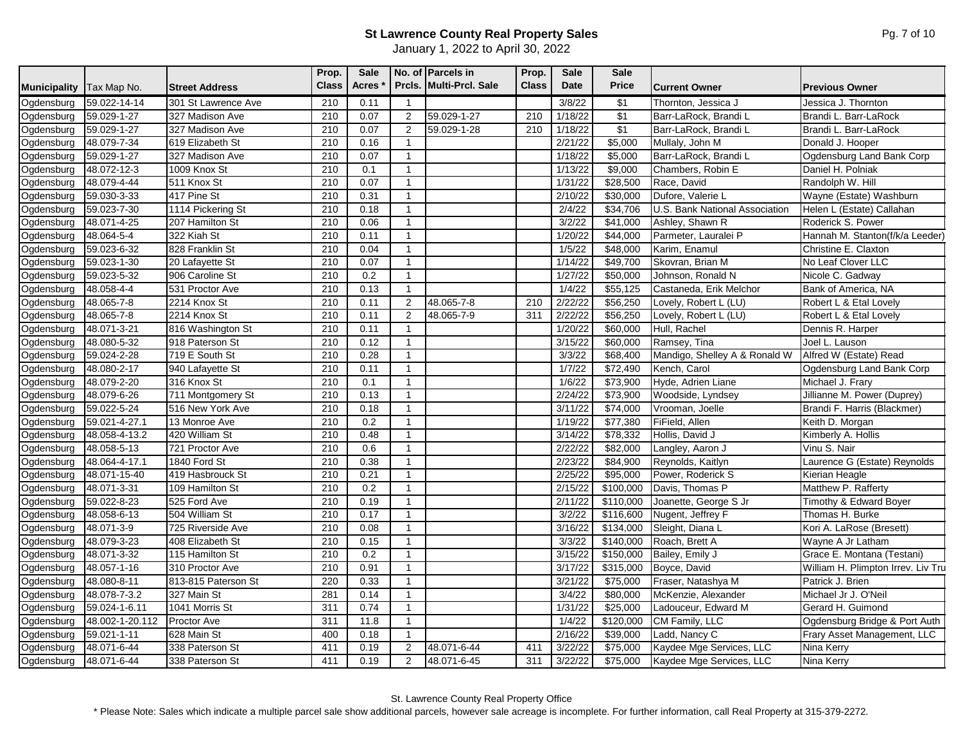| <b>Municipality</b> | Tax Map No.     | <b>Street Address</b> | Prop.<br><b>Class</b> | Sale<br><b>Acres</b> |                | No. of Parcels in<br>Prcls. Multi-Prcl. Sale | Prop.<br><b>Class</b> | <b>Sale</b><br>Date | <b>Sale</b><br><b>Price</b> | <b>Current Owner</b>           | <b>Previous Owner</b>              |
|---------------------|-----------------|-----------------------|-----------------------|----------------------|----------------|----------------------------------------------|-----------------------|---------------------|-----------------------------|--------------------------------|------------------------------------|
| Ogdensburg          | 59.022-14-14    | 301 St Lawrence Ave   | 210                   | 0.11                 | $\mathbf{1}$   |                                              |                       | 3/8/22              | \$1                         | Thornton, Jessica J            | Jessica J. Thornton                |
| Ogdensburg          | 59.029-1-27     | 327 Madison Ave       | 210                   | 0.07                 | $\overline{2}$ | 59.029-1-27                                  | 210                   | 1/18/22             | \$1                         | Barr-LaRock, Brandi L          | Brandi L. Barr-LaRock              |
| Ogdensburg          | 59.029-1-27     | 327 Madison Ave       | 210                   | 0.07                 | 2              | 59.029-1-28                                  | 210                   | 1/18/22             | \$1                         | Barr-LaRock, Brandi L          | Brandi L. Barr-LaRock              |
| Ogdensburg          | 48.079-7-34     | 619 Elizabeth St      | 210                   | 0.16                 | $\overline{1}$ |                                              |                       | 2/21/22             | \$5,000                     | Mullaly, John M                | Donald J. Hooper                   |
| Ogdensburg          | 59.029-1-27     | 327 Madison Ave       | 210                   | 0.07                 | $\mathbf{1}$   |                                              |                       | 1/18/22             | \$5,000                     | Barr-LaRock, Brandi L          | Ogdensburg Land Bank Corp          |
| Ogdensburg          | 48.072-12-3     | 1009 Knox St          | 210                   | 0.1                  | $\mathbf{1}$   |                                              |                       | 1/13/22             | \$9,000                     | Chambers, Robin E              | Daniel H. Polniak                  |
| Ogdensburg          | 48.079-4-44     | 511 Knox St           | 210                   | 0.07                 | $\mathbf{1}$   |                                              |                       | 1/31/22             | \$28,500                    | Race, David                    | Randolph W. Hill                   |
| Ogdensburg          | 59.030-3-33     | 417 Pine St           | 210                   | 0.31                 | $\mathbf{1}$   |                                              |                       | 2/10/22             | \$30,000                    | Dufore, Valerie L              | Wayne (Estate) Washburn            |
| Ogdensburg          | 59.023-7-30     | 1114 Pickering St     | 210                   | 0.18                 | $\mathbf{1}$   |                                              |                       | 2/4/22              | \$34,706                    | U.S. Bank National Association | Helen L (Estate) Callahan          |
| Ogdensburg          | 48.071-4-25     | 207 Hamilton St       | 210                   | 0.06                 | $\mathbf{1}$   |                                              |                       | 3/2/22              | \$41,000                    | Ashley, Shawn R                | Roderick S. Power                  |
| Ogdensburg          | 48.064-5-4      | 322 Kiah St           | 210                   | 0.11                 | $\mathbf{1}$   |                                              |                       | 1/20/22             | \$44,000                    | Parmeter, Lauralei P           | Hannah M. Stanton(f/k/a Leeder)    |
| Ogdensburg          | 59.023-6-32     | 828 Franklin St       | 210                   | 0.04                 | $\mathbf{1}$   |                                              |                       | 1/5/22              | \$48,000                    | Karim, Enamul                  | Christine E. Claxton               |
| Ogdensburg          | 59.023-1-30     | 20 Lafayette St       | 210                   | 0.07                 | $\mathbf{1}$   |                                              |                       | 1/14/22             | \$49,700                    | Skovran, Brian M               | No Leaf Clover LLC                 |
| Ogdensburg          | 59.023-5-32     | 906 Caroline St       | 210                   | 0.2                  | $\mathbf{1}$   |                                              |                       | 1/27/22             | \$50,000                    | Johnson, Ronald N              | Nicole C. Gadway                   |
| Ogdensburg          | 48.058-4-4      | 531 Proctor Ave       | 210                   | 0.13                 | $\mathbf{1}$   |                                              |                       | 1/4/22              | \$55,125                    | Castaneda, Erik Melchor        | Bank of America, NA                |
| Ogdensburg          | 48.065-7-8      | 2214 Knox St          | 210                   | 0.11                 | 2              | 48.065-7-8                                   | 210                   | 2/22/22             | \$56,250                    | Lovely, Robert L (LU)          | Robert L & Etal Lovely             |
| Ogdensburg          | 48.065-7-8      | 2214 Knox St          | 210                   | 0.11                 | $\overline{c}$ | 48.065-7-9                                   | 311                   | 2/22/22             | \$56,250                    | Lovely, Robert L (LU)          | Robert L & Etal Lovely             |
| Ogdensburg          | 48.071-3-21     | 816 Washington St     | 210                   | 0.11                 | $\mathbf{1}$   |                                              |                       | 1/20/22             | \$60,000                    | Hull, Rachel                   | Dennis R. Harper                   |
| Ogdensburg          | 48.080-5-32     | 918 Paterson St       | 210                   | 0.12                 | $\mathbf{1}$   |                                              |                       | 3/15/22             | \$60,000                    | Ramsey, Tina                   | Joel L. Lauson                     |
| Ogdensburg          | 59.024-2-28     | 719 E South St        | 210                   | 0.28                 | $\mathbf{1}$   |                                              |                       | 3/3/22              | \$68,400                    | Mandigo, Shelley A & Ronald W  | Alfred W (Estate) Read             |
| Ogdensburg          | 48.080-2-17     | 940 Lafayette St      | 210                   | 0.11                 | $\mathbf{1}$   |                                              |                       | 1/7/22              | \$72,490                    | Kench, Carol                   | Ogdensburg Land Bank Corp          |
| Ogdensburg          | 48.079-2-20     | 316 Knox St           | 210                   | 0.1                  | $\mathbf{1}$   |                                              |                       | 1/6/22              | \$73,900                    | Hyde, Adrien Liane             | Michael J. Frary                   |
| Ogdensburg          | 48.079-6-26     | 711 Montgomery St     | 210                   | 0.13                 | $\mathbf{1}$   |                                              |                       | 2/24/22             | \$73,900                    | Woodside, Lyndsey              | Jillianne M. Power (Duprey)        |
| Ogdensburg          | 59.022-5-24     | 516 New York Ave      | 210                   | 0.18                 | $\mathbf{1}$   |                                              |                       | 3/11/22             | \$74,000                    | Vrooman, Joelle                | Brandi F. Harris (Blackmer)        |
| Ogdensburg          | 59.021-4-27.1   | 13 Monroe Ave         | 210                   | 0.2                  | $\mathbf{1}$   |                                              |                       | 1/19/22             | \$77,380                    | FiField, Allen                 | Keith D. Morgan                    |
| Ogdensburg          | 48.058-4-13.2   | 420 William St        | 210                   | 0.48                 | $\mathbf{1}$   |                                              |                       | 3/14/22             | \$78,332                    | Hollis, David J                | Kimberly A. Hollis                 |
| Ogdensburg          | 48.058-5-13     | 721 Proctor Ave       | 210                   | 0.6                  | $\mathbf{1}$   |                                              |                       | 2/22/22             | \$82,000                    | Langley, Aaron J               | Vinu S. Nair                       |
| Ogdensburg          | 48.064-4-17.1   | 1840 Ford St          | 210                   | 0.38                 | $\mathbf{1}$   |                                              |                       | 2/23/22             | \$84,900                    | Reynolds, Kaitlyn              | Laurence G (Estate) Reynolds       |
| Ogdensburg          | 48.071-15-40    | 419 Hasbrouck St      | 210                   | 0.21                 | $\mathbf{1}$   |                                              |                       | 2/25/22             | \$95,000                    | Power, Roderick S              | Kierian Heagle                     |
| Ogdensburg          | 48.071-3-31     | 109 Hamilton St       | 210                   | 0.2                  | $\mathbf{1}$   |                                              |                       | 2/15/22             | \$100,000                   | Davis. Thomas P                | Matthew P. Rafferty                |
| Ogdensburg          | 59.022-8-23     | 525 Ford Ave          | 210                   | 0.19                 | $\mathbf{1}$   |                                              |                       | 2/11/22             | \$110,000                   | Joanette, George S Jr          | Timothy & Edward Boyer             |
| Ogdensburg          | 48.058-6-13     | 504 William St        | 210                   | 0.17                 | $\mathbf{1}$   |                                              |                       | 3/2/22              | \$116,600                   | Nugent, Jeffrey F              | Thomas H. Burke                    |
| Ogdensburg          | 48.071-3-9      | 725 Riverside Ave     | 210                   | 0.08                 | $\mathbf{1}$   |                                              |                       | 3/16/22             | \$134,000                   | Sleight, Diana L               | Kori A. LaRose (Bresett)           |
| Ogdensburg          | 48.079-3-23     | 408 Elizabeth St      | 210                   | 0.15                 | $\mathbf{1}$   |                                              |                       | 3/3/22              | \$140,000                   | Roach, Brett A                 | Wayne A Jr Latham                  |
| Ogdensburg          | 48.071-3-32     | 115 Hamilton St       | 210                   | 0.2                  | $\mathbf{1}$   |                                              |                       | 3/15/22             | \$150,000                   | Bailey, Emily J                | Grace E. Montana (Testani)         |
| Ogdensburg          | 48.057-1-16     | 310 Proctor Ave       | 210                   | 0.91                 | $\mathbf{1}$   |                                              |                       | 3/17/22             | \$315,000                   | Boyce, David                   | William H. Plimpton Irrev. Liv Tru |
| Ogdensburg          | 48.080-8-11     | 813-815 Paterson St   | 220                   | 0.33                 | $\mathbf{1}$   |                                              |                       | 3/21/22             | \$75,000                    | Fraser, Natashya M             | Patrick J. Brien                   |
| Ogdensburg          | 48.078-7-3.2    | 327 Main St           | 281                   | 0.14                 | $\mathbf{1}$   |                                              |                       | 3/4/22              | \$80,000                    | McKenzie, Alexander            | Michael Jr J. O'Neil               |
| Ogdensburg          | 59.024-1-6.11   | 1041 Morris St        | 311                   | 0.74                 | $\mathbf{1}$   |                                              |                       | 1/31/22             | \$25,000                    | Ladouceur, Edward M            | Gerard H. Guimond                  |
| Ogdensburg          | 48.002-1-20.112 | <b>Proctor Ave</b>    | 311                   | 11.8                 | $\mathbf{1}$   |                                              |                       | 1/4/22              | \$120,000                   | CM Family, LLC                 | Ogdensburg Bridge & Port Auth      |
| Ogdensburg          | 59.021-1-11     | 628 Main St           | 400                   | 0.18                 | $\mathbf{1}$   |                                              |                       | 2/16/22             | \$39,000                    | Ladd, Nancy C                  | Frary Asset Management, LLC        |
| Ogdensburg          | 48.071-6-44     | 338 Paterson St       | 411                   | 0.19                 | $\overline{2}$ | 48.071-6-44                                  | 411                   | 3/22/22             | \$75,000                    | Kaydee Mge Services, LLC       | Nina Kerry                         |
| Ogdensburg          | 48.071-6-44     | 338 Paterson St       | 411                   | 0.19                 | 2              | 48.071-6-45                                  | 311                   | 3/22/22             | \$75,000                    | Kaydee Mge Services, LLC       | Nina Kerry                         |

St. Lawrence County Real Property Office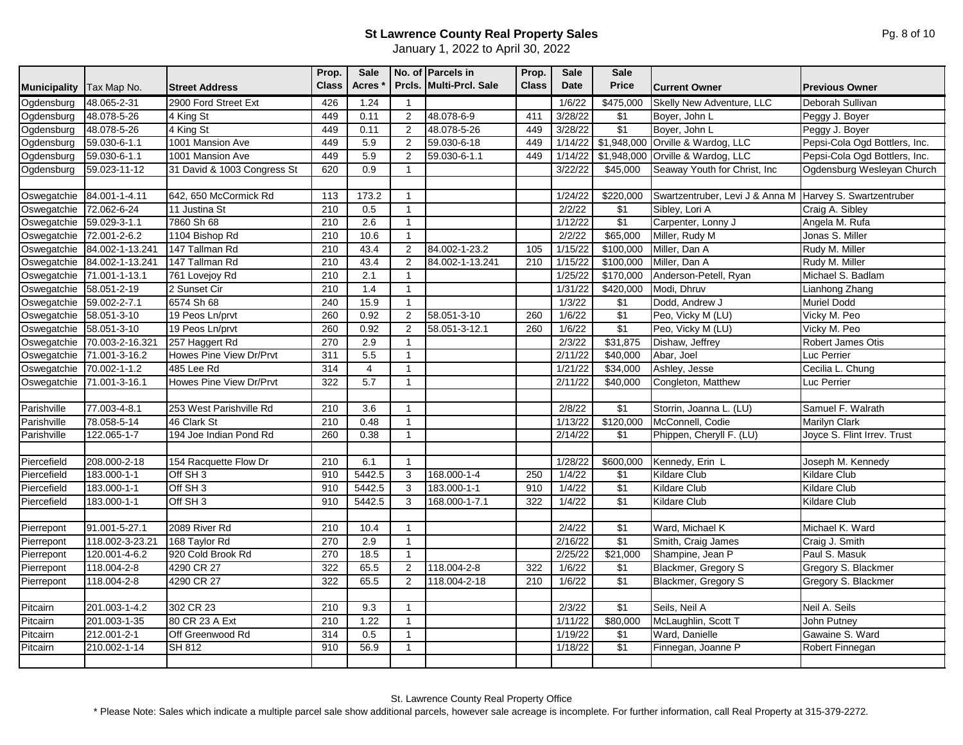January 1, 2022 to April 30, 2022

| Prcls. Multi-Prcl. Sale<br>48.065-2-31<br>2900 Ford Street Ext<br>Ogdensburg<br>426<br>1.24<br>1/6/22<br>\$475,000<br>Skelly New Adventure, LLC<br>Deborah Sullivan<br>$\overline{1}$<br>48.078-5-26<br>48.078-6-9<br>\$1<br>Ogdensburg<br>4 King St<br>449<br>0.11<br>411<br>3/28/22<br>Boyer, John L<br>Peggy J. Boyer<br>$\overline{2}$<br>\$1<br>48.078-5-26<br>Ogdensburg<br>48.078-5-26<br>4 King St<br>449<br>0.11<br>2<br>449<br>3/28/22<br>Boyer, John L<br>Peggy J. Boyer<br>\$1,948,000 Orville & Wardog, LLC<br>59.030-6-1.1<br>1001 Mansion Ave<br>449<br>5.9<br>59.030-6-18<br>1/14/22<br>Pepsi-Cola Ogd Bottlers, Inc.<br>Ogdensburg<br>$\overline{2}$<br>449<br>5.9<br>1001 Mansion Ave<br>449<br>\$1,948,000 Orville & Wardog, LLC<br>Pepsi-Cola Ogd Bottlers, Inc.<br>Ogdensburg<br>59.030-6-1.1<br>59.030-6-1.1<br>449<br>1/14/22<br>2<br>31 David & 1003 Congress St<br>0.9<br>3/22/22<br>59.023-11-12<br>620<br>\$45,000<br>Seaway Youth for Christ, Inc<br>Ogdensburg Wesleyan Church<br>Ogdensburg<br>$\overline{1}$<br>Swartzentruber, Levi J & Anna M Harvey S. Swartzentruber<br>Oswegatchie<br>84.001-1-4.11<br>642, 650 McCormick Rd<br>173.2<br>\$220,000<br>113<br>1/24/22<br>$\mathbf{1}$<br>72.062-6-24<br>210<br>0.5<br>\$1<br>Craig A. Sibley<br>11 Justina St<br>2/2/22<br>Sibley, Lori A<br>$\mathbf{1}$<br>\$1<br>59.029-3-1.1<br>7860 Sh 68<br>210<br>2.6<br>1/12/22<br>Angela M. Rufa<br>Oswegatchie<br>Carpenter, Lonny J<br>$\mathbf{1}$<br>\$65,000<br>72.001-2-6.2<br>10.6<br>Jonas S. Miller<br>1104 Bishop Rd<br>210<br>2/2/22<br>Miller, Rudy M<br>$\mathbf{1}$<br>84.002-1-13.241<br>147 Tallman Rd<br>210<br>43.4<br>84.002-1-23.2<br>1/15/22<br>\$100,000<br>Rudy M. Miller<br>2<br>105<br>Miller, Dan A<br>84.002-1-13.241<br>147 Tallman Rd<br>210<br>43.4<br>$\overline{2}$<br>84.002-1-13.241<br>1/15/22<br>\$100,000<br>Miller, Dan A<br>Rudy M. Miller<br>210<br>\$170,000<br>71.001-1-13.1<br>761 Lovejoy Rd<br>210<br>2.1<br>1/25/22<br>Anderson-Petell, Ryan<br>Michael S. Badlam<br>$\mathbf{1}$<br>58.051-2-19<br>2 Sunset Cir<br>210<br>1.4<br>1/31/22<br>\$420,000<br>Modi, Dhruv<br>Lianhong Zhang<br>$\overline{1}$<br>15.9<br>1/3/22<br>$\sqrt{$1}$<br><b>Muriel Dodd</b><br>59.002-2-7.1<br>6574 Sh 68<br>240<br>Dodd, Andrew J<br>$\mathbf{1}$<br>$\sqrt{$1}$<br>260<br>0.92<br>$\overline{2}$<br>58.051-3-10<br>1/6/22<br>58.051-3-10<br>19 Peos Ln/prvt<br>260<br>Peo, Vicky M (LU)<br>Vicky M. Peo<br>\$1<br>58.051-3-10<br>260<br>1/6/22<br>Peo, Vicky M (LU)<br>Vicky M. Peo<br>19 Peos Ln/prvt<br>0.92<br>2<br>58.051-3-12.1<br>260<br>2.9<br>\$31,875<br>Robert James Otis<br>70.003-2-16.321<br>257 Haggert Rd<br>270<br>2/3/22<br>Dishaw, Jeffrey<br>$\overline{1}$<br>71.001-3-16.2<br>Howes Pine View Dr/Prvt<br>311<br>5.5<br>2/11/22<br>\$40,000<br>Abar, Joel<br>$\overline{1}$<br>Luc Perrier<br>314<br>$\overline{4}$<br>\$34,000<br>Cecilia L. Chung<br>70.002-1-1.2<br>485 Lee Rd<br>1/21/22<br>Ashley, Jesse<br>$\mathbf{1}$<br>Howes Pine View Dr/Prvt<br>322<br>5.7<br>\$40,000<br>Congleton, Matthew<br>71.001-3-16.1<br>2/11/22<br>Luc Perrier<br>$\mathbf{1}$<br>\$1<br>77.003-4-8.1<br>253 West Parishville Rd<br>210<br>3.6<br>2/8/22<br>Storrin, Joanna L. (LU)<br>Samuel F. Walrath<br>$\mathbf{1}$<br>78.058-5-14<br>0.48<br>\$120,000<br>McConnell, Codie<br>46 Clark St<br>210<br>1/13/22<br><b>Marilyn Clark</b><br>$\mathbf{1}$<br>0.38<br>2/14/22<br>122.065-1-7<br>194 Joe Indian Pond Rd<br>260<br>\$1<br>Phippen, Cheryll F. (LU)<br>Joyce S. Flint Irrev. Trust<br>$\mathbf{1}$<br>208.000-2-18<br>154 Racquette Flow Dr<br>210<br>1/28/22<br>\$600,000<br>Kennedy, Erin L<br>Joseph M. Kennedy<br>6.1<br>$\overline{1}$<br>Off SH <sub>3</sub><br>5442.5<br>183.000-1-1<br>910<br>168.000-1-4<br>250<br>1/4/22<br>\$1<br><b>Kildare Club</b><br><b>Kildare Club</b><br>3<br>$\sqrt{$1}$<br>183.000-1-1<br>Off SH <sub>3</sub><br>5442.5<br>910<br>3<br>183.000-1-1<br>910<br>1/4/22<br><b>Kildare Club</b><br><b>Kildare Club</b><br>\$1<br>Off SH <sub>3</sub><br>5442.5<br>1/4/22<br>183.000-1-1<br>910<br>3<br>168.000-1-7.1<br>322<br>Kildare Club<br><b>Kildare Club</b><br>91.001-5-27.1<br>2089 River Rd<br>210<br>$\sqrt{$1}$<br>Ward, Michael K<br>Michael K. Ward<br>10.4<br>2/4/22<br>$\mathbf{1}$<br>\$1<br>118.002-3-23.21<br>168 Taylor Rd<br>270<br>2.9<br>2/16/22<br>$\overline{1}$<br>Smith, Craig James<br>Craig J. Smith<br>270<br>18.5<br>2/25/22<br>\$21,000<br>Shampine, Jean P<br>Paul S. Masuk<br>120.001-4-6.2<br>920 Cold Brook Rd<br>$\mathbf{1}$<br>118.004-2-8<br>4290 CR 27<br>322<br>65.5<br>118.004-2-8<br>\$1<br>Blackmer, Gregory S<br>Gregory S. Blackmer<br>Pierrepont<br>2<br>322<br>1/6/22<br>$\sqrt{$1}$<br>4290 CR 27<br>322<br>118.004-2-8<br>65.5<br>2<br>118.004-2-18<br>210<br>1/6/22<br>Blackmer, Gregory S<br>Gregory S. Blackmer<br>302 CR 23<br>Neil A. Seils<br>201.003-1-4.2<br>210<br>2/3/22<br>\$1<br>Seils, Neil A<br>9.3<br>$\mathbf{1}$<br>\$80,000<br>201.003-1-35<br>80 CR 23 A Ext<br>210<br>1.22<br>1/11/22<br>McLaughlin, Scott T<br>John Putney<br>$\mathbf{1}$<br>$212.001 - 2 - 1$<br>0.5<br>1/19/22<br>$\sqrt{$1}$<br>Ward, Danielle<br>Gawaine S. Ward<br>Off Greenwood Rd<br>314<br>$\overline{1}$<br>\$1<br><b>SH 812</b><br>910<br>56.9<br>210.002-1-14<br>1/18/22<br>Finnegan, Joanne P<br>Robert Finnegan<br>$\mathbf{1}$ |                     |             |                       | Prop.        | Sale         | No. of Parcels in | Prop.        | Sale | <b>Sale</b>  |                      |                       |
|-----------------------------------------------------------------------------------------------------------------------------------------------------------------------------------------------------------------------------------------------------------------------------------------------------------------------------------------------------------------------------------------------------------------------------------------------------------------------------------------------------------------------------------------------------------------------------------------------------------------------------------------------------------------------------------------------------------------------------------------------------------------------------------------------------------------------------------------------------------------------------------------------------------------------------------------------------------------------------------------------------------------------------------------------------------------------------------------------------------------------------------------------------------------------------------------------------------------------------------------------------------------------------------------------------------------------------------------------------------------------------------------------------------------------------------------------------------------------------------------------------------------------------------------------------------------------------------------------------------------------------------------------------------------------------------------------------------------------------------------------------------------------------------------------------------------------------------------------------------------------------------------------------------------------------------------------------------------------------------------------------------------------------------------------------------------------------------------------------------------------------------------------------------------------------------------------------------------------------------------------------------------------------------------------------------------------------------------------------------------------------------------------------------------------------------------------------------------------------------------------------------------------------------------------------------------------------------------------------------------------------------------------------------------------------------------------------------------------------------------------------------------------------------------------------------------------------------------------------------------------------------------------------------------------------------------------------------------------------------------------------------------------------------------------------------------------------------------------------------------------------------------------------------------------------------------------------------------------------------------------------------------------------------------------------------------------------------------------------------------------------------------------------------------------------------------------------------------------------------------------------------------------------------------------------------------------------------------------------------------------------------------------------------------------------------------------------------------------------------------------------------------------------------------------------------------------------------------------------------------------------------------------------------------------------------------------------------------------------------------------------------------------------------------------------------------------------------------------------------------------------------------------------------------------------------------------------------------------------------------------------------------------------------------------------------------------------------------------------------------------------------------------------------------------------------------------------------------------------------------------------------------------------------------------------------------------------------------------------------------------------------------------------------------------------------------------------------------------------------------------------------------------------------------------------------------------------------------------------------------------------------------------------------------------------------------------------------------------------------------------------------------------------------------------------------------------------------------------------------------------------------------------------------------------------------------------------------------------------------------------------------------------------------------------------------------------------------------------------------------------------------------------------------|---------------------|-------------|-----------------------|--------------|--------------|-------------------|--------------|------|--------------|----------------------|-----------------------|
|                                                                                                                                                                                                                                                                                                                                                                                                                                                                                                                                                                                                                                                                                                                                                                                                                                                                                                                                                                                                                                                                                                                                                                                                                                                                                                                                                                                                                                                                                                                                                                                                                                                                                                                                                                                                                                                                                                                                                                                                                                                                                                                                                                                                                                                                                                                                                                                                                                                                                                                                                                                                                                                                                                                                                                                                                                                                                                                                                                                                                                                                                                                                                                                                                                                                                                                                                                                                                                                                                                                                                                                                                                                                                                                                                                                                                                                                                                                                                                                                                                                                                                                                                                                                                                                                                                                                                                                                                                                                                                                                                                                                                                                                                                                                                                                                                                                                                                                                                                                                                                                                                                                                                                                                                                                                                                                                                                                                           | <b>Municipality</b> | Tax Map No. | <b>Street Address</b> | <b>Class</b> | <b>Acres</b> |                   | <b>Class</b> | Date | <b>Price</b> | <b>Current Owner</b> | <b>Previous Owner</b> |
|                                                                                                                                                                                                                                                                                                                                                                                                                                                                                                                                                                                                                                                                                                                                                                                                                                                                                                                                                                                                                                                                                                                                                                                                                                                                                                                                                                                                                                                                                                                                                                                                                                                                                                                                                                                                                                                                                                                                                                                                                                                                                                                                                                                                                                                                                                                                                                                                                                                                                                                                                                                                                                                                                                                                                                                                                                                                                                                                                                                                                                                                                                                                                                                                                                                                                                                                                                                                                                                                                                                                                                                                                                                                                                                                                                                                                                                                                                                                                                                                                                                                                                                                                                                                                                                                                                                                                                                                                                                                                                                                                                                                                                                                                                                                                                                                                                                                                                                                                                                                                                                                                                                                                                                                                                                                                                                                                                                                           |                     |             |                       |              |              |                   |              |      |              |                      |                       |
|                                                                                                                                                                                                                                                                                                                                                                                                                                                                                                                                                                                                                                                                                                                                                                                                                                                                                                                                                                                                                                                                                                                                                                                                                                                                                                                                                                                                                                                                                                                                                                                                                                                                                                                                                                                                                                                                                                                                                                                                                                                                                                                                                                                                                                                                                                                                                                                                                                                                                                                                                                                                                                                                                                                                                                                                                                                                                                                                                                                                                                                                                                                                                                                                                                                                                                                                                                                                                                                                                                                                                                                                                                                                                                                                                                                                                                                                                                                                                                                                                                                                                                                                                                                                                                                                                                                                                                                                                                                                                                                                                                                                                                                                                                                                                                                                                                                                                                                                                                                                                                                                                                                                                                                                                                                                                                                                                                                                           |                     |             |                       |              |              |                   |              |      |              |                      |                       |
|                                                                                                                                                                                                                                                                                                                                                                                                                                                                                                                                                                                                                                                                                                                                                                                                                                                                                                                                                                                                                                                                                                                                                                                                                                                                                                                                                                                                                                                                                                                                                                                                                                                                                                                                                                                                                                                                                                                                                                                                                                                                                                                                                                                                                                                                                                                                                                                                                                                                                                                                                                                                                                                                                                                                                                                                                                                                                                                                                                                                                                                                                                                                                                                                                                                                                                                                                                                                                                                                                                                                                                                                                                                                                                                                                                                                                                                                                                                                                                                                                                                                                                                                                                                                                                                                                                                                                                                                                                                                                                                                                                                                                                                                                                                                                                                                                                                                                                                                                                                                                                                                                                                                                                                                                                                                                                                                                                                                           |                     |             |                       |              |              |                   |              |      |              |                      |                       |
|                                                                                                                                                                                                                                                                                                                                                                                                                                                                                                                                                                                                                                                                                                                                                                                                                                                                                                                                                                                                                                                                                                                                                                                                                                                                                                                                                                                                                                                                                                                                                                                                                                                                                                                                                                                                                                                                                                                                                                                                                                                                                                                                                                                                                                                                                                                                                                                                                                                                                                                                                                                                                                                                                                                                                                                                                                                                                                                                                                                                                                                                                                                                                                                                                                                                                                                                                                                                                                                                                                                                                                                                                                                                                                                                                                                                                                                                                                                                                                                                                                                                                                                                                                                                                                                                                                                                                                                                                                                                                                                                                                                                                                                                                                                                                                                                                                                                                                                                                                                                                                                                                                                                                                                                                                                                                                                                                                                                           |                     |             |                       |              |              |                   |              |      |              |                      |                       |
|                                                                                                                                                                                                                                                                                                                                                                                                                                                                                                                                                                                                                                                                                                                                                                                                                                                                                                                                                                                                                                                                                                                                                                                                                                                                                                                                                                                                                                                                                                                                                                                                                                                                                                                                                                                                                                                                                                                                                                                                                                                                                                                                                                                                                                                                                                                                                                                                                                                                                                                                                                                                                                                                                                                                                                                                                                                                                                                                                                                                                                                                                                                                                                                                                                                                                                                                                                                                                                                                                                                                                                                                                                                                                                                                                                                                                                                                                                                                                                                                                                                                                                                                                                                                                                                                                                                                                                                                                                                                                                                                                                                                                                                                                                                                                                                                                                                                                                                                                                                                                                                                                                                                                                                                                                                                                                                                                                                                           |                     |             |                       |              |              |                   |              |      |              |                      |                       |
|                                                                                                                                                                                                                                                                                                                                                                                                                                                                                                                                                                                                                                                                                                                                                                                                                                                                                                                                                                                                                                                                                                                                                                                                                                                                                                                                                                                                                                                                                                                                                                                                                                                                                                                                                                                                                                                                                                                                                                                                                                                                                                                                                                                                                                                                                                                                                                                                                                                                                                                                                                                                                                                                                                                                                                                                                                                                                                                                                                                                                                                                                                                                                                                                                                                                                                                                                                                                                                                                                                                                                                                                                                                                                                                                                                                                                                                                                                                                                                                                                                                                                                                                                                                                                                                                                                                                                                                                                                                                                                                                                                                                                                                                                                                                                                                                                                                                                                                                                                                                                                                                                                                                                                                                                                                                                                                                                                                                           |                     |             |                       |              |              |                   |              |      |              |                      |                       |
|                                                                                                                                                                                                                                                                                                                                                                                                                                                                                                                                                                                                                                                                                                                                                                                                                                                                                                                                                                                                                                                                                                                                                                                                                                                                                                                                                                                                                                                                                                                                                                                                                                                                                                                                                                                                                                                                                                                                                                                                                                                                                                                                                                                                                                                                                                                                                                                                                                                                                                                                                                                                                                                                                                                                                                                                                                                                                                                                                                                                                                                                                                                                                                                                                                                                                                                                                                                                                                                                                                                                                                                                                                                                                                                                                                                                                                                                                                                                                                                                                                                                                                                                                                                                                                                                                                                                                                                                                                                                                                                                                                                                                                                                                                                                                                                                                                                                                                                                                                                                                                                                                                                                                                                                                                                                                                                                                                                                           |                     |             |                       |              |              |                   |              |      |              |                      |                       |
|                                                                                                                                                                                                                                                                                                                                                                                                                                                                                                                                                                                                                                                                                                                                                                                                                                                                                                                                                                                                                                                                                                                                                                                                                                                                                                                                                                                                                                                                                                                                                                                                                                                                                                                                                                                                                                                                                                                                                                                                                                                                                                                                                                                                                                                                                                                                                                                                                                                                                                                                                                                                                                                                                                                                                                                                                                                                                                                                                                                                                                                                                                                                                                                                                                                                                                                                                                                                                                                                                                                                                                                                                                                                                                                                                                                                                                                                                                                                                                                                                                                                                                                                                                                                                                                                                                                                                                                                                                                                                                                                                                                                                                                                                                                                                                                                                                                                                                                                                                                                                                                                                                                                                                                                                                                                                                                                                                                                           |                     |             |                       |              |              |                   |              |      |              |                      |                       |
|                                                                                                                                                                                                                                                                                                                                                                                                                                                                                                                                                                                                                                                                                                                                                                                                                                                                                                                                                                                                                                                                                                                                                                                                                                                                                                                                                                                                                                                                                                                                                                                                                                                                                                                                                                                                                                                                                                                                                                                                                                                                                                                                                                                                                                                                                                                                                                                                                                                                                                                                                                                                                                                                                                                                                                                                                                                                                                                                                                                                                                                                                                                                                                                                                                                                                                                                                                                                                                                                                                                                                                                                                                                                                                                                                                                                                                                                                                                                                                                                                                                                                                                                                                                                                                                                                                                                                                                                                                                                                                                                                                                                                                                                                                                                                                                                                                                                                                                                                                                                                                                                                                                                                                                                                                                                                                                                                                                                           | Oswegatchie         |             |                       |              |              |                   |              |      |              |                      |                       |
|                                                                                                                                                                                                                                                                                                                                                                                                                                                                                                                                                                                                                                                                                                                                                                                                                                                                                                                                                                                                                                                                                                                                                                                                                                                                                                                                                                                                                                                                                                                                                                                                                                                                                                                                                                                                                                                                                                                                                                                                                                                                                                                                                                                                                                                                                                                                                                                                                                                                                                                                                                                                                                                                                                                                                                                                                                                                                                                                                                                                                                                                                                                                                                                                                                                                                                                                                                                                                                                                                                                                                                                                                                                                                                                                                                                                                                                                                                                                                                                                                                                                                                                                                                                                                                                                                                                                                                                                                                                                                                                                                                                                                                                                                                                                                                                                                                                                                                                                                                                                                                                                                                                                                                                                                                                                                                                                                                                                           |                     |             |                       |              |              |                   |              |      |              |                      |                       |
|                                                                                                                                                                                                                                                                                                                                                                                                                                                                                                                                                                                                                                                                                                                                                                                                                                                                                                                                                                                                                                                                                                                                                                                                                                                                                                                                                                                                                                                                                                                                                                                                                                                                                                                                                                                                                                                                                                                                                                                                                                                                                                                                                                                                                                                                                                                                                                                                                                                                                                                                                                                                                                                                                                                                                                                                                                                                                                                                                                                                                                                                                                                                                                                                                                                                                                                                                                                                                                                                                                                                                                                                                                                                                                                                                                                                                                                                                                                                                                                                                                                                                                                                                                                                                                                                                                                                                                                                                                                                                                                                                                                                                                                                                                                                                                                                                                                                                                                                                                                                                                                                                                                                                                                                                                                                                                                                                                                                           | Oswegatchie         |             |                       |              |              |                   |              |      |              |                      |                       |
|                                                                                                                                                                                                                                                                                                                                                                                                                                                                                                                                                                                                                                                                                                                                                                                                                                                                                                                                                                                                                                                                                                                                                                                                                                                                                                                                                                                                                                                                                                                                                                                                                                                                                                                                                                                                                                                                                                                                                                                                                                                                                                                                                                                                                                                                                                                                                                                                                                                                                                                                                                                                                                                                                                                                                                                                                                                                                                                                                                                                                                                                                                                                                                                                                                                                                                                                                                                                                                                                                                                                                                                                                                                                                                                                                                                                                                                                                                                                                                                                                                                                                                                                                                                                                                                                                                                                                                                                                                                                                                                                                                                                                                                                                                                                                                                                                                                                                                                                                                                                                                                                                                                                                                                                                                                                                                                                                                                                           | Oswegatchie         |             |                       |              |              |                   |              |      |              |                      |                       |
|                                                                                                                                                                                                                                                                                                                                                                                                                                                                                                                                                                                                                                                                                                                                                                                                                                                                                                                                                                                                                                                                                                                                                                                                                                                                                                                                                                                                                                                                                                                                                                                                                                                                                                                                                                                                                                                                                                                                                                                                                                                                                                                                                                                                                                                                                                                                                                                                                                                                                                                                                                                                                                                                                                                                                                                                                                                                                                                                                                                                                                                                                                                                                                                                                                                                                                                                                                                                                                                                                                                                                                                                                                                                                                                                                                                                                                                                                                                                                                                                                                                                                                                                                                                                                                                                                                                                                                                                                                                                                                                                                                                                                                                                                                                                                                                                                                                                                                                                                                                                                                                                                                                                                                                                                                                                                                                                                                                                           | Oswegatchie         |             |                       |              |              |                   |              |      |              |                      |                       |
|                                                                                                                                                                                                                                                                                                                                                                                                                                                                                                                                                                                                                                                                                                                                                                                                                                                                                                                                                                                                                                                                                                                                                                                                                                                                                                                                                                                                                                                                                                                                                                                                                                                                                                                                                                                                                                                                                                                                                                                                                                                                                                                                                                                                                                                                                                                                                                                                                                                                                                                                                                                                                                                                                                                                                                                                                                                                                                                                                                                                                                                                                                                                                                                                                                                                                                                                                                                                                                                                                                                                                                                                                                                                                                                                                                                                                                                                                                                                                                                                                                                                                                                                                                                                                                                                                                                                                                                                                                                                                                                                                                                                                                                                                                                                                                                                                                                                                                                                                                                                                                                                                                                                                                                                                                                                                                                                                                                                           | Oswegatchie         |             |                       |              |              |                   |              |      |              |                      |                       |
|                                                                                                                                                                                                                                                                                                                                                                                                                                                                                                                                                                                                                                                                                                                                                                                                                                                                                                                                                                                                                                                                                                                                                                                                                                                                                                                                                                                                                                                                                                                                                                                                                                                                                                                                                                                                                                                                                                                                                                                                                                                                                                                                                                                                                                                                                                                                                                                                                                                                                                                                                                                                                                                                                                                                                                                                                                                                                                                                                                                                                                                                                                                                                                                                                                                                                                                                                                                                                                                                                                                                                                                                                                                                                                                                                                                                                                                                                                                                                                                                                                                                                                                                                                                                                                                                                                                                                                                                                                                                                                                                                                                                                                                                                                                                                                                                                                                                                                                                                                                                                                                                                                                                                                                                                                                                                                                                                                                                           | Oswegatchie         |             |                       |              |              |                   |              |      |              |                      |                       |
|                                                                                                                                                                                                                                                                                                                                                                                                                                                                                                                                                                                                                                                                                                                                                                                                                                                                                                                                                                                                                                                                                                                                                                                                                                                                                                                                                                                                                                                                                                                                                                                                                                                                                                                                                                                                                                                                                                                                                                                                                                                                                                                                                                                                                                                                                                                                                                                                                                                                                                                                                                                                                                                                                                                                                                                                                                                                                                                                                                                                                                                                                                                                                                                                                                                                                                                                                                                                                                                                                                                                                                                                                                                                                                                                                                                                                                                                                                                                                                                                                                                                                                                                                                                                                                                                                                                                                                                                                                                                                                                                                                                                                                                                                                                                                                                                                                                                                                                                                                                                                                                                                                                                                                                                                                                                                                                                                                                                           | Oswegatchie         |             |                       |              |              |                   |              |      |              |                      |                       |
|                                                                                                                                                                                                                                                                                                                                                                                                                                                                                                                                                                                                                                                                                                                                                                                                                                                                                                                                                                                                                                                                                                                                                                                                                                                                                                                                                                                                                                                                                                                                                                                                                                                                                                                                                                                                                                                                                                                                                                                                                                                                                                                                                                                                                                                                                                                                                                                                                                                                                                                                                                                                                                                                                                                                                                                                                                                                                                                                                                                                                                                                                                                                                                                                                                                                                                                                                                                                                                                                                                                                                                                                                                                                                                                                                                                                                                                                                                                                                                                                                                                                                                                                                                                                                                                                                                                                                                                                                                                                                                                                                                                                                                                                                                                                                                                                                                                                                                                                                                                                                                                                                                                                                                                                                                                                                                                                                                                                           | Oswegatchie         |             |                       |              |              |                   |              |      |              |                      |                       |
|                                                                                                                                                                                                                                                                                                                                                                                                                                                                                                                                                                                                                                                                                                                                                                                                                                                                                                                                                                                                                                                                                                                                                                                                                                                                                                                                                                                                                                                                                                                                                                                                                                                                                                                                                                                                                                                                                                                                                                                                                                                                                                                                                                                                                                                                                                                                                                                                                                                                                                                                                                                                                                                                                                                                                                                                                                                                                                                                                                                                                                                                                                                                                                                                                                                                                                                                                                                                                                                                                                                                                                                                                                                                                                                                                                                                                                                                                                                                                                                                                                                                                                                                                                                                                                                                                                                                                                                                                                                                                                                                                                                                                                                                                                                                                                                                                                                                                                                                                                                                                                                                                                                                                                                                                                                                                                                                                                                                           | Oswegatchie         |             |                       |              |              |                   |              |      |              |                      |                       |
|                                                                                                                                                                                                                                                                                                                                                                                                                                                                                                                                                                                                                                                                                                                                                                                                                                                                                                                                                                                                                                                                                                                                                                                                                                                                                                                                                                                                                                                                                                                                                                                                                                                                                                                                                                                                                                                                                                                                                                                                                                                                                                                                                                                                                                                                                                                                                                                                                                                                                                                                                                                                                                                                                                                                                                                                                                                                                                                                                                                                                                                                                                                                                                                                                                                                                                                                                                                                                                                                                                                                                                                                                                                                                                                                                                                                                                                                                                                                                                                                                                                                                                                                                                                                                                                                                                                                                                                                                                                                                                                                                                                                                                                                                                                                                                                                                                                                                                                                                                                                                                                                                                                                                                                                                                                                                                                                                                                                           | Oswegatchie         |             |                       |              |              |                   |              |      |              |                      |                       |
|                                                                                                                                                                                                                                                                                                                                                                                                                                                                                                                                                                                                                                                                                                                                                                                                                                                                                                                                                                                                                                                                                                                                                                                                                                                                                                                                                                                                                                                                                                                                                                                                                                                                                                                                                                                                                                                                                                                                                                                                                                                                                                                                                                                                                                                                                                                                                                                                                                                                                                                                                                                                                                                                                                                                                                                                                                                                                                                                                                                                                                                                                                                                                                                                                                                                                                                                                                                                                                                                                                                                                                                                                                                                                                                                                                                                                                                                                                                                                                                                                                                                                                                                                                                                                                                                                                                                                                                                                                                                                                                                                                                                                                                                                                                                                                                                                                                                                                                                                                                                                                                                                                                                                                                                                                                                                                                                                                                                           | Oswegatchie         |             |                       |              |              |                   |              |      |              |                      |                       |
|                                                                                                                                                                                                                                                                                                                                                                                                                                                                                                                                                                                                                                                                                                                                                                                                                                                                                                                                                                                                                                                                                                                                                                                                                                                                                                                                                                                                                                                                                                                                                                                                                                                                                                                                                                                                                                                                                                                                                                                                                                                                                                                                                                                                                                                                                                                                                                                                                                                                                                                                                                                                                                                                                                                                                                                                                                                                                                                                                                                                                                                                                                                                                                                                                                                                                                                                                                                                                                                                                                                                                                                                                                                                                                                                                                                                                                                                                                                                                                                                                                                                                                                                                                                                                                                                                                                                                                                                                                                                                                                                                                                                                                                                                                                                                                                                                                                                                                                                                                                                                                                                                                                                                                                                                                                                                                                                                                                                           | Oswegatchie         |             |                       |              |              |                   |              |      |              |                      |                       |
|                                                                                                                                                                                                                                                                                                                                                                                                                                                                                                                                                                                                                                                                                                                                                                                                                                                                                                                                                                                                                                                                                                                                                                                                                                                                                                                                                                                                                                                                                                                                                                                                                                                                                                                                                                                                                                                                                                                                                                                                                                                                                                                                                                                                                                                                                                                                                                                                                                                                                                                                                                                                                                                                                                                                                                                                                                                                                                                                                                                                                                                                                                                                                                                                                                                                                                                                                                                                                                                                                                                                                                                                                                                                                                                                                                                                                                                                                                                                                                                                                                                                                                                                                                                                                                                                                                                                                                                                                                                                                                                                                                                                                                                                                                                                                                                                                                                                                                                                                                                                                                                                                                                                                                                                                                                                                                                                                                                                           | Oswegatchie         |             |                       |              |              |                   |              |      |              |                      |                       |
|                                                                                                                                                                                                                                                                                                                                                                                                                                                                                                                                                                                                                                                                                                                                                                                                                                                                                                                                                                                                                                                                                                                                                                                                                                                                                                                                                                                                                                                                                                                                                                                                                                                                                                                                                                                                                                                                                                                                                                                                                                                                                                                                                                                                                                                                                                                                                                                                                                                                                                                                                                                                                                                                                                                                                                                                                                                                                                                                                                                                                                                                                                                                                                                                                                                                                                                                                                                                                                                                                                                                                                                                                                                                                                                                                                                                                                                                                                                                                                                                                                                                                                                                                                                                                                                                                                                                                                                                                                                                                                                                                                                                                                                                                                                                                                                                                                                                                                                                                                                                                                                                                                                                                                                                                                                                                                                                                                                                           |                     |             |                       |              |              |                   |              |      |              |                      |                       |
|                                                                                                                                                                                                                                                                                                                                                                                                                                                                                                                                                                                                                                                                                                                                                                                                                                                                                                                                                                                                                                                                                                                                                                                                                                                                                                                                                                                                                                                                                                                                                                                                                                                                                                                                                                                                                                                                                                                                                                                                                                                                                                                                                                                                                                                                                                                                                                                                                                                                                                                                                                                                                                                                                                                                                                                                                                                                                                                                                                                                                                                                                                                                                                                                                                                                                                                                                                                                                                                                                                                                                                                                                                                                                                                                                                                                                                                                                                                                                                                                                                                                                                                                                                                                                                                                                                                                                                                                                                                                                                                                                                                                                                                                                                                                                                                                                                                                                                                                                                                                                                                                                                                                                                                                                                                                                                                                                                                                           | Parishville         |             |                       |              |              |                   |              |      |              |                      |                       |
|                                                                                                                                                                                                                                                                                                                                                                                                                                                                                                                                                                                                                                                                                                                                                                                                                                                                                                                                                                                                                                                                                                                                                                                                                                                                                                                                                                                                                                                                                                                                                                                                                                                                                                                                                                                                                                                                                                                                                                                                                                                                                                                                                                                                                                                                                                                                                                                                                                                                                                                                                                                                                                                                                                                                                                                                                                                                                                                                                                                                                                                                                                                                                                                                                                                                                                                                                                                                                                                                                                                                                                                                                                                                                                                                                                                                                                                                                                                                                                                                                                                                                                                                                                                                                                                                                                                                                                                                                                                                                                                                                                                                                                                                                                                                                                                                                                                                                                                                                                                                                                                                                                                                                                                                                                                                                                                                                                                                           | Parishville         |             |                       |              |              |                   |              |      |              |                      |                       |
|                                                                                                                                                                                                                                                                                                                                                                                                                                                                                                                                                                                                                                                                                                                                                                                                                                                                                                                                                                                                                                                                                                                                                                                                                                                                                                                                                                                                                                                                                                                                                                                                                                                                                                                                                                                                                                                                                                                                                                                                                                                                                                                                                                                                                                                                                                                                                                                                                                                                                                                                                                                                                                                                                                                                                                                                                                                                                                                                                                                                                                                                                                                                                                                                                                                                                                                                                                                                                                                                                                                                                                                                                                                                                                                                                                                                                                                                                                                                                                                                                                                                                                                                                                                                                                                                                                                                                                                                                                                                                                                                                                                                                                                                                                                                                                                                                                                                                                                                                                                                                                                                                                                                                                                                                                                                                                                                                                                                           | Parishville         |             |                       |              |              |                   |              |      |              |                      |                       |
|                                                                                                                                                                                                                                                                                                                                                                                                                                                                                                                                                                                                                                                                                                                                                                                                                                                                                                                                                                                                                                                                                                                                                                                                                                                                                                                                                                                                                                                                                                                                                                                                                                                                                                                                                                                                                                                                                                                                                                                                                                                                                                                                                                                                                                                                                                                                                                                                                                                                                                                                                                                                                                                                                                                                                                                                                                                                                                                                                                                                                                                                                                                                                                                                                                                                                                                                                                                                                                                                                                                                                                                                                                                                                                                                                                                                                                                                                                                                                                                                                                                                                                                                                                                                                                                                                                                                                                                                                                                                                                                                                                                                                                                                                                                                                                                                                                                                                                                                                                                                                                                                                                                                                                                                                                                                                                                                                                                                           |                     |             |                       |              |              |                   |              |      |              |                      |                       |
|                                                                                                                                                                                                                                                                                                                                                                                                                                                                                                                                                                                                                                                                                                                                                                                                                                                                                                                                                                                                                                                                                                                                                                                                                                                                                                                                                                                                                                                                                                                                                                                                                                                                                                                                                                                                                                                                                                                                                                                                                                                                                                                                                                                                                                                                                                                                                                                                                                                                                                                                                                                                                                                                                                                                                                                                                                                                                                                                                                                                                                                                                                                                                                                                                                                                                                                                                                                                                                                                                                                                                                                                                                                                                                                                                                                                                                                                                                                                                                                                                                                                                                                                                                                                                                                                                                                                                                                                                                                                                                                                                                                                                                                                                                                                                                                                                                                                                                                                                                                                                                                                                                                                                                                                                                                                                                                                                                                                           | Piercefield         |             |                       |              |              |                   |              |      |              |                      |                       |
|                                                                                                                                                                                                                                                                                                                                                                                                                                                                                                                                                                                                                                                                                                                                                                                                                                                                                                                                                                                                                                                                                                                                                                                                                                                                                                                                                                                                                                                                                                                                                                                                                                                                                                                                                                                                                                                                                                                                                                                                                                                                                                                                                                                                                                                                                                                                                                                                                                                                                                                                                                                                                                                                                                                                                                                                                                                                                                                                                                                                                                                                                                                                                                                                                                                                                                                                                                                                                                                                                                                                                                                                                                                                                                                                                                                                                                                                                                                                                                                                                                                                                                                                                                                                                                                                                                                                                                                                                                                                                                                                                                                                                                                                                                                                                                                                                                                                                                                                                                                                                                                                                                                                                                                                                                                                                                                                                                                                           | Piercefield         |             |                       |              |              |                   |              |      |              |                      |                       |
|                                                                                                                                                                                                                                                                                                                                                                                                                                                                                                                                                                                                                                                                                                                                                                                                                                                                                                                                                                                                                                                                                                                                                                                                                                                                                                                                                                                                                                                                                                                                                                                                                                                                                                                                                                                                                                                                                                                                                                                                                                                                                                                                                                                                                                                                                                                                                                                                                                                                                                                                                                                                                                                                                                                                                                                                                                                                                                                                                                                                                                                                                                                                                                                                                                                                                                                                                                                                                                                                                                                                                                                                                                                                                                                                                                                                                                                                                                                                                                                                                                                                                                                                                                                                                                                                                                                                                                                                                                                                                                                                                                                                                                                                                                                                                                                                                                                                                                                                                                                                                                                                                                                                                                                                                                                                                                                                                                                                           | Piercefield         |             |                       |              |              |                   |              |      |              |                      |                       |
|                                                                                                                                                                                                                                                                                                                                                                                                                                                                                                                                                                                                                                                                                                                                                                                                                                                                                                                                                                                                                                                                                                                                                                                                                                                                                                                                                                                                                                                                                                                                                                                                                                                                                                                                                                                                                                                                                                                                                                                                                                                                                                                                                                                                                                                                                                                                                                                                                                                                                                                                                                                                                                                                                                                                                                                                                                                                                                                                                                                                                                                                                                                                                                                                                                                                                                                                                                                                                                                                                                                                                                                                                                                                                                                                                                                                                                                                                                                                                                                                                                                                                                                                                                                                                                                                                                                                                                                                                                                                                                                                                                                                                                                                                                                                                                                                                                                                                                                                                                                                                                                                                                                                                                                                                                                                                                                                                                                                           | Piercefield         |             |                       |              |              |                   |              |      |              |                      |                       |
|                                                                                                                                                                                                                                                                                                                                                                                                                                                                                                                                                                                                                                                                                                                                                                                                                                                                                                                                                                                                                                                                                                                                                                                                                                                                                                                                                                                                                                                                                                                                                                                                                                                                                                                                                                                                                                                                                                                                                                                                                                                                                                                                                                                                                                                                                                                                                                                                                                                                                                                                                                                                                                                                                                                                                                                                                                                                                                                                                                                                                                                                                                                                                                                                                                                                                                                                                                                                                                                                                                                                                                                                                                                                                                                                                                                                                                                                                                                                                                                                                                                                                                                                                                                                                                                                                                                                                                                                                                                                                                                                                                                                                                                                                                                                                                                                                                                                                                                                                                                                                                                                                                                                                                                                                                                                                                                                                                                                           |                     |             |                       |              |              |                   |              |      |              |                      |                       |
|                                                                                                                                                                                                                                                                                                                                                                                                                                                                                                                                                                                                                                                                                                                                                                                                                                                                                                                                                                                                                                                                                                                                                                                                                                                                                                                                                                                                                                                                                                                                                                                                                                                                                                                                                                                                                                                                                                                                                                                                                                                                                                                                                                                                                                                                                                                                                                                                                                                                                                                                                                                                                                                                                                                                                                                                                                                                                                                                                                                                                                                                                                                                                                                                                                                                                                                                                                                                                                                                                                                                                                                                                                                                                                                                                                                                                                                                                                                                                                                                                                                                                                                                                                                                                                                                                                                                                                                                                                                                                                                                                                                                                                                                                                                                                                                                                                                                                                                                                                                                                                                                                                                                                                                                                                                                                                                                                                                                           | Pierrepont          |             |                       |              |              |                   |              |      |              |                      |                       |
|                                                                                                                                                                                                                                                                                                                                                                                                                                                                                                                                                                                                                                                                                                                                                                                                                                                                                                                                                                                                                                                                                                                                                                                                                                                                                                                                                                                                                                                                                                                                                                                                                                                                                                                                                                                                                                                                                                                                                                                                                                                                                                                                                                                                                                                                                                                                                                                                                                                                                                                                                                                                                                                                                                                                                                                                                                                                                                                                                                                                                                                                                                                                                                                                                                                                                                                                                                                                                                                                                                                                                                                                                                                                                                                                                                                                                                                                                                                                                                                                                                                                                                                                                                                                                                                                                                                                                                                                                                                                                                                                                                                                                                                                                                                                                                                                                                                                                                                                                                                                                                                                                                                                                                                                                                                                                                                                                                                                           | Pierrepont          |             |                       |              |              |                   |              |      |              |                      |                       |
|                                                                                                                                                                                                                                                                                                                                                                                                                                                                                                                                                                                                                                                                                                                                                                                                                                                                                                                                                                                                                                                                                                                                                                                                                                                                                                                                                                                                                                                                                                                                                                                                                                                                                                                                                                                                                                                                                                                                                                                                                                                                                                                                                                                                                                                                                                                                                                                                                                                                                                                                                                                                                                                                                                                                                                                                                                                                                                                                                                                                                                                                                                                                                                                                                                                                                                                                                                                                                                                                                                                                                                                                                                                                                                                                                                                                                                                                                                                                                                                                                                                                                                                                                                                                                                                                                                                                                                                                                                                                                                                                                                                                                                                                                                                                                                                                                                                                                                                                                                                                                                                                                                                                                                                                                                                                                                                                                                                                           | Pierrepont          |             |                       |              |              |                   |              |      |              |                      |                       |
|                                                                                                                                                                                                                                                                                                                                                                                                                                                                                                                                                                                                                                                                                                                                                                                                                                                                                                                                                                                                                                                                                                                                                                                                                                                                                                                                                                                                                                                                                                                                                                                                                                                                                                                                                                                                                                                                                                                                                                                                                                                                                                                                                                                                                                                                                                                                                                                                                                                                                                                                                                                                                                                                                                                                                                                                                                                                                                                                                                                                                                                                                                                                                                                                                                                                                                                                                                                                                                                                                                                                                                                                                                                                                                                                                                                                                                                                                                                                                                                                                                                                                                                                                                                                                                                                                                                                                                                                                                                                                                                                                                                                                                                                                                                                                                                                                                                                                                                                                                                                                                                                                                                                                                                                                                                                                                                                                                                                           |                     |             |                       |              |              |                   |              |      |              |                      |                       |
|                                                                                                                                                                                                                                                                                                                                                                                                                                                                                                                                                                                                                                                                                                                                                                                                                                                                                                                                                                                                                                                                                                                                                                                                                                                                                                                                                                                                                                                                                                                                                                                                                                                                                                                                                                                                                                                                                                                                                                                                                                                                                                                                                                                                                                                                                                                                                                                                                                                                                                                                                                                                                                                                                                                                                                                                                                                                                                                                                                                                                                                                                                                                                                                                                                                                                                                                                                                                                                                                                                                                                                                                                                                                                                                                                                                                                                                                                                                                                                                                                                                                                                                                                                                                                                                                                                                                                                                                                                                                                                                                                                                                                                                                                                                                                                                                                                                                                                                                                                                                                                                                                                                                                                                                                                                                                                                                                                                                           | Pierrepont          |             |                       |              |              |                   |              |      |              |                      |                       |
|                                                                                                                                                                                                                                                                                                                                                                                                                                                                                                                                                                                                                                                                                                                                                                                                                                                                                                                                                                                                                                                                                                                                                                                                                                                                                                                                                                                                                                                                                                                                                                                                                                                                                                                                                                                                                                                                                                                                                                                                                                                                                                                                                                                                                                                                                                                                                                                                                                                                                                                                                                                                                                                                                                                                                                                                                                                                                                                                                                                                                                                                                                                                                                                                                                                                                                                                                                                                                                                                                                                                                                                                                                                                                                                                                                                                                                                                                                                                                                                                                                                                                                                                                                                                                                                                                                                                                                                                                                                                                                                                                                                                                                                                                                                                                                                                                                                                                                                                                                                                                                                                                                                                                                                                                                                                                                                                                                                                           |                     |             |                       |              |              |                   |              |      |              |                      |                       |
|                                                                                                                                                                                                                                                                                                                                                                                                                                                                                                                                                                                                                                                                                                                                                                                                                                                                                                                                                                                                                                                                                                                                                                                                                                                                                                                                                                                                                                                                                                                                                                                                                                                                                                                                                                                                                                                                                                                                                                                                                                                                                                                                                                                                                                                                                                                                                                                                                                                                                                                                                                                                                                                                                                                                                                                                                                                                                                                                                                                                                                                                                                                                                                                                                                                                                                                                                                                                                                                                                                                                                                                                                                                                                                                                                                                                                                                                                                                                                                                                                                                                                                                                                                                                                                                                                                                                                                                                                                                                                                                                                                                                                                                                                                                                                                                                                                                                                                                                                                                                                                                                                                                                                                                                                                                                                                                                                                                                           | Pitcairn            |             |                       |              |              |                   |              |      |              |                      |                       |
|                                                                                                                                                                                                                                                                                                                                                                                                                                                                                                                                                                                                                                                                                                                                                                                                                                                                                                                                                                                                                                                                                                                                                                                                                                                                                                                                                                                                                                                                                                                                                                                                                                                                                                                                                                                                                                                                                                                                                                                                                                                                                                                                                                                                                                                                                                                                                                                                                                                                                                                                                                                                                                                                                                                                                                                                                                                                                                                                                                                                                                                                                                                                                                                                                                                                                                                                                                                                                                                                                                                                                                                                                                                                                                                                                                                                                                                                                                                                                                                                                                                                                                                                                                                                                                                                                                                                                                                                                                                                                                                                                                                                                                                                                                                                                                                                                                                                                                                                                                                                                                                                                                                                                                                                                                                                                                                                                                                                           | Pitcairn            |             |                       |              |              |                   |              |      |              |                      |                       |
|                                                                                                                                                                                                                                                                                                                                                                                                                                                                                                                                                                                                                                                                                                                                                                                                                                                                                                                                                                                                                                                                                                                                                                                                                                                                                                                                                                                                                                                                                                                                                                                                                                                                                                                                                                                                                                                                                                                                                                                                                                                                                                                                                                                                                                                                                                                                                                                                                                                                                                                                                                                                                                                                                                                                                                                                                                                                                                                                                                                                                                                                                                                                                                                                                                                                                                                                                                                                                                                                                                                                                                                                                                                                                                                                                                                                                                                                                                                                                                                                                                                                                                                                                                                                                                                                                                                                                                                                                                                                                                                                                                                                                                                                                                                                                                                                                                                                                                                                                                                                                                                                                                                                                                                                                                                                                                                                                                                                           | Pitcairn            |             |                       |              |              |                   |              |      |              |                      |                       |
|                                                                                                                                                                                                                                                                                                                                                                                                                                                                                                                                                                                                                                                                                                                                                                                                                                                                                                                                                                                                                                                                                                                                                                                                                                                                                                                                                                                                                                                                                                                                                                                                                                                                                                                                                                                                                                                                                                                                                                                                                                                                                                                                                                                                                                                                                                                                                                                                                                                                                                                                                                                                                                                                                                                                                                                                                                                                                                                                                                                                                                                                                                                                                                                                                                                                                                                                                                                                                                                                                                                                                                                                                                                                                                                                                                                                                                                                                                                                                                                                                                                                                                                                                                                                                                                                                                                                                                                                                                                                                                                                                                                                                                                                                                                                                                                                                                                                                                                                                                                                                                                                                                                                                                                                                                                                                                                                                                                                           | Pitcairn            |             |                       |              |              |                   |              |      |              |                      |                       |
|                                                                                                                                                                                                                                                                                                                                                                                                                                                                                                                                                                                                                                                                                                                                                                                                                                                                                                                                                                                                                                                                                                                                                                                                                                                                                                                                                                                                                                                                                                                                                                                                                                                                                                                                                                                                                                                                                                                                                                                                                                                                                                                                                                                                                                                                                                                                                                                                                                                                                                                                                                                                                                                                                                                                                                                                                                                                                                                                                                                                                                                                                                                                                                                                                                                                                                                                                                                                                                                                                                                                                                                                                                                                                                                                                                                                                                                                                                                                                                                                                                                                                                                                                                                                                                                                                                                                                                                                                                                                                                                                                                                                                                                                                                                                                                                                                                                                                                                                                                                                                                                                                                                                                                                                                                                                                                                                                                                                           |                     |             |                       |              |              |                   |              |      |              |                      |                       |

St. Lawrence County Real Property Office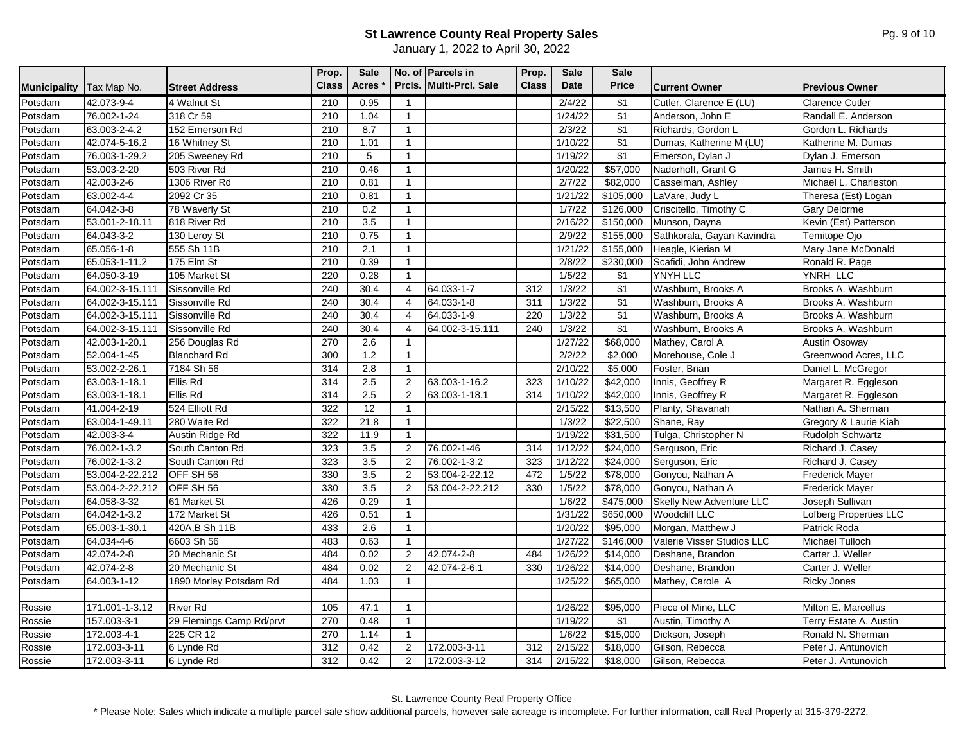|                     |                 |                          | Prop.        | <b>Sale</b>  |                | No. of Parcels in       | Prop.        | <b>Sale</b>       | <b>Sale</b>          |                                 |                        |
|---------------------|-----------------|--------------------------|--------------|--------------|----------------|-------------------------|--------------|-------------------|----------------------|---------------------------------|------------------------|
| <b>Municipality</b> | Tax Map No.     | <b>Street Address</b>    | <b>Class</b> | <b>Acres</b> |                | Prcls. Multi-Prcl. Sale | <b>Class</b> | Date              | <b>Price</b>         | <b>Current Owner</b>            | <b>Previous Owner</b>  |
| Potsdam             | 42.073-9-4      | 4 Walnut St              | 210          | 0.95         | $\mathbf{1}$   |                         |              | 2/4/22            | \$1                  | Cutler, Clarence E (LU)         | <b>Clarence Cutler</b> |
| Potsdam             | 76.002-1-24     | 318 Cr 59                | 210          | 1.04         | 1              |                         |              | 1/24/22           | $\overline{\$1}$     | Anderson, John E                | Randall E. Anderson    |
| Potsdam             | 63.003-2-4.2    | 152 Emerson Rd           | 210          | 8.7          | $\mathbf{1}$   |                         |              | 2/3/22            | $\sqrt{$1}$          | Richards, Gordon L              | Gordon L. Richards     |
| Potsdam             | 42.074-5-16.2   | 16 Whitney St            | 210          | 1.01         | $\mathbf{1}$   |                         |              | 1/10/22           | $\sqrt{$1}$          | Dumas, Katherine M (LU)         | Katherine M. Dumas     |
| Potsdam             | 76.003-1-29.2   | 205 Sweeney Rd           | 210          | 5            | $\mathbf{1}$   |                         |              | 1/19/22           | $\sqrt{$1}$          | Emerson, Dylan J                | Dylan J. Emerson       |
| Potsdam             | 53.003-2-20     | 503 River Rd             | 210          | 0.46         | $\mathbf{1}$   |                         |              | 1/20/22           | \$57,000             | Naderhoff, Grant G              | James H. Smith         |
| Potsdam             | 42.003-2-6      | 1306 River Rd            | 210          | 0.81         | $\overline{1}$ |                         |              | 2/7/22            | \$82,000             | Casselman, Ashley               | Michael L. Charleston  |
| Potsdam             | 63.002-4-4      | 2092 Cr 35               | 210          | 0.81         | $\mathbf{1}$   |                         |              | 1/21/22           | \$105,000            | LaVare, Judy L                  | Theresa (Est) Logan    |
| Potsdam             | 64.042-3-8      | 78 Waverly St            | 210          | 0.2          | $\mathbf{1}$   |                         |              | 1/7/22            | \$126,000            | Criscitello, Timothy C          | <b>Gary Delorme</b>    |
| Potsdam             | 53.001-2-18.11  | 818 River Rd             | 210          | 3.5          | $\mathbf{1}$   |                         |              | 2/16/22           | \$150,000            | Munson, Dayna                   | Kevin (Est) Patterson  |
| Potsdam             | 64.043-3-2      | 130 Leroy St             | 210          | 0.75         | $\mathbf{1}$   |                         |              | 2/9/22            | \$155,000            | Sathkorala, Gayan Kavindra      | Temitope Ojo           |
| Potsdam             | 65.056-1-8      | 555 Sh 11B               | 210          | 2.1          | $\mathbf{1}$   |                         |              | 1/21/22           | \$155,000            | Heagle, Kierian M               | Mary Jane McDonald     |
| Potsdam             | 65.053-1-11.2   | 175 Elm St               | 210          | 0.39         | $\mathbf{1}$   |                         |              | 2/8/22            | \$230,000            | Scafidi, John Andrew            | Ronald R. Page         |
| Potsdam             | 64.050-3-19     | 105 Market St            | 220          | 0.28         | $\mathbf{1}$   |                         |              | 1/5/22            | $\sqrt{$1}$          | YNYH LLC                        | YNRH LLC               |
| Potsdam             | 64.002-3-15.111 | Sissonville Rd           | 240          | 30.4         | $\overline{4}$ | 64.033-1-7              | 312          | 1/3/22            | $\sqrt{$1}$          | Washburn, Brooks A              | Brooks A. Washburn     |
| Potsdam             | 64.002-3-15.111 | Sissonville Rd           | 240          | 30.4         | 4              | 64.033-1-8              | 311          | 1/3/22            | $\sqrt{$1}$          | Washburn, Brooks A              | Brooks A. Washburn     |
| Potsdam             | 64.002-3-15.111 | <b>Sissonville Rd</b>    | 240          | 30.4         | 4              | 64.033-1-9              | 220          | 1/3/22            | $\sqrt{$1}$          | Washburn, Brooks A              | Brooks A. Washburn     |
| Potsdam             | 64.002-3-15.111 | <b>Sissonville Rd</b>    | 240          | 30.4         | 4              | 64.002-3-15.111         | 240          | 1/3/22            | $\sqrt{31}$          | Washburn, Brooks A              | Brooks A. Washburn     |
| Potsdam             | 42.003-1-20.1   | 256 Douglas Rd           | 270          | 2.6          | -1             |                         |              | 1/27/22           | \$68,000             | Mathey, Carol A                 | Austin Osoway          |
| Potsdam             | 52.004-1-45     | <b>Blanchard Rd</b>      | 300          | 1.2          | $\mathbf{1}$   |                         |              | 2/2/22            | \$2,000              | Morehouse, Cole J               | Greenwood Acres, LLC   |
| Potsdam             | 53.002-2-26.1   | 7184 Sh 56               | 314          | 2.8          | $\mathbf{1}$   |                         |              | 2/10/22           | \$5,000              | Foster, Brian                   | Daniel L. McGregor     |
| Potsdam             | 63.003-1-18.1   | Ellis Rd                 | 314          | 2.5          | 2              | 63.003-1-16.2           | 323          | 1/10/22           | \$42,000             | Innis, Geoffrey R               | Margaret R. Eggleson   |
| Potsdam             | 63.003-1-18.1   | <b>Ellis Rd</b>          | 314          | 2.5          | 2              | 63.003-1-18.1           | 314          | 1/10/22           | \$42,000             | Innis, Geoffrey R               | Margaret R. Eggleson   |
| Potsdam             | 41.004-2-19     | 524 Elliott Rd           | 322          | 12           | $\mathbf{1}$   |                         |              | 2/15/22           | $\overline{$13,500}$ | Planty, Shavanah                | Nathan A. Sherman      |
| Potsdam             | 63.004-1-49.11  | 280 Waite Rd             | 322          | 21.8         | $\mathbf{1}$   |                         |              | 1/3/22            | \$22,500             | Shane, Ray                      | Gregory & Laurie Kiah  |
| Potsdam             | 42.003-3-4      | Austin Ridge Rd          | 322          | 11.9         | $\mathbf{1}$   |                         |              | 1/19/22           | \$31,500             | Tulga, Christopher N            | Rudolph Schwartz       |
| Potsdam             | 76.002-1-3.2    | South Canton Rd          | 323          | 3.5          | 2              | 76.002-1-46             | 314          | 1/12/22           | \$24,000             | Serguson, Eric                  | Richard J. Casey       |
| Potsdam             | 76.002-1-3.2    | South Canton Rd          | 323          | 3.5          | $\overline{2}$ | 76.002-1-3.2            | 323          | 1/12/22           | \$24,000             | Serguson, Eric                  | Richard J. Casey       |
| Potsdam             | 53.004-2-22.212 | OFF SH 56                | 330          | 3.5          | 2              | 53.004-2-22.12          | 472          | 1/5/22            | \$78,000             | Gonyou, Nathan A                | Frederick Mayer        |
| Potsdam             | 53.004-2-22.212 | OFF SH 56                | 330          | 3.5          | 2              | 53.004-2-22.212         | 330          | 1/5/22            | \$78,000             | Gonyou, Nathan A                | <b>Frederick Mayer</b> |
| Potsdam             | 64.058-3-32     | 61 Market St             | 426          | 0.29         | $\mathbf{1}$   |                         |              | 1/6/22            | \$475,000            | <b>Skelly New Adventure LLC</b> | Joseph Sullivan        |
| Potsdam             | 64.042-1-3.2    | 172 Market St            | 426          | 0.51         | $\mathbf{1}$   |                         |              | 1/31/22           | \$650,000            | <b>Woodcliff LLC</b>            | Lofberg Properties LLC |
| Potsdam             | 65.003-1-30.1   | 420A, B Sh 11B           | 433          | 2.6          | $\mathbf{1}$   |                         |              | 1/20/22           | \$95,000             | Morgan, Matthew J               | Patrick Roda           |
| Potsdam             | 64.034-4-6      | 6603 Sh 56               | 483          | 0.63         | $\mathbf{1}$   |                         |              | 1/27/22           | \$146,000            | Valerie Visser Studios LLC      | Michael Tulloch        |
| Potsdam             | 42.074-2-8      | 20 Mechanic St           | 484          | 0.02         | 2              | 42.074-2-8              | 484          | 1/26/22           | \$14,000             | Deshane, Brandon                | Carter J. Weller       |
| Potsdam             | 42.074-2-8      | 20 Mechanic St           | 484          | 0.02         | 2              | 42.074-2-6.1            | 330          | 1/26/22           | \$14,000             | Deshane, Brandon                | Carter J. Weller       |
| Potsdam             | 64.003-1-12     | 1890 Morley Potsdam Rd   | 484          | 1.03         | $\mathbf{1}$   |                         |              | 1/25/22           | \$65,000             | Mathey, Carole A                | <b>Ricky Jones</b>     |
|                     |                 |                          |              |              |                |                         |              |                   |                      |                                 |                        |
| Rossie              | 171.001-1-3.12  | <b>River Rd</b>          | 105          | 47.1         | $\mathbf{1}$   |                         |              | 1/26/22           | \$95,000             | Piece of Mine, LLC              | Milton E. Marcellus    |
| Rossie              | 157.003-3-1     | 29 Flemings Camp Rd/prvt | 270          | 0.48         | $\mathbf{1}$   |                         |              | 1/19/22           | \$1                  | Austin, Timothy A               | Terry Estate A. Austin |
| Rossie              | 172.003-4-1     | 225 CR 12                | 270          | 1.14         | $\mathbf{1}$   |                         |              | $\frac{1}{6}$ /22 | \$15,000             | Dickson, Joseph                 | Ronald N. Sherman      |
| Rossie              | 172.003-3-11    | 6 Lynde Rd               | 312          | 0.42         | 2              | 172.003-3-11            | 312          | 2/15/22           | \$18,000             | Gilson, Rebecca                 | Peter J. Antunovich    |
| Rossie              | 172.003-3-11    | 6 Lynde Rd               | 312          | 0.42         | 2              | 172.003-3-12            | 314          | 2/15/22           | \$18,000             | Gilson, Rebecca                 | Peter J. Antunovich    |

St. Lawrence County Real Property Office